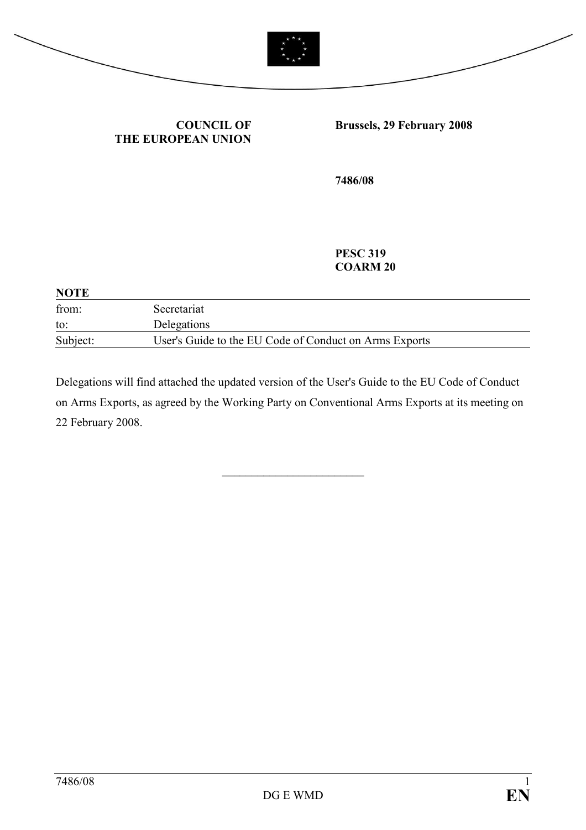

#### COUNCIL OF THE EUROPEAN UNION

## Brussels, 29 February 2008

7486/08

PESC 319 COARM 20

| <b>NOTE</b> |                                                        |  |
|-------------|--------------------------------------------------------|--|
| from:       | Secretariat                                            |  |
| to:         | Delegations                                            |  |
| Subject:    | User's Guide to the EU Code of Conduct on Arms Exports |  |

Delegations will find attached the updated version of the User's Guide to the EU Code of Conduct on Arms Exports, as agreed by the Working Party on Conventional Arms Exports at its meeting on 22 February 2008.

\_\_\_\_\_\_\_\_\_\_\_\_\_\_\_\_\_\_\_\_\_\_\_\_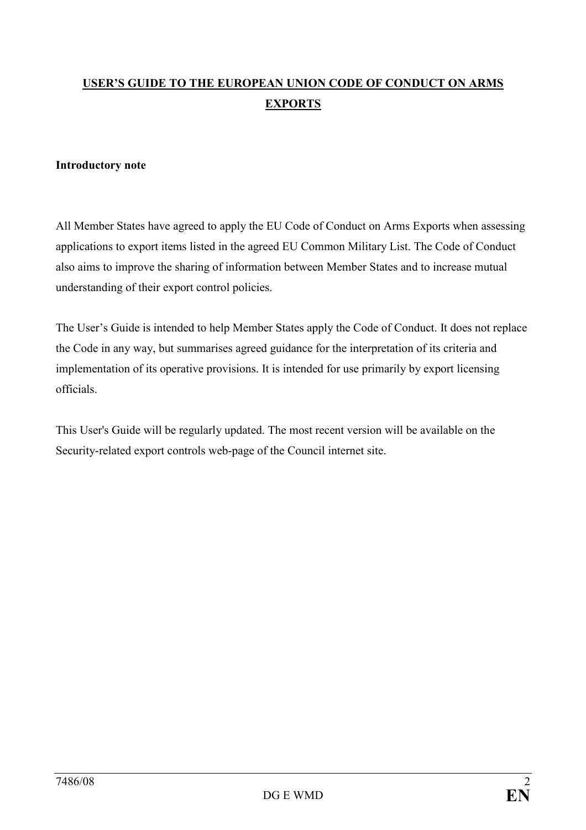# USER'S GUIDE TO THE EUROPEAN UNION CODE OF CONDUCT ON ARMS EXPORTS

#### Introductory note

All Member States have agreed to apply the EU Code of Conduct on Arms Exports when assessing applications to export items listed in the agreed EU Common Military List. The Code of Conduct also aims to improve the sharing of information between Member States and to increase mutual understanding of their export control policies.

The User's Guide is intended to help Member States apply the Code of Conduct. It does not replace the Code in any way, but summarises agreed guidance for the interpretation of its criteria and implementation of its operative provisions. It is intended for use primarily by export licensing officials.

This User's Guide will be regularly updated. The most recent version will be available on the Security-related export controls web-page of the Council internet site.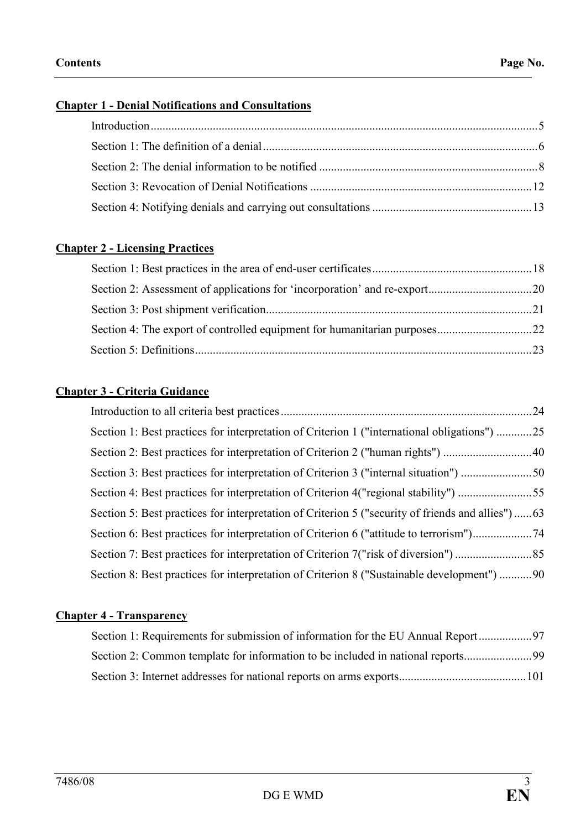## Chapter 1 - Denial Notifications and Consultations

# Chapter 2 - Licensing Practices

#### Chapter 3 - Criteria Guidance

|                                                                                              | .24 |
|----------------------------------------------------------------------------------------------|-----|
| Section 1: Best practices for interpretation of Criterion 1 ("international obligations") 25 |     |
| Section 2: Best practices for interpretation of Criterion 2 ("human rights") 40              |     |
| Section 3: Best practices for interpretation of Criterion 3 ("internal situation") 50        |     |
|                                                                                              |     |
|                                                                                              |     |
|                                                                                              |     |
|                                                                                              |     |
| Section 8: Best practices for interpretation of Criterion 8 ("Sustainable development") 90   |     |

# Chapter 4 - Transparency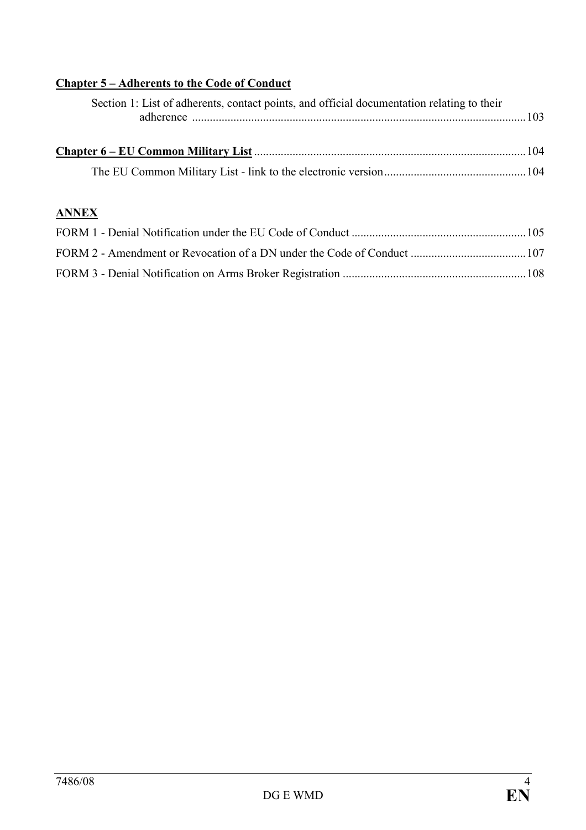# Chapter 5 – Adherents to the Code of Conduct

| Section 1: List of adherents, contact points, and official documentation relating to their |  |
|--------------------------------------------------------------------------------------------|--|
|                                                                                            |  |
|                                                                                            |  |

# ANNEX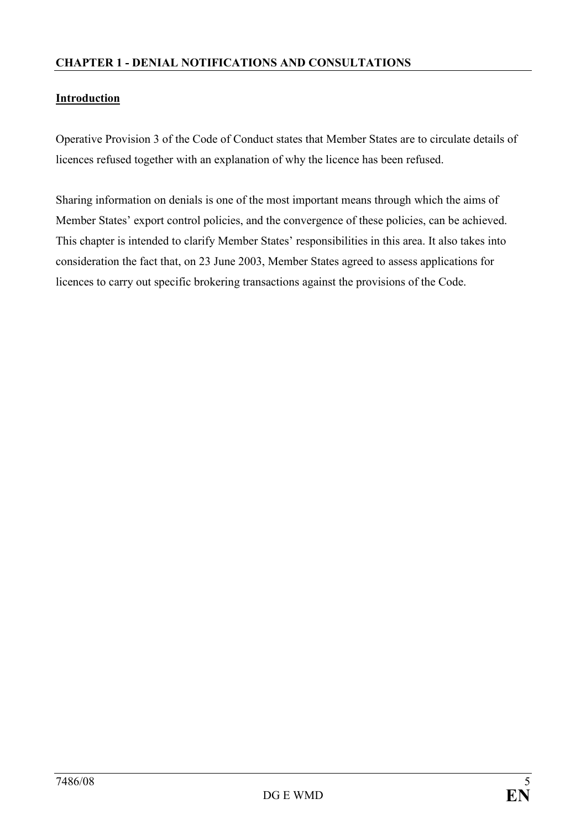## **Introduction**

Operative Provision 3 of the Code of Conduct states that Member States are to circulate details of licences refused together with an explanation of why the licence has been refused.

Sharing information on denials is one of the most important means through which the aims of Member States' export control policies, and the convergence of these policies, can be achieved. This chapter is intended to clarify Member States' responsibilities in this area. It also takes into consideration the fact that, on 23 June 2003, Member States agreed to assess applications for licences to carry out specific brokering transactions against the provisions of the Code.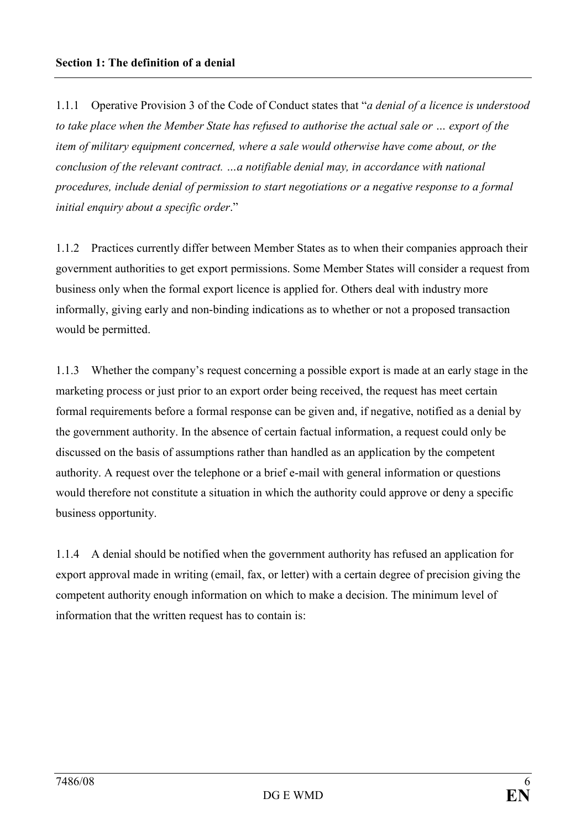1.1.1 Operative Provision 3 of the Code of Conduct states that "*a denial of a licence is understood* to take place when the Member State has refused to authorise the actual sale or … export of the item of military equipment concerned, where a sale would otherwise have come about, or the conclusion of the relevant contract. …a notifiable denial may, in accordance with national procedures, include denial of permission to start negotiations or a negative response to a formal initial enquiry about a specific order."

1.1.2 Practices currently differ between Member States as to when their companies approach their government authorities to get export permissions. Some Member States will consider a request from business only when the formal export licence is applied for. Others deal with industry more informally, giving early and non-binding indications as to whether or not a proposed transaction would be permitted.

1.1.3 Whether the company's request concerning a possible export is made at an early stage in the marketing process or just prior to an export order being received, the request has meet certain formal requirements before a formal response can be given and, if negative, notified as a denial by the government authority. In the absence of certain factual information, a request could only be discussed on the basis of assumptions rather than handled as an application by the competent authority. A request over the telephone or a brief e-mail with general information or questions would therefore not constitute a situation in which the authority could approve or deny a specific business opportunity.

1.1.4 A denial should be notified when the government authority has refused an application for export approval made in writing (email, fax, or letter) with a certain degree of precision giving the competent authority enough information on which to make a decision. The minimum level of information that the written request has to contain is: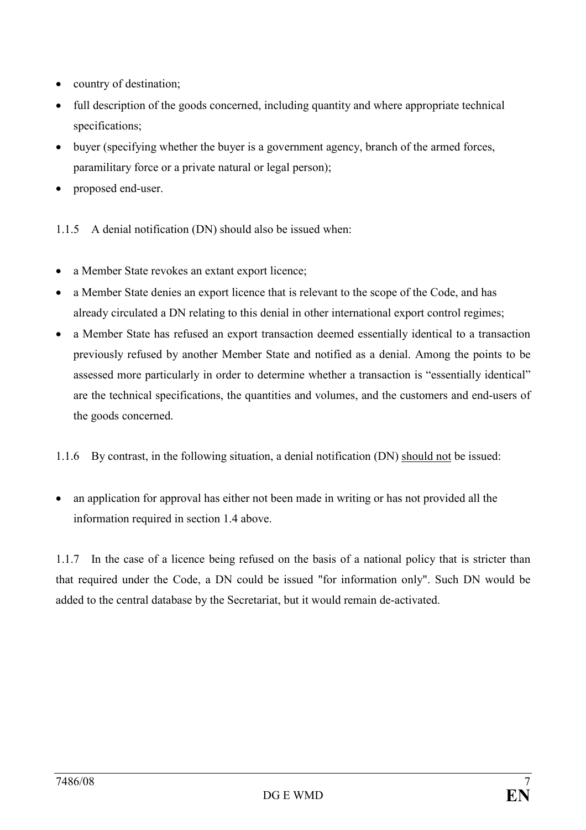- country of destination;
- full description of the goods concerned, including quantity and where appropriate technical specifications;
- buyer (specifying whether the buyer is a government agency, branch of the armed forces, paramilitary force or a private natural or legal person);
- proposed end-user.

1.1.5 A denial notification (DN) should also be issued when:

- a Member State revokes an extant export licence;
- a Member State denies an export licence that is relevant to the scope of the Code, and has already circulated a DN relating to this denial in other international export control regimes;
- a Member State has refused an export transaction deemed essentially identical to a transaction previously refused by another Member State and notified as a denial. Among the points to be assessed more particularly in order to determine whether a transaction is "essentially identical" are the technical specifications, the quantities and volumes, and the customers and end-users of the goods concerned.
- 1.1.6 By contrast, in the following situation, a denial notification (DN) should not be issued:
- an application for approval has either not been made in writing or has not provided all the information required in section 1.4 above.

1.1.7 In the case of a licence being refused on the basis of a national policy that is stricter than that required under the Code, a DN could be issued "for information only". Such DN would be added to the central database by the Secretariat, but it would remain de-activated.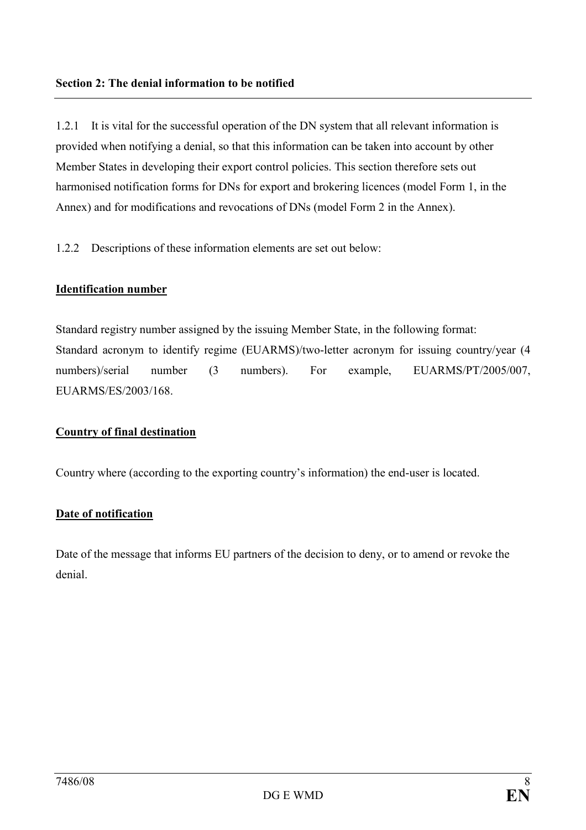1.2.1 It is vital for the successful operation of the DN system that all relevant information is provided when notifying a denial, so that this information can be taken into account by other Member States in developing their export control policies. This section therefore sets out harmonised notification forms for DNs for export and brokering licences (model Form 1, in the Annex) and for modifications and revocations of DNs (model Form 2 in the Annex).

1.2.2 Descriptions of these information elements are set out below:

## Identification number

Standard registry number assigned by the issuing Member State, in the following format: Standard acronym to identify regime (EUARMS)/two-letter acronym for issuing country/year (4 numbers)/serial number (3 numbers). For example, EUARMS/PT/2005/007, EUARMS/ES/2003/168.

#### Country of final destination

Country where (according to the exporting country's information) the end-user is located.

## Date of notification

Date of the message that informs EU partners of the decision to deny, or to amend or revoke the denial.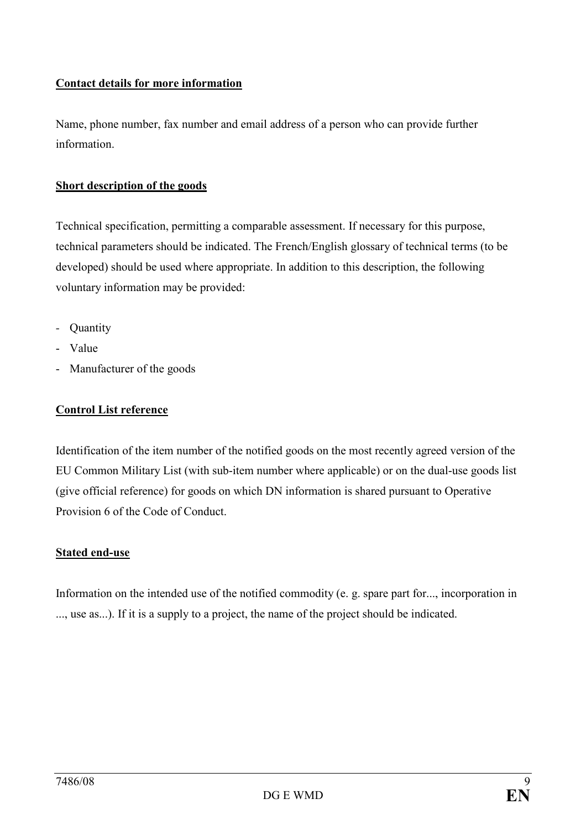# Contact details for more information

Name, phone number, fax number and email address of a person who can provide further information.

## Short description of the goods

Technical specification, permitting a comparable assessment. If necessary for this purpose, technical parameters should be indicated. The French/English glossary of technical terms (to be developed) should be used where appropriate. In addition to this description, the following voluntary information may be provided:

- Quantity
- Value
- Manufacturer of the goods

# Control List reference

Identification of the item number of the notified goods on the most recently agreed version of the EU Common Military List (with sub-item number where applicable) or on the dual-use goods list (give official reference) for goods on which DN information is shared pursuant to Operative Provision 6 of the Code of Conduct.

#### Stated end-use

Information on the intended use of the notified commodity (e. g. spare part for..., incorporation in ..., use as...). If it is a supply to a project, the name of the project should be indicated.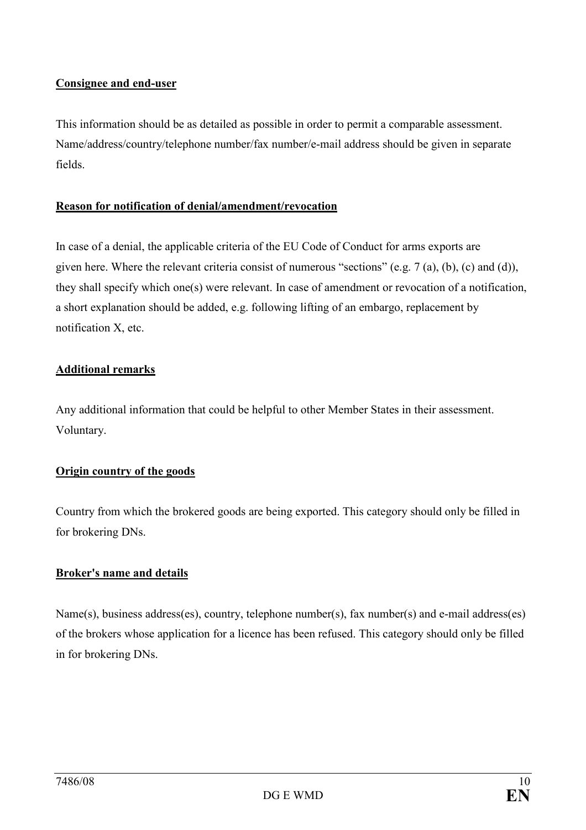## Consignee and end-user

This information should be as detailed as possible in order to permit a comparable assessment. Name/address/country/telephone number/fax number/e-mail address should be given in separate fields.

## Reason for notification of denial/amendment/revocation

In case of a denial, the applicable criteria of the EU Code of Conduct for arms exports are given here. Where the relevant criteria consist of numerous "sections" (e.g. 7 (a), (b), (c) and (d)), they shall specify which one(s) were relevant. In case of amendment or revocation of a notification, a short explanation should be added, e.g. following lifting of an embargo, replacement by notification X, etc.

## Additional remarks

Any additional information that could be helpful to other Member States in their assessment. Voluntary.

## Origin country of the goods

Country from which the brokered goods are being exported. This category should only be filled in for brokering DNs.

## Broker's name and details

Name(s), business address(es), country, telephone number(s), fax number(s) and e-mail address(es) of the brokers whose application for a licence has been refused. This category should only be filled in for brokering DNs.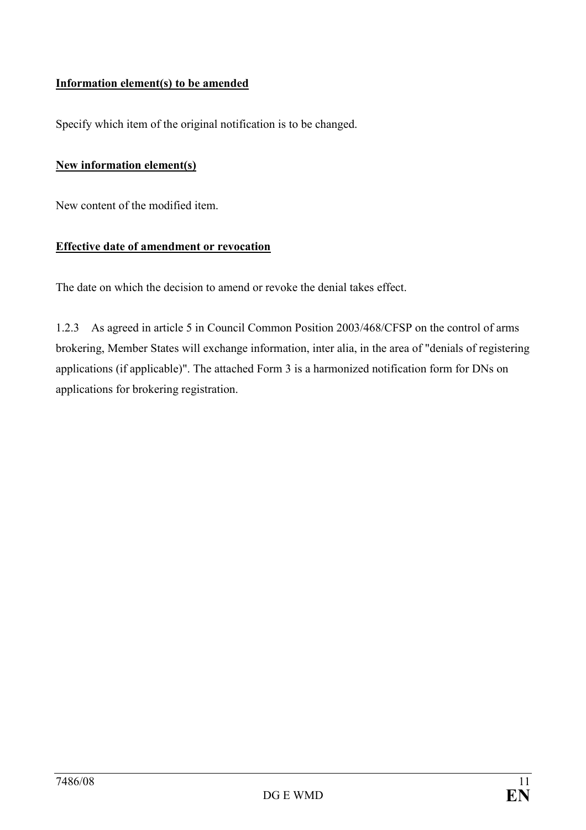## Information element(s) to be amended

Specify which item of the original notification is to be changed.

## New information element(s)

New content of the modified item.

#### Effective date of amendment or revocation

The date on which the decision to amend or revoke the denial takes effect.

1.2.3 As agreed in article 5 in Council Common Position 2003/468/CFSP on the control of arms brokering, Member States will exchange information, inter alia, in the area of "denials of registering applications (if applicable)". The attached Form 3 is a harmonized notification form for DNs on applications for brokering registration.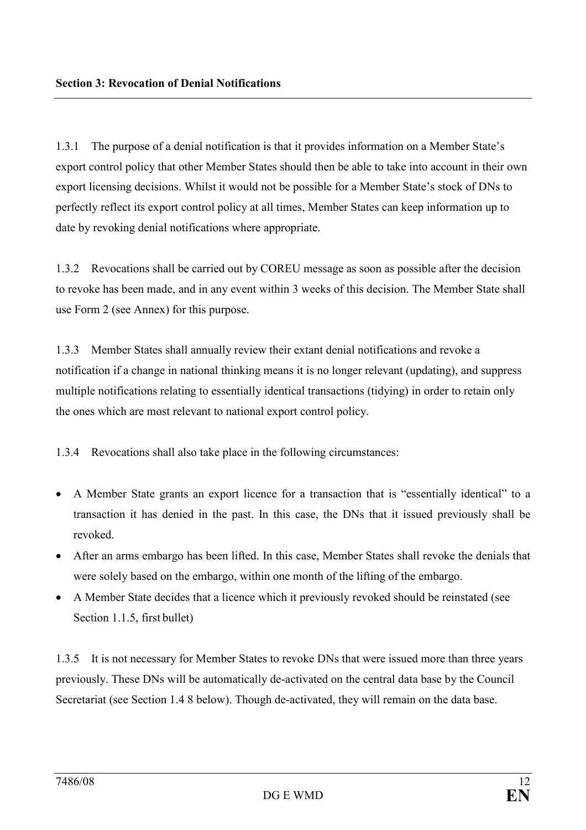1.3.1 The purpose of a denial notification is that it provides information on a Member State's export control policy that other Member States should then be able to take into account in their own export licensing decisions. Whilst it would not be possible for a Member State's stock of DNs to perfectly reflect its export control policy at all times, Member States can keep information up to date by revoking denial notifications where appropriate.

1.3.2 Revocations shall be carried out by COREU message as soon as possible after the decision to revoke has been made, and in any event within 3 weeks of this decision. The Member State shall use Form 2 (see Annex) for this purpose.

1.3.3 Member States shall annually review their extant denial notifications and revoke a notification if a change in national thinking means it is no longer relevant (updating), and suppress multiple notifications relating to essentially identical transactions (tidying) in order to retain only the ones which are most relevant to national export control policy.

1.3.4 Revocations shall also take place in the following circumstances:

- A Member State grants an export licence for a transaction that is "essentially identical" to a transaction it has denied in the past. In this case, the DNs that it issued previously shall be revoked.
- After an arms embargo has been lifted. In this case, Member States shall revoke the denials that were solely based on the embargo, within one month of the lifting of the embargo.
- A Member State decides that a licence which it previously revoked should be reinstated (see Section 1.1.5, first bullet)

1.3.5 It is not necessary for Member States to revoke DNs that were issued more than three years previously. These DNs will be automatically de-activated on the central data base by the Council Secretariat (see Section 1.4 8 below). Though de-activated, they will remain on the data base.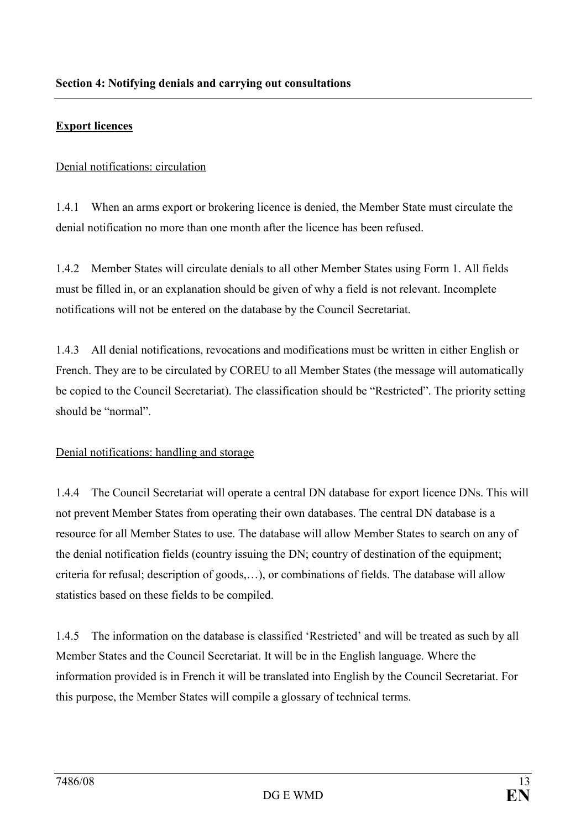## Export licences

Denial notifications: circulation

1.4.1 When an arms export or brokering licence is denied, the Member State must circulate the denial notification no more than one month after the licence has been refused.

1.4.2 Member States will circulate denials to all other Member States using Form 1. All fields must be filled in, or an explanation should be given of why a field is not relevant. Incomplete notifications will not be entered on the database by the Council Secretariat.

1.4.3 All denial notifications, revocations and modifications must be written in either English or French. They are to be circulated by COREU to all Member States (the message will automatically be copied to the Council Secretariat). The classification should be "Restricted". The priority setting should be "normal".

#### Denial notifications: handling and storage

1.4.4 The Council Secretariat will operate a central DN database for export licence DNs. This will not prevent Member States from operating their own databases. The central DN database is a resource for all Member States to use. The database will allow Member States to search on any of the denial notification fields (country issuing the DN; country of destination of the equipment; criteria for refusal; description of goods,…), or combinations of fields. The database will allow statistics based on these fields to be compiled.

1.4.5 The information on the database is classified 'Restricted' and will be treated as such by all Member States and the Council Secretariat. It will be in the English language. Where the information provided is in French it will be translated into English by the Council Secretariat. For this purpose, the Member States will compile a glossary of technical terms.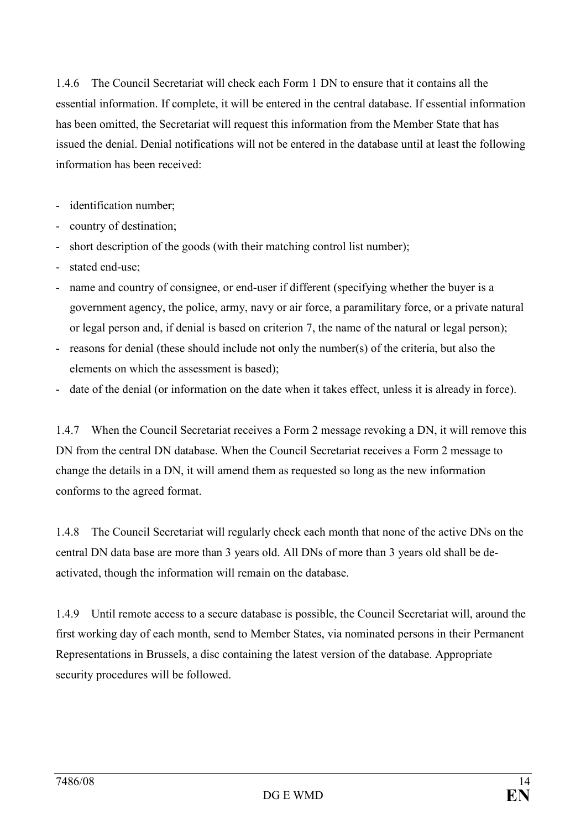1.4.6 The Council Secretariat will check each Form 1 DN to ensure that it contains all the essential information. If complete, it will be entered in the central database. If essential information has been omitted, the Secretariat will request this information from the Member State that has issued the denial. Denial notifications will not be entered in the database until at least the following information has been received:

- identification number;
- country of destination;
- short description of the goods (with their matching control list number);
- stated end-use;
- name and country of consignee, or end-user if different (specifying whether the buyer is a government agency, the police, army, navy or air force, a paramilitary force, or a private natural or legal person and, if denial is based on criterion 7, the name of the natural or legal person);
- reasons for denial (these should include not only the number(s) of the criteria, but also the elements on which the assessment is based);
- date of the denial (or information on the date when it takes effect, unless it is already in force).

1.4.7 When the Council Secretariat receives a Form 2 message revoking a DN, it will remove this DN from the central DN database. When the Council Secretariat receives a Form 2 message to change the details in a DN, it will amend them as requested so long as the new information conforms to the agreed format.

1.4.8 The Council Secretariat will regularly check each month that none of the active DNs on the central DN data base are more than 3 years old. All DNs of more than 3 years old shall be deactivated, though the information will remain on the database.

1.4.9 Until remote access to a secure database is possible, the Council Secretariat will, around the first working day of each month, send to Member States, via nominated persons in their Permanent Representations in Brussels, a disc containing the latest version of the database. Appropriate security procedures will be followed.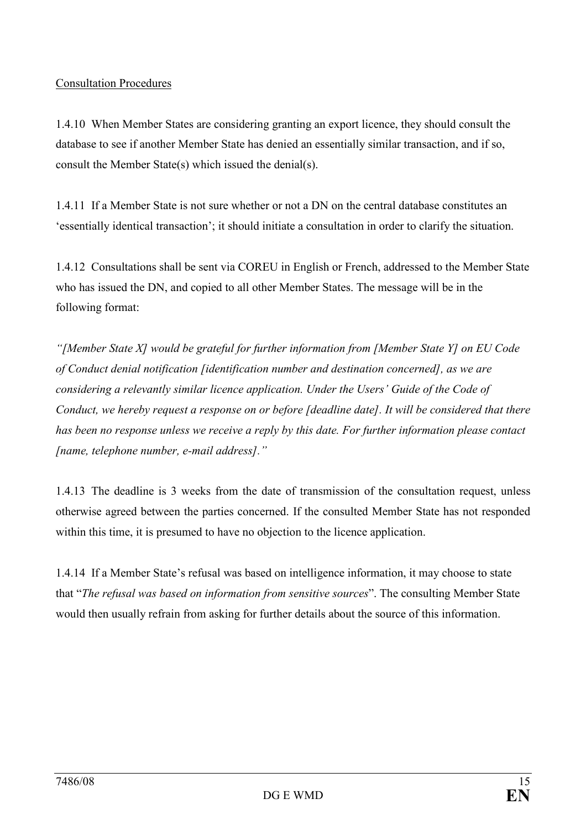## Consultation Procedures

1.4.10 When Member States are considering granting an export licence, they should consult the database to see if another Member State has denied an essentially similar transaction, and if so, consult the Member State(s) which issued the denial(s).

1.4.11 If a Member State is not sure whether or not a DN on the central database constitutes an 'essentially identical transaction'; it should initiate a consultation in order to clarify the situation.

1.4.12 Consultations shall be sent via COREU in English or French, addressed to the Member State who has issued the DN, and copied to all other Member States. The message will be in the following format:

"[Member State X] would be grateful for further information from [Member State Y] on EU Code of Conduct denial notification [identification number and destination concerned], as we are considering a relevantly similar licence application. Under the Users' Guide of the Code of Conduct, we hereby request a response on or before [deadline date]. It will be considered that there has been no response unless we receive a reply by this date. For further information please contact [name, telephone number, e-mail address]."

1.4.13 The deadline is 3 weeks from the date of transmission of the consultation request, unless otherwise agreed between the parties concerned. If the consulted Member State has not responded within this time, it is presumed to have no objection to the licence application.

1.4.14 If a Member State's refusal was based on intelligence information, it may choose to state that "The refusal was based on information from sensitive sources". The consulting Member State would then usually refrain from asking for further details about the source of this information.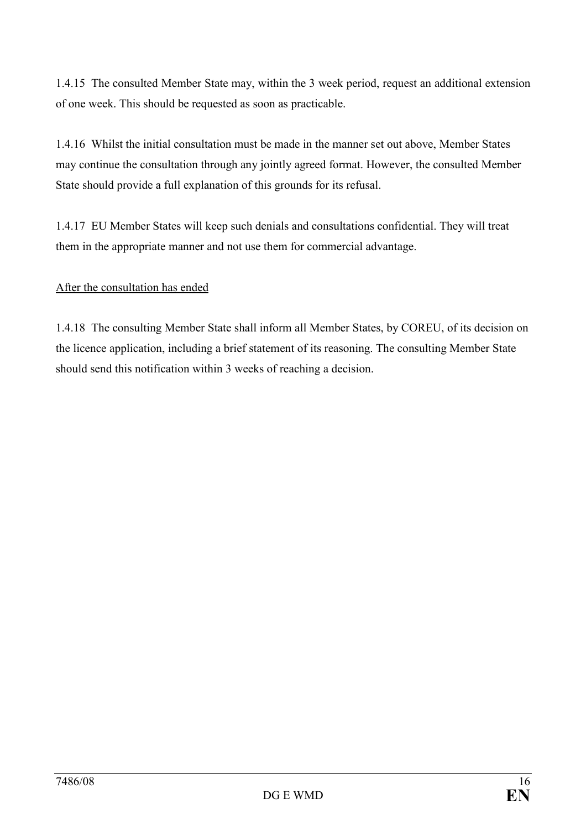1.4.15 The consulted Member State may, within the 3 week period, request an additional extension of one week. This should be requested as soon as practicable.

1.4.16 Whilst the initial consultation must be made in the manner set out above, Member States may continue the consultation through any jointly agreed format. However, the consulted Member State should provide a full explanation of this grounds for its refusal.

1.4.17 EU Member States will keep such denials and consultations confidential. They will treat them in the appropriate manner and not use them for commercial advantage.

## After the consultation has ended

1.4.18 The consulting Member State shall inform all Member States, by COREU, of its decision on the licence application, including a brief statement of its reasoning. The consulting Member State should send this notification within 3 weeks of reaching a decision.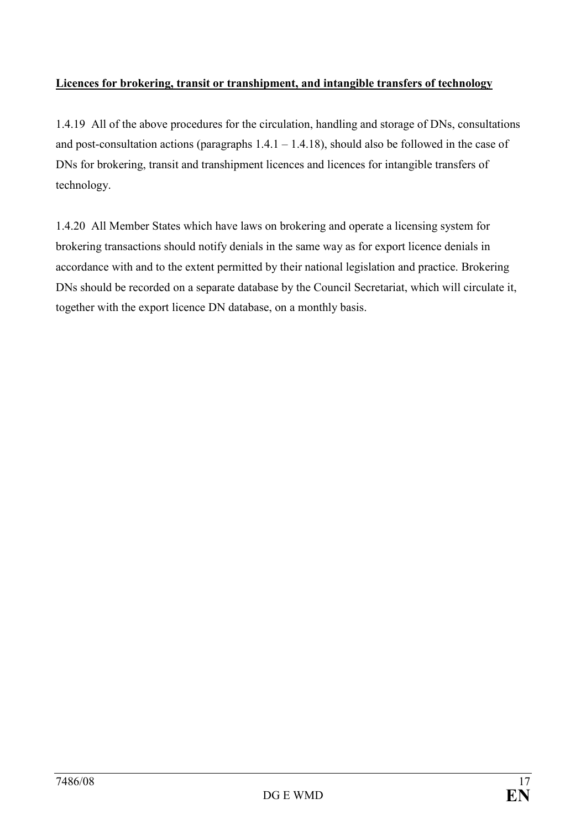# Licences for brokering, transit or transhipment, and intangible transfers of technology

1.4.19 All of the above procedures for the circulation, handling and storage of DNs, consultations and post-consultation actions (paragraphs  $1.4.1 - 1.4.18$ ), should also be followed in the case of DNs for brokering, transit and transhipment licences and licences for intangible transfers of technology.

1.4.20 All Member States which have laws on brokering and operate a licensing system for brokering transactions should notify denials in the same way as for export licence denials in accordance with and to the extent permitted by their national legislation and practice. Brokering DNs should be recorded on a separate database by the Council Secretariat, which will circulate it, together with the export licence DN database, on a monthly basis.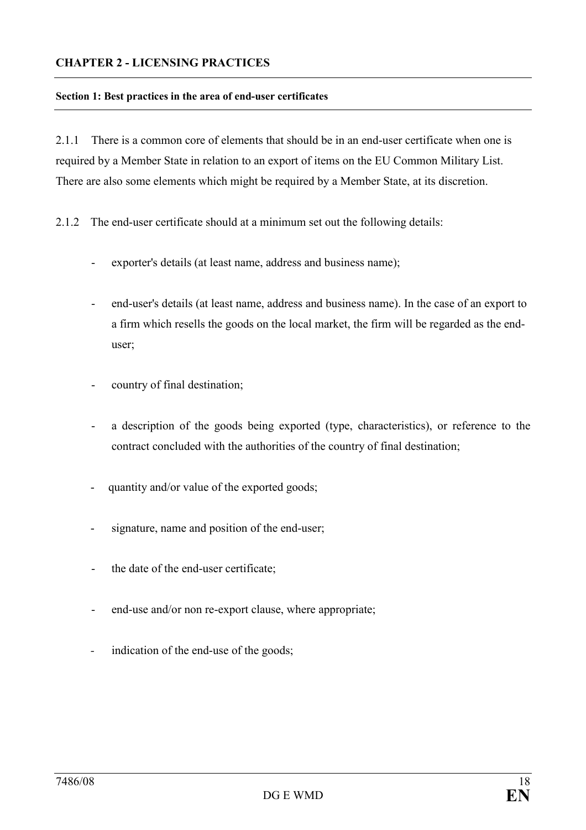#### CHAPTER 2 - LICENSING PRACTICES

#### Section 1: Best practices in the area of end-user certificates

2.1.1 There is a common core of elements that should be in an end-user certificate when one is required by a Member State in relation to an export of items on the EU Common Military List. There are also some elements which might be required by a Member State, at its discretion.

- 2.1.2 The end-user certificate should at a minimum set out the following details:
	- exporter's details (at least name, address and business name);
	- end-user's details (at least name, address and business name). In the case of an export to a firm which resells the goods on the local market, the firm will be regarded as the enduser;
	- country of final destination;
	- a description of the goods being exported (type, characteristics), or reference to the contract concluded with the authorities of the country of final destination;
	- quantity and/or value of the exported goods;
	- signature, name and position of the end-user;
	- the date of the end-user certificate;
	- end-use and/or non re-export clause, where appropriate;
	- indication of the end-use of the goods;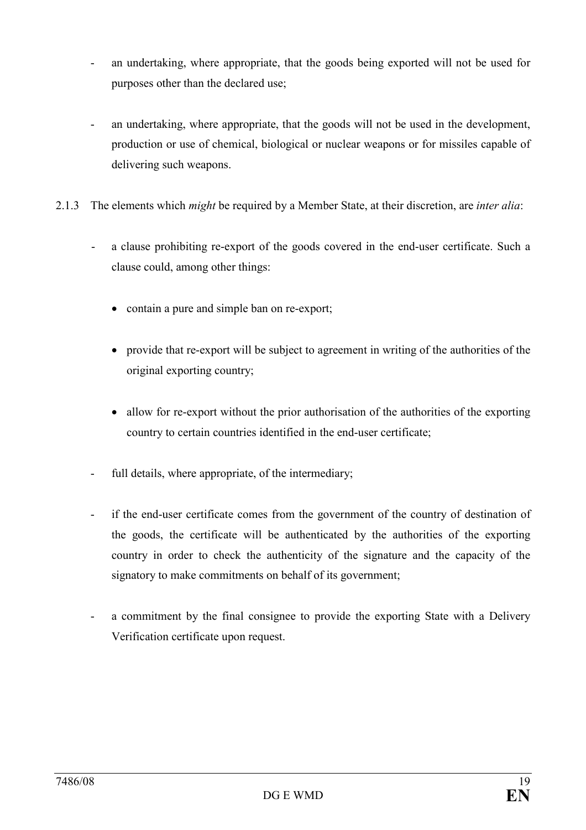- an undertaking, where appropriate, that the goods being exported will not be used for purposes other than the declared use;
- an undertaking, where appropriate, that the goods will not be used in the development, production or use of chemical, biological or nuclear weapons or for missiles capable of delivering such weapons.
- 2.1.3 The elements which *might* be required by a Member State, at their discretion, are *inter alia*:
	- a clause prohibiting re-export of the goods covered in the end-user certificate. Such a clause could, among other things:
		- contain a pure and simple ban on re-export;
		- provide that re-export will be subject to agreement in writing of the authorities of the original exporting country;
		- allow for re-export without the prior authorisation of the authorities of the exporting country to certain countries identified in the end-user certificate;
	- full details, where appropriate, of the intermediary;
	- if the end-user certificate comes from the government of the country of destination of the goods, the certificate will be authenticated by the authorities of the exporting country in order to check the authenticity of the signature and the capacity of the signatory to make commitments on behalf of its government;
	- a commitment by the final consignee to provide the exporting State with a Delivery Verification certificate upon request.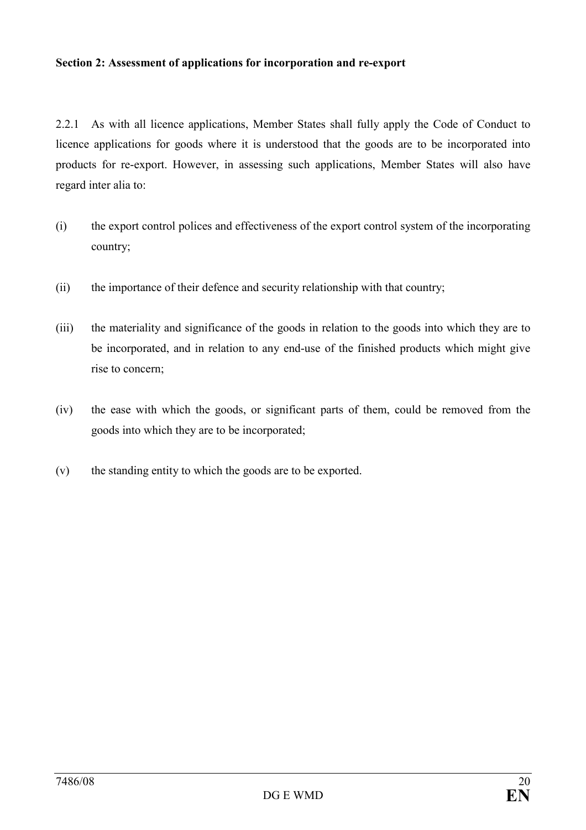#### Section 2: Assessment of applications for incorporation and re-export

2.2.1 As with all licence applications, Member States shall fully apply the Code of Conduct to licence applications for goods where it is understood that the goods are to be incorporated into products for re-export. However, in assessing such applications, Member States will also have regard inter alia to:

- (i) the export control polices and effectiveness of the export control system of the incorporating country;
- (ii) the importance of their defence and security relationship with that country;
- (iii) the materiality and significance of the goods in relation to the goods into which they are to be incorporated, and in relation to any end-use of the finished products which might give rise to concern;
- (iv) the ease with which the goods, or significant parts of them, could be removed from the goods into which they are to be incorporated;
- (v) the standing entity to which the goods are to be exported.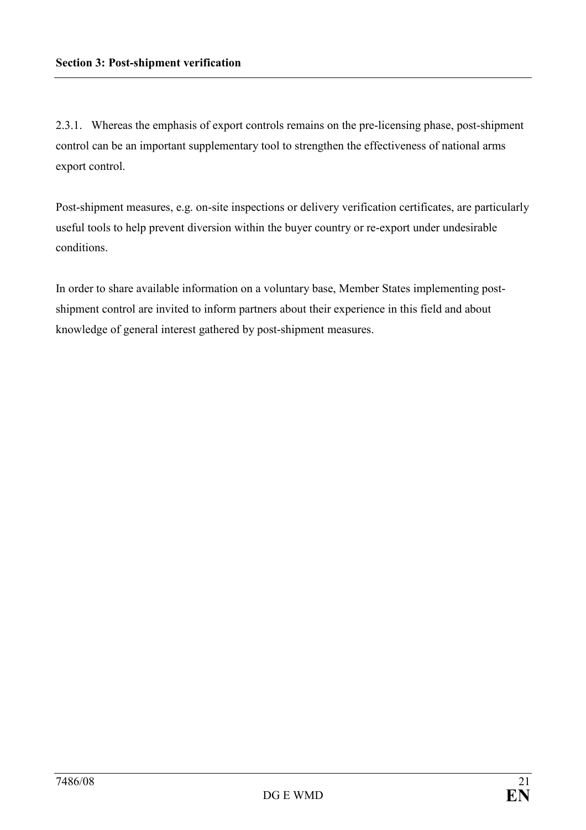2.3.1. Whereas the emphasis of export controls remains on the pre-licensing phase, post-shipment control can be an important supplementary tool to strengthen the effectiveness of national arms export control.

Post-shipment measures, e.g. on-site inspections or delivery verification certificates, are particularly useful tools to help prevent diversion within the buyer country or re-export under undesirable conditions.

In order to share available information on a voluntary base, Member States implementing postshipment control are invited to inform partners about their experience in this field and about knowledge of general interest gathered by post-shipment measures.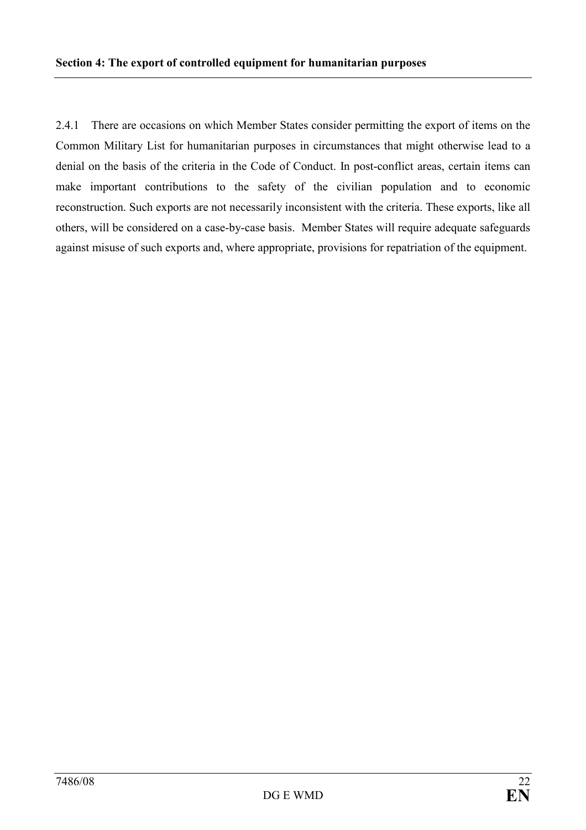2.4.1 There are occasions on which Member States consider permitting the export of items on the Common Military List for humanitarian purposes in circumstances that might otherwise lead to a denial on the basis of the criteria in the Code of Conduct. In post-conflict areas, certain items can make important contributions to the safety of the civilian population and to economic reconstruction. Such exports are not necessarily inconsistent with the criteria. These exports, like all others, will be considered on a case-by-case basis. Member States will require adequate safeguards against misuse of such exports and, where appropriate, provisions for repatriation of the equipment.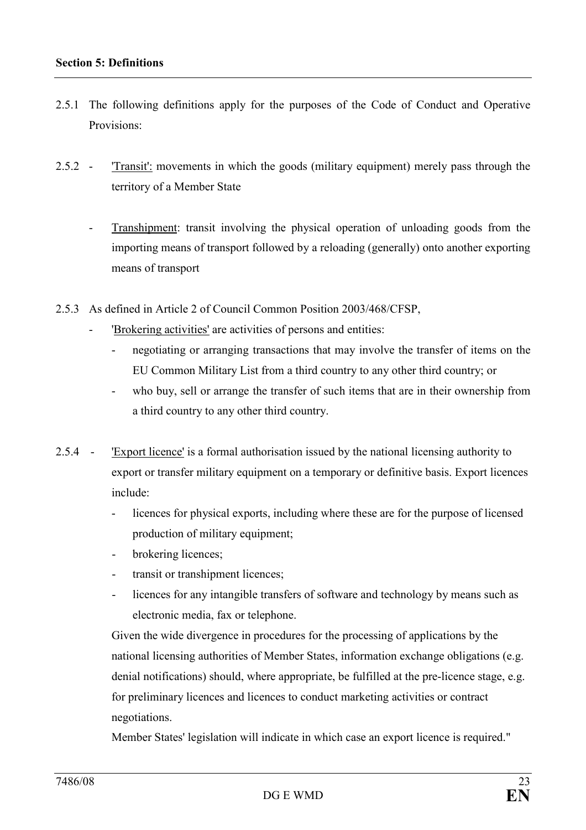- 2.5.1 The following definitions apply for the purposes of the Code of Conduct and Operative Provisions:
- 2.5.2 'Transit': movements in which the goods (military equipment) merely pass through the territory of a Member State
	- Transhipment: transit involving the physical operation of unloading goods from the importing means of transport followed by a reloading (generally) onto another exporting means of transport
- 2.5.3 As defined in Article 2 of Council Common Position 2003/468/CFSP,
	- 'Brokering activities' are activities of persons and entities:
		- negotiating or arranging transactions that may involve the transfer of items on the EU Common Military List from a third country to any other third country; or
		- who buy, sell or arrange the transfer of such items that are in their ownership from a third country to any other third country.
- 2.5.4 'Export licence' is a formal authorisation issued by the national licensing authority to export or transfer military equipment on a temporary or definitive basis. Export licences include:
	- licences for physical exports, including where these are for the purpose of licensed production of military equipment;
	- brokering licences;
	- transit or transhipment licences;
	- licences for any intangible transfers of software and technology by means such as electronic media, fax or telephone.

 Given the wide divergence in procedures for the processing of applications by the national licensing authorities of Member States, information exchange obligations (e.g. denial notifications) should, where appropriate, be fulfilled at the pre-licence stage, e.g. for preliminary licences and licences to conduct marketing activities or contract negotiations.

Member States' legislation will indicate in which case an export licence is required."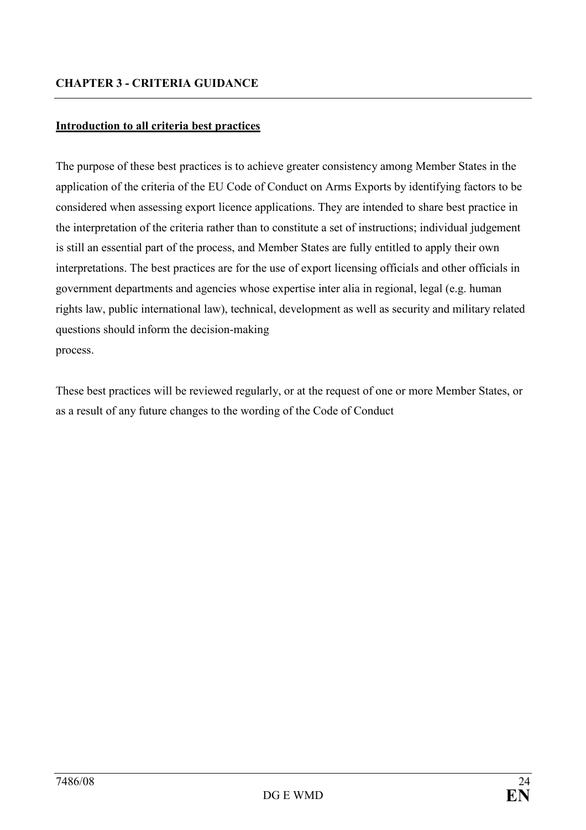## Introduction to all criteria best practices

The purpose of these best practices is to achieve greater consistency among Member States in the application of the criteria of the EU Code of Conduct on Arms Exports by identifying factors to be considered when assessing export licence applications. They are intended to share best practice in the interpretation of the criteria rather than to constitute a set of instructions; individual judgement is still an essential part of the process, and Member States are fully entitled to apply their own interpretations. The best practices are for the use of export licensing officials and other officials in government departments and agencies whose expertise inter alia in regional, legal (e.g. human rights law, public international law), technical, development as well as security and military related questions should inform the decision-making process.

These best practices will be reviewed regularly, or at the request of one or more Member States, or as a result of any future changes to the wording of the Code of Conduct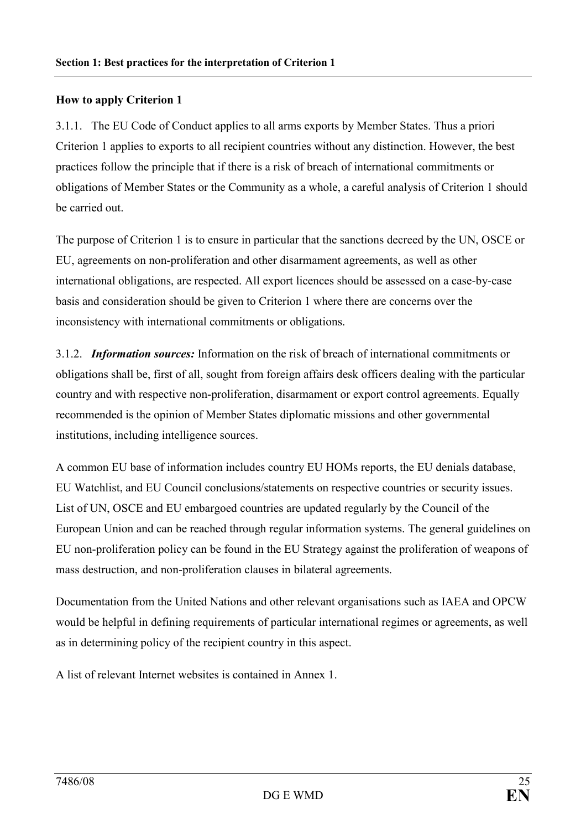#### How to apply Criterion 1

3.1.1. The EU Code of Conduct applies to all arms exports by Member States. Thus a priori Criterion 1 applies to exports to all recipient countries without any distinction. However, the best practices follow the principle that if there is a risk of breach of international commitments or obligations of Member States or the Community as a whole, a careful analysis of Criterion 1 should be carried out.

The purpose of Criterion 1 is to ensure in particular that the sanctions decreed by the UN, OSCE or EU, agreements on non-proliferation and other disarmament agreements, as well as other international obligations, are respected. All export licences should be assessed on a case-by-case basis and consideration should be given to Criterion 1 where there are concerns over the inconsistency with international commitments or obligations.

3.1.2. **Information sources:** Information on the risk of breach of international commitments or obligations shall be, first of all, sought from foreign affairs desk officers dealing with the particular country and with respective non-proliferation, disarmament or export control agreements. Equally recommended is the opinion of Member States diplomatic missions and other governmental institutions, including intelligence sources.

A common EU base of information includes country EU HOMs reports, the EU denials database, EU Watchlist, and EU Council conclusions/statements on respective countries or security issues. List of UN, OSCE and EU embargoed countries are updated regularly by the Council of the European Union and can be reached through regular information systems. The general guidelines on EU non-proliferation policy can be found in the EU Strategy against the proliferation of weapons of mass destruction, and non-proliferation clauses in bilateral agreements.

Documentation from the United Nations and other relevant organisations such as IAEA and OPCW would be helpful in defining requirements of particular international regimes or agreements, as well as in determining policy of the recipient country in this aspect.

A list of relevant Internet websites is contained in Annex 1.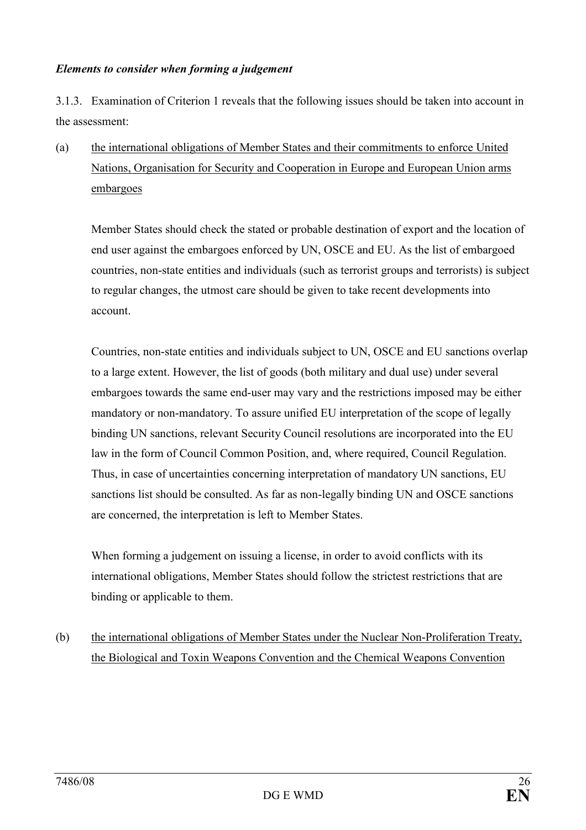#### Elements to consider when forming a judgement

3.1.3. Examination of Criterion 1 reveals that the following issues should be taken into account in the assessment:

(a) the international obligations of Member States and their commitments to enforce United Nations, Organisation for Security and Cooperation in Europe and European Union arms embargoes

Member States should check the stated or probable destination of export and the location of end user against the embargoes enforced by UN, OSCE and EU. As the list of embargoed countries, non-state entities and individuals (such as terrorist groups and terrorists) is subject to regular changes, the utmost care should be given to take recent developments into account.

Countries, non-state entities and individuals subject to UN, OSCE and EU sanctions overlap to a large extent. However, the list of goods (both military and dual use) under several embargoes towards the same end-user may vary and the restrictions imposed may be either mandatory or non-mandatory. To assure unified EU interpretation of the scope of legally binding UN sanctions, relevant Security Council resolutions are incorporated into the EU law in the form of Council Common Position, and, where required, Council Regulation. Thus, in case of uncertainties concerning interpretation of mandatory UN sanctions, EU sanctions list should be consulted. As far as non-legally binding UN and OSCE sanctions are concerned, the interpretation is left to Member States.

When forming a judgement on issuing a license, in order to avoid conflicts with its international obligations, Member States should follow the strictest restrictions that are binding or applicable to them.

(b) the international obligations of Member States under the Nuclear Non-Proliferation Treaty, the Biological and Toxin Weapons Convention and the Chemical Weapons Convention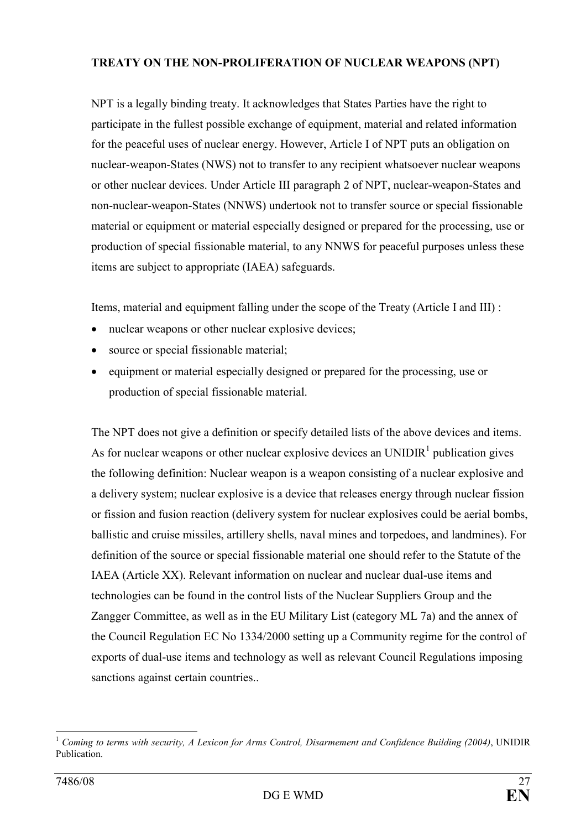## TREATY ON THE NON-PROLIFERATION OF NUCLEAR WEAPONS (NPT)

NPT is a legally binding treaty. It acknowledges that States Parties have the right to participate in the fullest possible exchange of equipment, material and related information for the peaceful uses of nuclear energy. However, Article I of NPT puts an obligation on nuclear-weapon-States (NWS) not to transfer to any recipient whatsoever nuclear weapons or other nuclear devices. Under Article III paragraph 2 of NPT, nuclear-weapon-States and non-nuclear-weapon-States (NNWS) undertook not to transfer source or special fissionable material or equipment or material especially designed or prepared for the processing, use or production of special fissionable material, to any NNWS for peaceful purposes unless these items are subject to appropriate (IAEA) safeguards.

Items, material and equipment falling under the scope of the Treaty (Article I and III) :

- nuclear weapons or other nuclear explosive devices;
- source or special fissionable material;
- equipment or material especially designed or prepared for the processing, use or production of special fissionable material.

The NPT does not give a definition or specify detailed lists of the above devices and items. As for nuclear weapons or other nuclear explosive devices an UNIDIR $<sup>1</sup>$  publication gives</sup> the following definition: Nuclear weapon is a weapon consisting of a nuclear explosive and a delivery system; nuclear explosive is a device that releases energy through nuclear fission or fission and fusion reaction (delivery system for nuclear explosives could be aerial bombs, ballistic and cruise missiles, artillery shells, naval mines and torpedoes, and landmines). For definition of the source or special fissionable material one should refer to the Statute of the IAEA (Article XX). Relevant information on nuclear and nuclear dual-use items and technologies can be found in the control lists of the Nuclear Suppliers Group and the Zangger Committee, as well as in the EU Military List (category ML 7a) and the annex of the Council Regulation EC No 1334/2000 setting up a Community regime for the control of exports of dual-use items and technology as well as relevant Council Regulations imposing sanctions against certain countries...

 $\overline{a}$  $1$  Coming to terms with security, A Lexicon for Arms Control, Disarmement and Confidence Building (2004), UNIDIR Publication.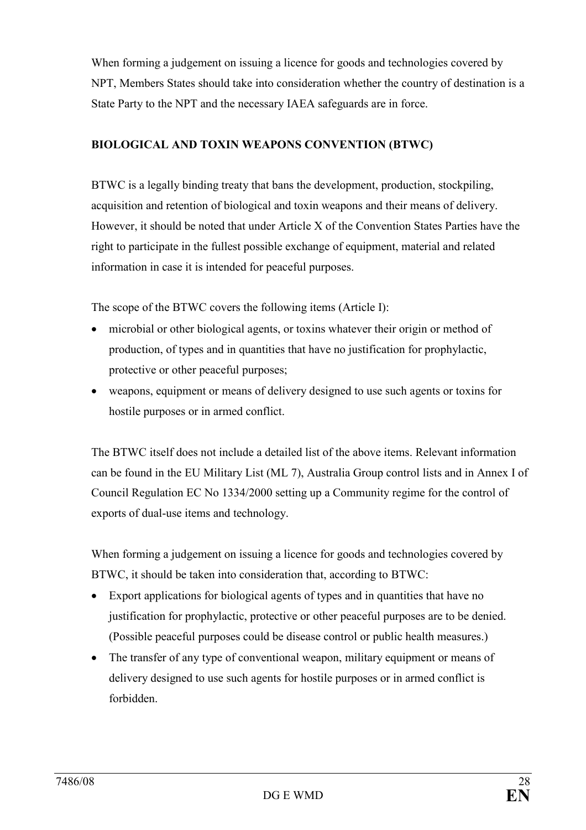When forming a judgement on issuing a licence for goods and technologies covered by NPT, Members States should take into consideration whether the country of destination is a State Party to the NPT and the necessary IAEA safeguards are in force.

## BIOLOGICAL AND TOXIN WEAPONS CONVENTION (BTWC)

BTWC is a legally binding treaty that bans the development, production, stockpiling, acquisition and retention of biological and toxin weapons and their means of delivery. However, it should be noted that under Article X of the Convention States Parties have the right to participate in the fullest possible exchange of equipment, material and related information in case it is intended for peaceful purposes.

The scope of the BTWC covers the following items (Article I):

- microbial or other biological agents, or toxins whatever their origin or method of production, of types and in quantities that have no justification for prophylactic, protective or other peaceful purposes;
- weapons, equipment or means of delivery designed to use such agents or toxins for hostile purposes or in armed conflict.

The BTWC itself does not include a detailed list of the above items. Relevant information can be found in the EU Military List (ML 7), Australia Group control lists and in Annex I of Council Regulation EC No 1334/2000 setting up a Community regime for the control of exports of dual-use items and technology.

When forming a judgement on issuing a licence for goods and technologies covered by BTWC, it should be taken into consideration that, according to BTWC:

- Export applications for biological agents of types and in quantities that have no justification for prophylactic, protective or other peaceful purposes are to be denied. (Possible peaceful purposes could be disease control or public health measures.)
- The transfer of any type of conventional weapon, military equipment or means of delivery designed to use such agents for hostile purposes or in armed conflict is forbidden.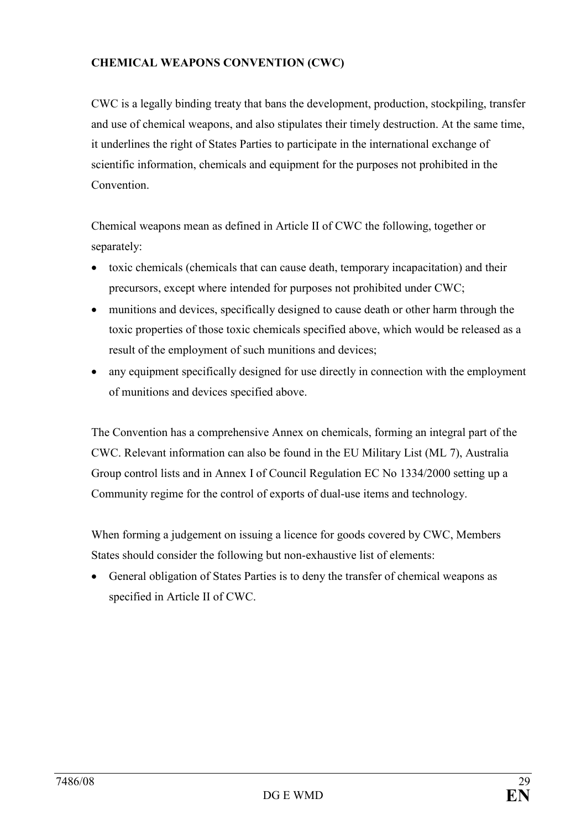## CHEMICAL WEAPONS CONVENTION (CWC)

CWC is a legally binding treaty that bans the development, production, stockpiling, transfer and use of chemical weapons, and also stipulates their timely destruction. At the same time, it underlines the right of States Parties to participate in the international exchange of scientific information, chemicals and equipment for the purposes not prohibited in the **Convention** 

Chemical weapons mean as defined in Article II of CWC the following, together or separately:

- toxic chemicals (chemicals that can cause death, temporary incapacitation) and their precursors, except where intended for purposes not prohibited under CWC;
- munitions and devices, specifically designed to cause death or other harm through the toxic properties of those toxic chemicals specified above, which would be released as a result of the employment of such munitions and devices;
- any equipment specifically designed for use directly in connection with the employment of munitions and devices specified above.

The Convention has a comprehensive Annex on chemicals, forming an integral part of the CWC. Relevant information can also be found in the EU Military List (ML 7), Australia Group control lists and in Annex I of Council Regulation EC No 1334/2000 setting up a Community regime for the control of exports of dual-use items and technology.

When forming a judgement on issuing a licence for goods covered by CWC, Members States should consider the following but non-exhaustive list of elements:

• General obligation of States Parties is to deny the transfer of chemical weapons as specified in Article II of CWC.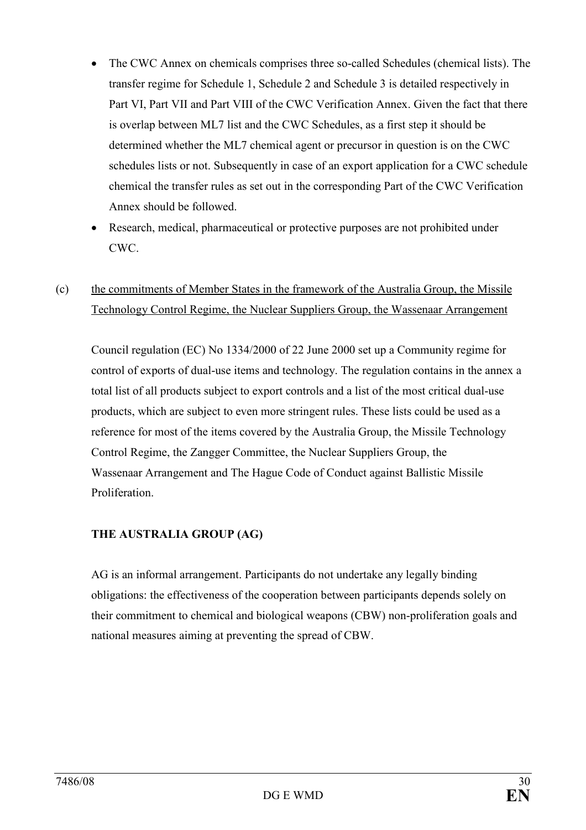- The CWC Annex on chemicals comprises three so-called Schedules (chemical lists). The transfer regime for Schedule 1, Schedule 2 and Schedule 3 is detailed respectively in Part VI, Part VII and Part VIII of the CWC Verification Annex. Given the fact that there is overlap between ML7 list and the CWC Schedules, as a first step it should be determined whether the ML7 chemical agent or precursor in question is on the CWC schedules lists or not. Subsequently in case of an export application for a CWC schedule chemical the transfer rules as set out in the corresponding Part of the CWC Verification Annex should be followed.
- Research, medical, pharmaceutical or protective purposes are not prohibited under CWC.
- (c) the commitments of Member States in the framework of the Australia Group, the Missile Technology Control Regime, the Nuclear Suppliers Group, the Wassenaar Arrangement

Council regulation (EC) No 1334/2000 of 22 June 2000 set up a Community regime for control of exports of dual-use items and technology. The regulation contains in the annex a total list of all products subject to export controls and a list of the most critical dual-use products, which are subject to even more stringent rules. These lists could be used as a reference for most of the items covered by the Australia Group, the Missile Technology Control Regime, the Zangger Committee, the Nuclear Suppliers Group, the Wassenaar Arrangement and The Hague Code of Conduct against Ballistic Missile **Proliferation** 

# THE AUSTRALIA GROUP (AG)

AG is an informal arrangement. Participants do not undertake any legally binding obligations: the effectiveness of the cooperation between participants depends solely on their commitment to chemical and biological weapons (CBW) non-proliferation goals and national measures aiming at preventing the spread of CBW.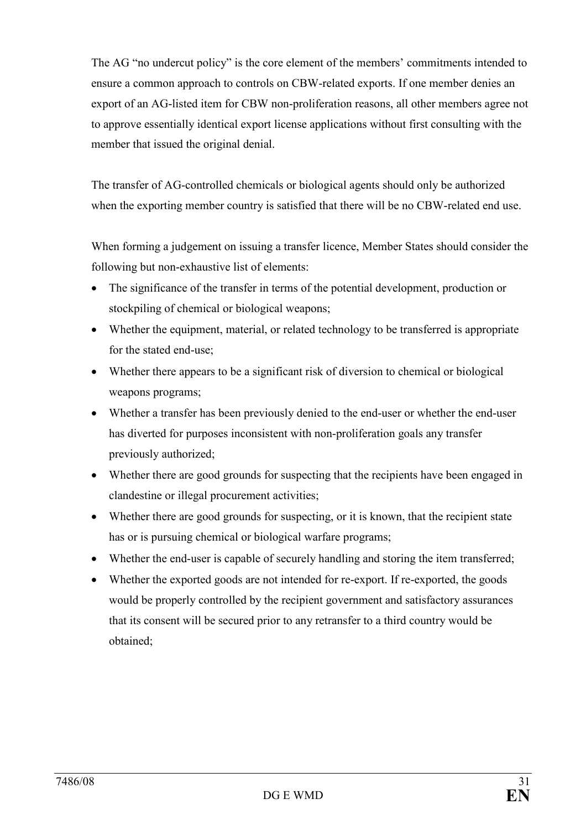The AG "no undercut policy" is the core element of the members' commitments intended to ensure a common approach to controls on CBW-related exports. If one member denies an export of an AG-listed item for CBW non-proliferation reasons, all other members agree not to approve essentially identical export license applications without first consulting with the member that issued the original denial.

The transfer of AG-controlled chemicals or biological agents should only be authorized when the exporting member country is satisfied that there will be no CBW-related end use.

When forming a judgement on issuing a transfer licence, Member States should consider the following but non-exhaustive list of elements:

- The significance of the transfer in terms of the potential development, production or stockpiling of chemical or biological weapons;
- Whether the equipment, material, or related technology to be transferred is appropriate for the stated end-use;
- Whether there appears to be a significant risk of diversion to chemical or biological weapons programs;
- Whether a transfer has been previously denied to the end-user or whether the end-user has diverted for purposes inconsistent with non-proliferation goals any transfer previously authorized;
- Whether there are good grounds for suspecting that the recipients have been engaged in clandestine or illegal procurement activities;
- Whether there are good grounds for suspecting, or it is known, that the recipient state has or is pursuing chemical or biological warfare programs;
- Whether the end-user is capable of securely handling and storing the item transferred;
- Whether the exported goods are not intended for re-export. If re-exported, the goods would be properly controlled by the recipient government and satisfactory assurances that its consent will be secured prior to any retransfer to a third country would be obtained;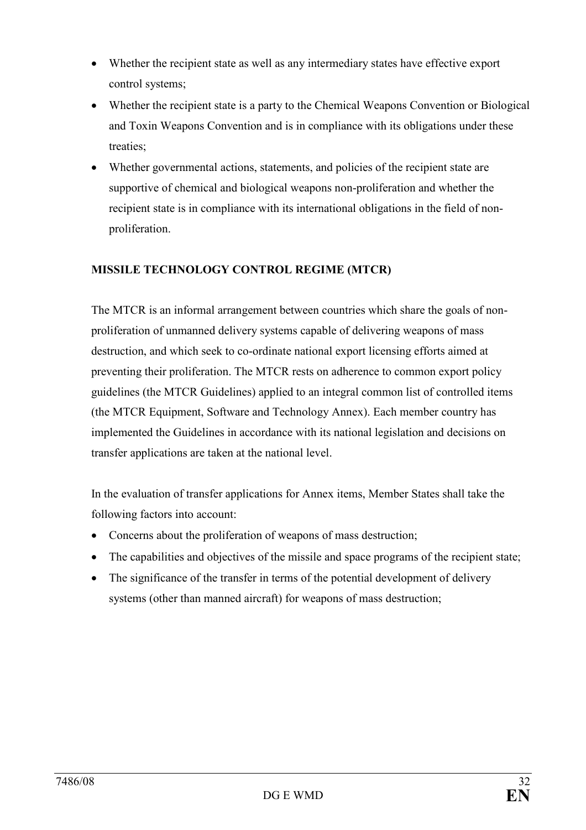- Whether the recipient state as well as any intermediary states have effective export control systems;
- Whether the recipient state is a party to the Chemical Weapons Convention or Biological and Toxin Weapons Convention and is in compliance with its obligations under these treaties;
- Whether governmental actions, statements, and policies of the recipient state are supportive of chemical and biological weapons non-proliferation and whether the recipient state is in compliance with its international obligations in the field of nonproliferation.

# MISSILE TECHNOLOGY CONTROL REGIME (MTCR)

The MTCR is an informal arrangement between countries which share the goals of nonproliferation of unmanned delivery systems capable of delivering weapons of mass destruction, and which seek to co-ordinate national export licensing efforts aimed at preventing their proliferation. The MTCR rests on adherence to common export policy guidelines (the MTCR Guidelines) applied to an integral common list of controlled items (the MTCR Equipment, Software and Technology Annex). Each member country has implemented the Guidelines in accordance with its national legislation and decisions on transfer applications are taken at the national level.

In the evaluation of transfer applications for Annex items, Member States shall take the following factors into account:

- Concerns about the proliferation of weapons of mass destruction;
- The capabilities and objectives of the missile and space programs of the recipient state;
- The significance of the transfer in terms of the potential development of delivery systems (other than manned aircraft) for weapons of mass destruction;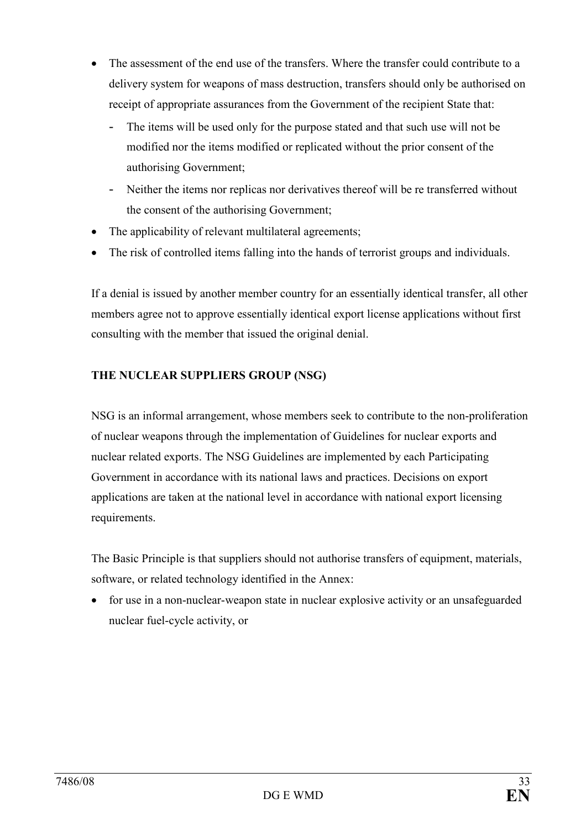- The assessment of the end use of the transfers. Where the transfer could contribute to a delivery system for weapons of mass destruction, transfers should only be authorised on receipt of appropriate assurances from the Government of the recipient State that:
	- The items will be used only for the purpose stated and that such use will not be modified nor the items modified or replicated without the prior consent of the authorising Government;
	- Neither the items nor replicas nor derivatives thereof will be re transferred without the consent of the authorising Government;
- The applicability of relevant multilateral agreements;
- The risk of controlled items falling into the hands of terrorist groups and individuals.

If a denial is issued by another member country for an essentially identical transfer, all other members agree not to approve essentially identical export license applications without first consulting with the member that issued the original denial.

# THE NUCLEAR SUPPLIERS GROUP (NSG)

NSG is an informal arrangement, whose members seek to contribute to the non-proliferation of nuclear weapons through the implementation of Guidelines for nuclear exports and nuclear related exports. The NSG Guidelines are implemented by each Participating Government in accordance with its national laws and practices. Decisions on export applications are taken at the national level in accordance with national export licensing requirements.

The Basic Principle is that suppliers should not authorise transfers of equipment, materials, software, or related technology identified in the Annex:

• for use in a non-nuclear-weapon state in nuclear explosive activity or an unsafeguarded nuclear fuel-cycle activity, or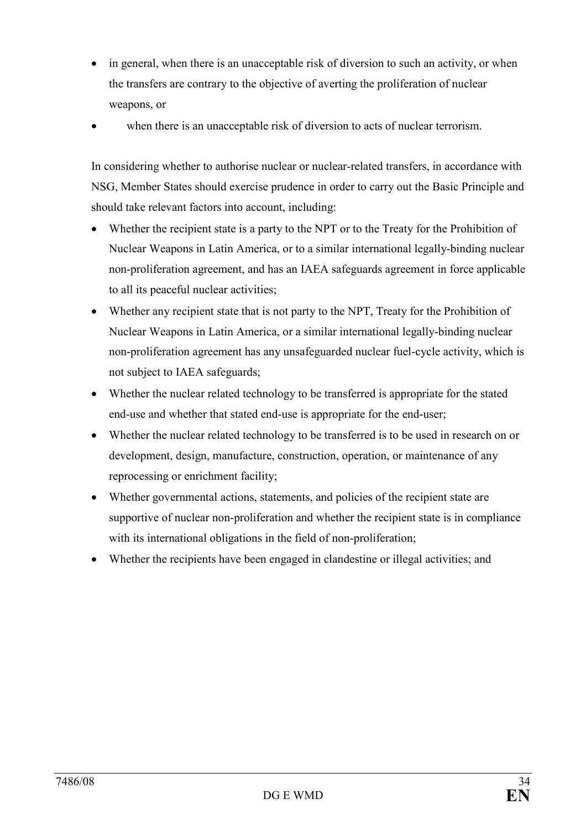- in general, when there is an unacceptable risk of diversion to such an activity, or when the transfers are contrary to the objective of averting the proliferation of nuclear weapons, or
- when there is an unacceptable risk of diversion to acts of nuclear terrorism.

In considering whether to authorise nuclear or nuclear-related transfers, in accordance with NSG, Member States should exercise prudence in order to carry out the Basic Principle and should take relevant factors into account, including:

- Whether the recipient state is a party to the NPT or to the Treaty for the Prohibition of Nuclear Weapons in Latin America, or to a similar international legally-binding nuclear non-proliferation agreement, and has an IAEA safeguards agreement in force applicable to all its peaceful nuclear activities;
- Whether any recipient state that is not party to the NPT, Treaty for the Prohibition of Nuclear Weapons in Latin America, or a similar international legally-binding nuclear non-proliferation agreement has any unsafeguarded nuclear fuel-cycle activity, which is not subject to IAEA safeguards;
- Whether the nuclear related technology to be transferred is appropriate for the stated end-use and whether that stated end-use is appropriate for the end-user;
- Whether the nuclear related technology to be transferred is to be used in research on or development, design, manufacture, construction, operation, or maintenance of any reprocessing or enrichment facility;
- Whether governmental actions, statements, and policies of the recipient state are supportive of nuclear non-proliferation and whether the recipient state is in compliance with its international obligations in the field of non-proliferation;
- Whether the recipients have been engaged in clandestine or illegal activities; and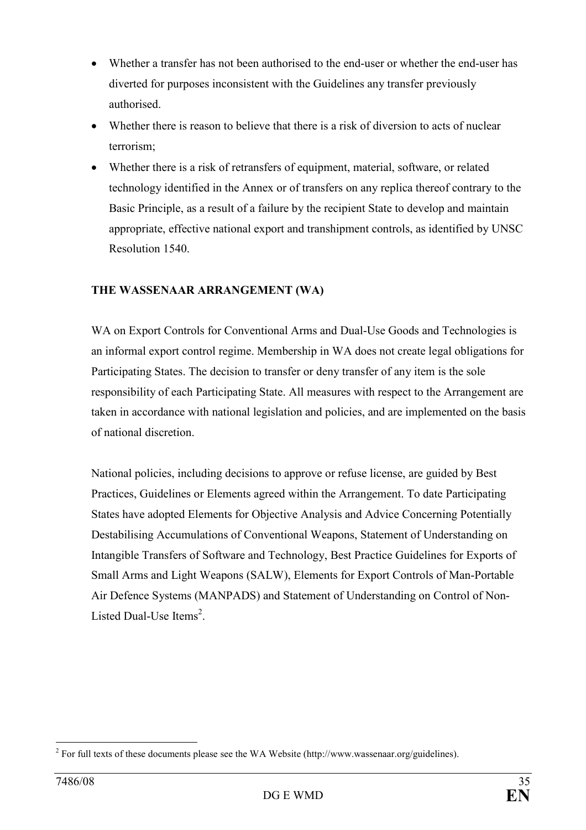- Whether a transfer has not been authorised to the end-user or whether the end-user has diverted for purposes inconsistent with the Guidelines any transfer previously authorised.
- Whether there is reason to believe that there is a risk of diversion to acts of nuclear terrorism;
- Whether there is a risk of retransfers of equipment, material, software, or related technology identified in the Annex or of transfers on any replica thereof contrary to the Basic Principle, as a result of a failure by the recipient State to develop and maintain appropriate, effective national export and transhipment controls, as identified by UNSC Resolution 1540.

## THE WASSENAAR ARRANGEMENT (WA)

WA on Export Controls for Conventional Arms and Dual-Use Goods and Technologies is an informal export control regime. Membership in WA does not create legal obligations for Participating States. The decision to transfer or deny transfer of any item is the sole responsibility of each Participating State. All measures with respect to the Arrangement are taken in accordance with national legislation and policies, and are implemented on the basis of national discretion.

National policies, including decisions to approve or refuse license, are guided by Best Practices, Guidelines or Elements agreed within the Arrangement. To date Participating States have adopted Elements for Objective Analysis and Advice Concerning Potentially Destabilising Accumulations of Conventional Weapons, Statement of Understanding on Intangible Transfers of Software and Technology, Best Practice Guidelines for Exports of Small Arms and Light Weapons (SALW), Elements for Export Controls of Man-Portable Air Defence Systems (MANPADS) and Statement of Understanding on Control of Non-Listed Dual-Use Items<sup>2</sup>.

<sup>&</sup>lt;sup>2</sup> For full texts of these documents please see the WA Website (http://www.wassenaar.org/guidelines).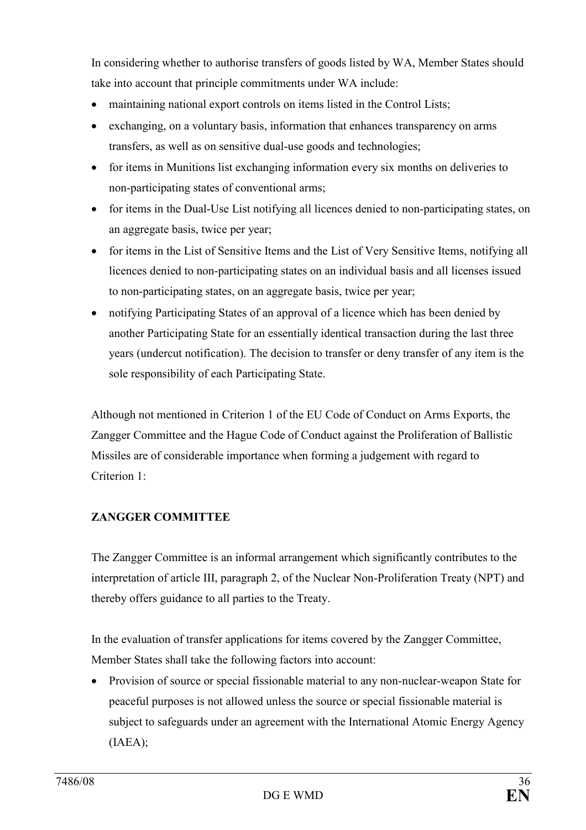In considering whether to authorise transfers of goods listed by WA, Member States should take into account that principle commitments under WA include:

- maintaining national export controls on items listed in the Control Lists;
- exchanging, on a voluntary basis, information that enhances transparency on arms transfers, as well as on sensitive dual-use goods and technologies;
- for items in Munitions list exchanging information every six months on deliveries to non-participating states of conventional arms;
- for items in the Dual-Use List notifying all licences denied to non-participating states, on an aggregate basis, twice per year;
- for items in the List of Sensitive Items and the List of Very Sensitive Items, notifying all licences denied to non-participating states on an individual basis and all licenses issued to non-participating states, on an aggregate basis, twice per year;
- notifying Participating States of an approval of a licence which has been denied by another Participating State for an essentially identical transaction during the last three years (undercut notification). The decision to transfer or deny transfer of any item is the sole responsibility of each Participating State.

Although not mentioned in Criterion 1 of the EU Code of Conduct on Arms Exports, the Zangger Committee and the Hague Code of Conduct against the Proliferation of Ballistic Missiles are of considerable importance when forming a judgement with regard to Criterion 1:

# ZANGGER COMMITTEE

The Zangger Committee is an informal arrangement which significantly contributes to the interpretation of article III, paragraph 2, of the Nuclear Non-Proliferation Treaty (NPT) and thereby offers guidance to all parties to the Treaty.

In the evaluation of transfer applications for items covered by the Zangger Committee, Member States shall take the following factors into account:

• Provision of source or special fissionable material to any non-nuclear-weapon State for peaceful purposes is not allowed unless the source or special fissionable material is subject to safeguards under an agreement with the International Atomic Energy Agency (IAEA);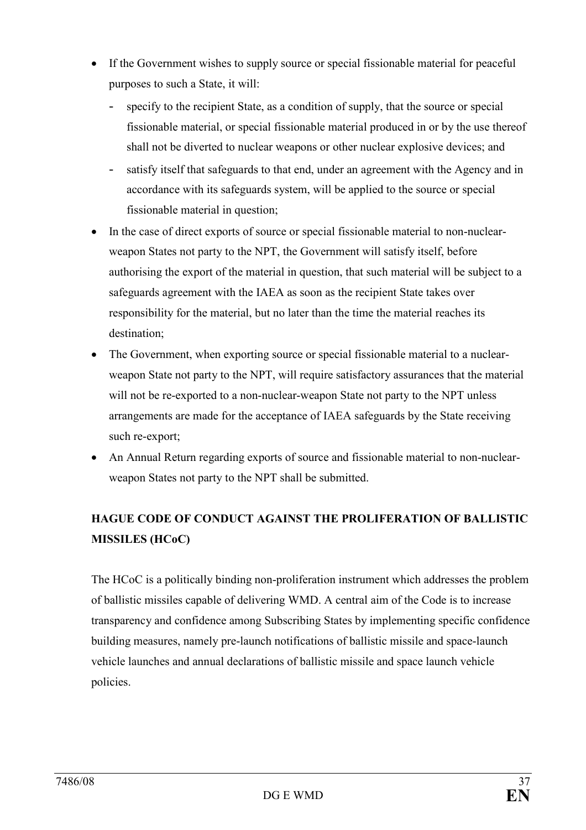- If the Government wishes to supply source or special fissionable material for peaceful purposes to such a State, it will:
	- specify to the recipient State, as a condition of supply, that the source or special fissionable material, or special fissionable material produced in or by the use thereof shall not be diverted to nuclear weapons or other nuclear explosive devices; and
	- satisfy itself that safeguards to that end, under an agreement with the Agency and in accordance with its safeguards system, will be applied to the source or special fissionable material in question;
- In the case of direct exports of source or special fissionable material to non-nuclearweapon States not party to the NPT, the Government will satisfy itself, before authorising the export of the material in question, that such material will be subject to a safeguards agreement with the IAEA as soon as the recipient State takes over responsibility for the material, but no later than the time the material reaches its destination;
- The Government, when exporting source or special fissionable material to a nuclearweapon State not party to the NPT, will require satisfactory assurances that the material will not be re-exported to a non-nuclear-weapon State not party to the NPT unless arrangements are made for the acceptance of IAEA safeguards by the State receiving such re-export;
- An Annual Return regarding exports of source and fissionable material to non-nuclearweapon States not party to the NPT shall be submitted.

# HAGUE CODE OF CONDUCT AGAINST THE PROLIFERATION OF BALLISTIC MISSILES (HCoC)

The HCoC is a politically binding non-proliferation instrument which addresses the problem of ballistic missiles capable of delivering WMD. A central aim of the Code is to increase transparency and confidence among Subscribing States by implementing specific confidence building measures, namely pre-launch notifications of ballistic missile and space-launch vehicle launches and annual declarations of ballistic missile and space launch vehicle policies.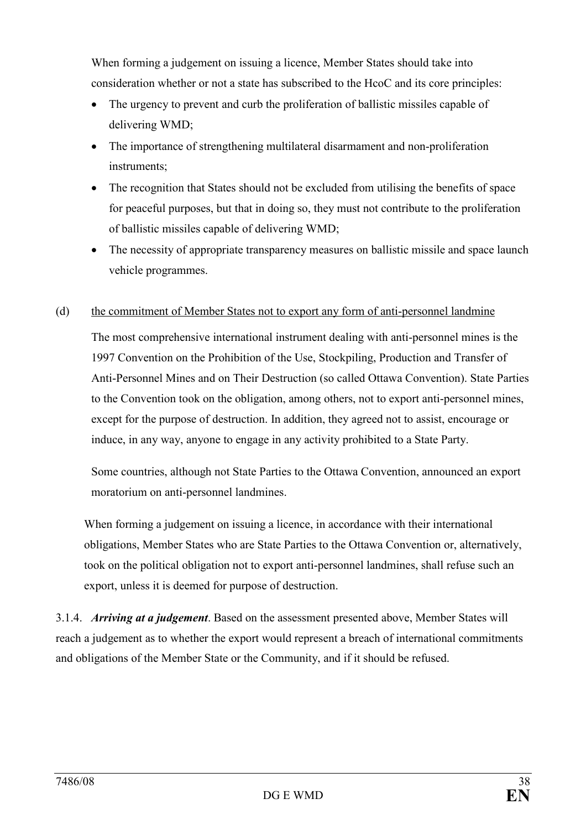When forming a judgement on issuing a licence, Member States should take into consideration whether or not a state has subscribed to the HcoC and its core principles:

- The urgency to prevent and curb the proliferation of ballistic missiles capable of delivering WMD;
- The importance of strengthening multilateral disarmament and non-proliferation instruments;
- The recognition that States should not be excluded from utilising the benefits of space for peaceful purposes, but that in doing so, they must not contribute to the proliferation of ballistic missiles capable of delivering WMD;
- The necessity of appropriate transparency measures on ballistic missile and space launch vehicle programmes.

#### (d) the commitment of Member States not to export any form of anti-personnel landmine

The most comprehensive international instrument dealing with anti-personnel mines is the 1997 Convention on the Prohibition of the Use, Stockpiling, Production and Transfer of Anti-Personnel Mines and on Their Destruction (so called Ottawa Convention). State Parties to the Convention took on the obligation, among others, not to export anti-personnel mines, except for the purpose of destruction. In addition, they agreed not to assist, encourage or induce, in any way, anyone to engage in any activity prohibited to a State Party.

Some countries, although not State Parties to the Ottawa Convention, announced an export moratorium on anti-personnel landmines.

When forming a judgement on issuing a licence, in accordance with their international obligations, Member States who are State Parties to the Ottawa Convention or, alternatively, took on the political obligation not to export anti-personnel landmines, shall refuse such an export, unless it is deemed for purpose of destruction.

3.1.4. Arriving at a judgement. Based on the assessment presented above, Member States will reach a judgement as to whether the export would represent a breach of international commitments and obligations of the Member State or the Community, and if it should be refused.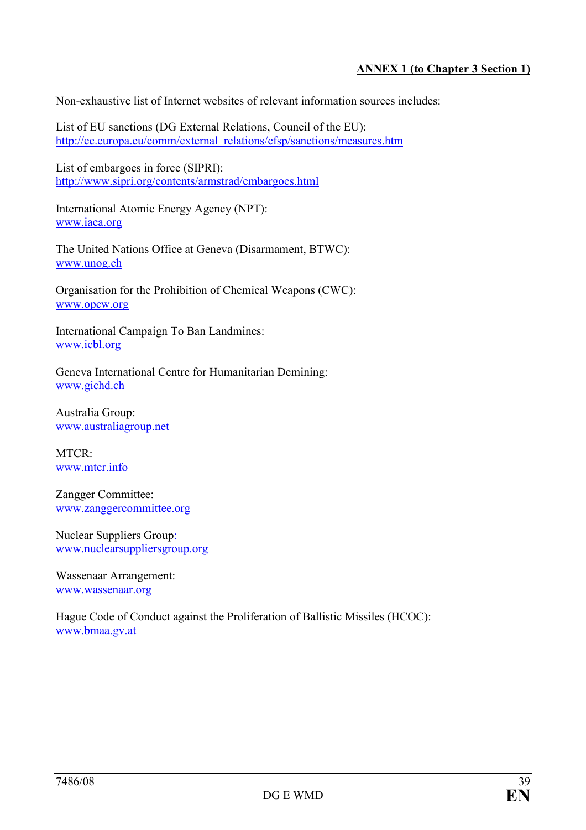## ANNEX 1 (to Chapter 3 Section 1)

Non-exhaustive list of Internet websites of relevant information sources includes:

List of EU sanctions (DG External Relations, Council of the EU): http://ec.europa.eu/comm/external\_relations/cfsp/sanctions/measures.htm

List of embargoes in force (SIPRI): http://www.sipri.org/contents/armstrad/embargoes.html

International Atomic Energy Agency (NPT): www.iaea.org

The United Nations Office at Geneva (Disarmament, BTWC): www.unog.ch

Organisation for the Prohibition of Chemical Weapons (CWC): www.opcw.org

International Campaign To Ban Landmines: www.icbl.org

Geneva International Centre for Humanitarian Demining: www.gichd.ch

Australia Group: www.australiagroup.net

MTCR: www.mtcr.info

Zangger Committee: www.zanggercommittee.org

Nuclear Suppliers Group: www.nuclearsuppliersgroup.org

Wassenaar Arrangement: www.wassenaar.org

Hague Code of Conduct against the Proliferation of Ballistic Missiles (HCOC): www.bmaa.gv.at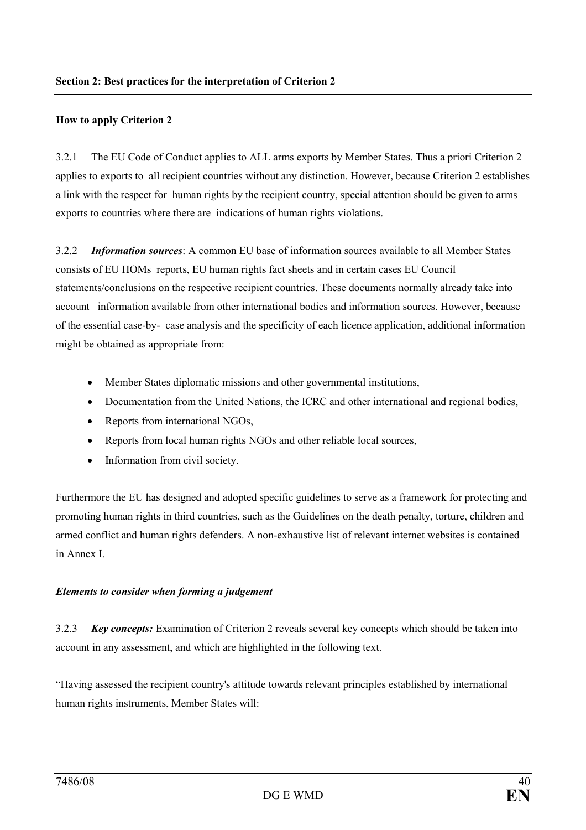#### How to apply Criterion 2

3.2.1 The EU Code of Conduct applies to ALL arms exports by Member States. Thus a priori Criterion 2 applies to exports to all recipient countries without any distinction. However, because Criterion 2 establishes a link with the respect for human rights by the recipient country, special attention should be given to arms exports to countries where there are indications of human rights violations.

3.2.2 Information sources: A common EU base of information sources available to all Member States consists of EU HOMs reports, EU human rights fact sheets and in certain cases EU Council statements/conclusions on the respective recipient countries. These documents normally already take into account information available from other international bodies and information sources. However, because of the essential case-by- case analysis and the specificity of each licence application, additional information might be obtained as appropriate from:

- Member States diplomatic missions and other governmental institutions,
- Documentation from the United Nations, the ICRC and other international and regional bodies,
- Reports from international NGOs,
- Reports from local human rights NGOs and other reliable local sources,
- Information from civil society.

Furthermore the EU has designed and adopted specific guidelines to serve as a framework for protecting and promoting human rights in third countries, such as the Guidelines on the death penalty, torture, children and armed conflict and human rights defenders. A non-exhaustive list of relevant internet websites is contained in Annex I.

#### Elements to consider when forming a judgement

3.2.3 Key concepts: Examination of Criterion 2 reveals several key concepts which should be taken into account in any assessment, and which are highlighted in the following text.

"Having assessed the recipient country's attitude towards relevant principles established by international human rights instruments, Member States will: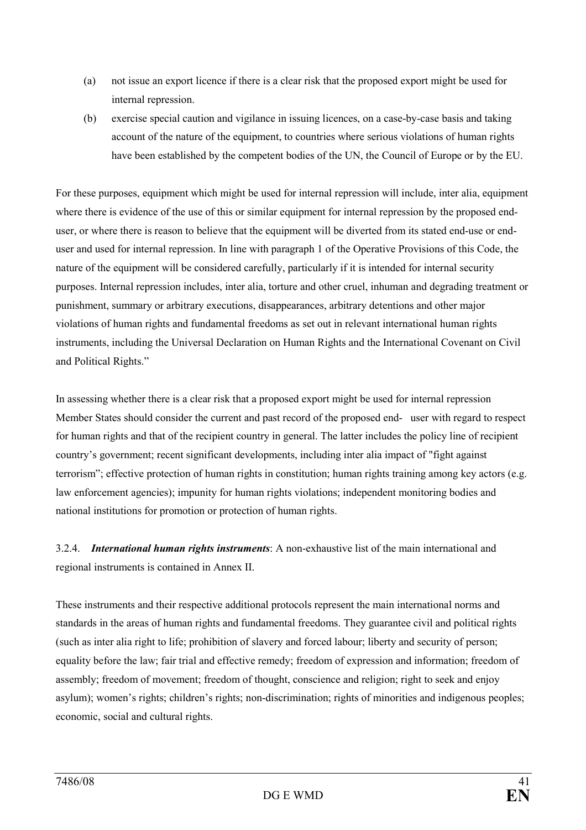- (a) not issue an export licence if there is a clear risk that the proposed export might be used for internal repression.
- (b) exercise special caution and vigilance in issuing licences, on a case-by-case basis and taking account of the nature of the equipment, to countries where serious violations of human rights have been established by the competent bodies of the UN, the Council of Europe or by the EU.

For these purposes, equipment which might be used for internal repression will include, inter alia, equipment where there is evidence of the use of this or similar equipment for internal repression by the proposed enduser, or where there is reason to believe that the equipment will be diverted from its stated end-use or enduser and used for internal repression. In line with paragraph 1 of the Operative Provisions of this Code, the nature of the equipment will be considered carefully, particularly if it is intended for internal security purposes. Internal repression includes, inter alia, torture and other cruel, inhuman and degrading treatment or punishment, summary or arbitrary executions, disappearances, arbitrary detentions and other major violations of human rights and fundamental freedoms as set out in relevant international human rights instruments, including the Universal Declaration on Human Rights and the International Covenant on Civil and Political Rights."

In assessing whether there is a clear risk that a proposed export might be used for internal repression Member States should consider the current and past record of the proposed end- user with regard to respect for human rights and that of the recipient country in general. The latter includes the policy line of recipient country's government; recent significant developments, including inter alia impact of "fight against terrorism"; effective protection of human rights in constitution; human rights training among key actors (e.g. law enforcement agencies); impunity for human rights violations; independent monitoring bodies and national institutions for promotion or protection of human rights.

3.2.4. International human rights instruments: A non-exhaustive list of the main international and regional instruments is contained in Annex II.

These instruments and their respective additional protocols represent the main international norms and standards in the areas of human rights and fundamental freedoms. They guarantee civil and political rights (such as inter alia right to life; prohibition of slavery and forced labour; liberty and security of person; equality before the law; fair trial and effective remedy; freedom of expression and information; freedom of assembly; freedom of movement; freedom of thought, conscience and religion; right to seek and enjoy asylum); women's rights; children's rights; non-discrimination; rights of minorities and indigenous peoples; economic, social and cultural rights.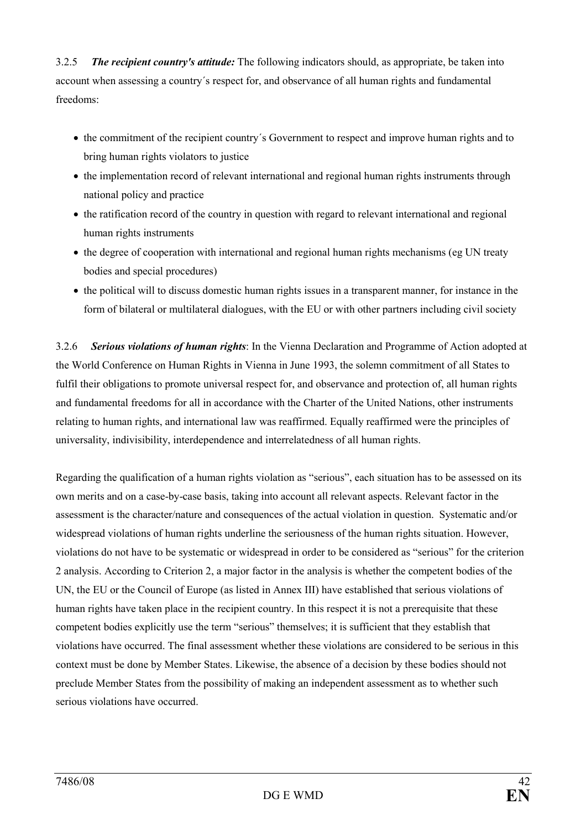3.2.5 The recipient country's attitude: The following indicators should, as appropriate, be taken into account when assessing a country´s respect for, and observance of all human rights and fundamental freedoms:

- the commitment of the recipient country´s Government to respect and improve human rights and to bring human rights violators to justice
- the implementation record of relevant international and regional human rights instruments through national policy and practice
- the ratification record of the country in question with regard to relevant international and regional human rights instruments
- the degree of cooperation with international and regional human rights mechanisms (eg UN treaty bodies and special procedures)
- the political will to discuss domestic human rights issues in a transparent manner, for instance in the form of bilateral or multilateral dialogues, with the EU or with other partners including civil society

3.2.6 Serious violations of human rights: In the Vienna Declaration and Programme of Action adopted at the World Conference on Human Rights in Vienna in June 1993, the solemn commitment of all States to fulfil their obligations to promote universal respect for, and observance and protection of, all human rights and fundamental freedoms for all in accordance with the Charter of the United Nations, other instruments relating to human rights, and international law was reaffirmed. Equally reaffirmed were the principles of universality, indivisibility, interdependence and interrelatedness of all human rights.

Regarding the qualification of a human rights violation as "serious", each situation has to be assessed on its own merits and on a case-by-case basis, taking into account all relevant aspects. Relevant factor in the assessment is the character/nature and consequences of the actual violation in question. Systematic and/or widespread violations of human rights underline the seriousness of the human rights situation. However, violations do not have to be systematic or widespread in order to be considered as "serious" for the criterion 2 analysis. According to Criterion 2, a major factor in the analysis is whether the competent bodies of the UN, the EU or the Council of Europe (as listed in Annex III) have established that serious violations of human rights have taken place in the recipient country. In this respect it is not a prerequisite that these competent bodies explicitly use the term "serious" themselves; it is sufficient that they establish that violations have occurred. The final assessment whether these violations are considered to be serious in this context must be done by Member States. Likewise, the absence of a decision by these bodies should not preclude Member States from the possibility of making an independent assessment as to whether such serious violations have occurred.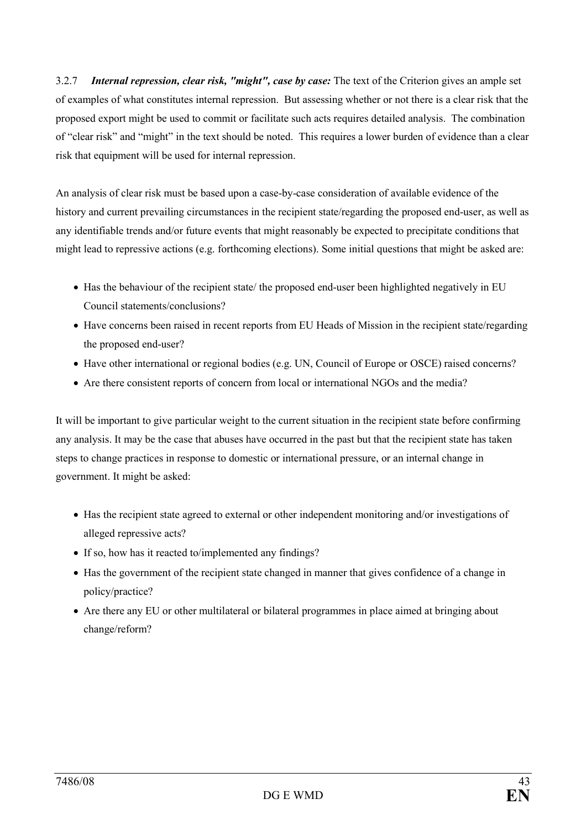3.2.7 Internal repression, clear risk, "might", case by case: The text of the Criterion gives an ample set of examples of what constitutes internal repression. But assessing whether or not there is a clear risk that the proposed export might be used to commit or facilitate such acts requires detailed analysis. The combination of "clear risk" and "might" in the text should be noted. This requires a lower burden of evidence than a clear risk that equipment will be used for internal repression.

An analysis of clear risk must be based upon a case-by-case consideration of available evidence of the history and current prevailing circumstances in the recipient state/regarding the proposed end-user, as well as any identifiable trends and/or future events that might reasonably be expected to precipitate conditions that might lead to repressive actions (e.g. forthcoming elections). Some initial questions that might be asked are:

- Has the behaviour of the recipient state/ the proposed end-user been highlighted negatively in EU Council statements/conclusions?
- Have concerns been raised in recent reports from EU Heads of Mission in the recipient state/regarding the proposed end-user?
- Have other international or regional bodies (e.g. UN, Council of Europe or OSCE) raised concerns?
- Are there consistent reports of concern from local or international NGOs and the media?

It will be important to give particular weight to the current situation in the recipient state before confirming any analysis. It may be the case that abuses have occurred in the past but that the recipient state has taken steps to change practices in response to domestic or international pressure, or an internal change in government. It might be asked:

- Has the recipient state agreed to external or other independent monitoring and/or investigations of alleged repressive acts?
- If so, how has it reacted to/implemented any findings?
- Has the government of the recipient state changed in manner that gives confidence of a change in policy/practice?
- Are there any EU or other multilateral or bilateral programmes in place aimed at bringing about change/reform?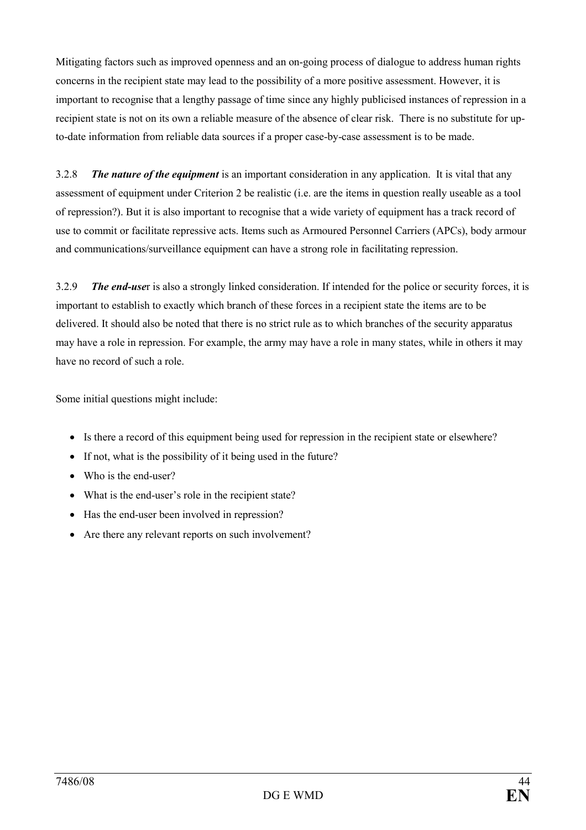Mitigating factors such as improved openness and an on-going process of dialogue to address human rights concerns in the recipient state may lead to the possibility of a more positive assessment. However, it is important to recognise that a lengthy passage of time since any highly publicised instances of repression in a recipient state is not on its own a reliable measure of the absence of clear risk. There is no substitute for upto-date information from reliable data sources if a proper case-by-case assessment is to be made.

3.2.8 The nature of the equipment is an important consideration in any application. It is vital that any assessment of equipment under Criterion 2 be realistic (i.e. are the items in question really useable as a tool of repression?). But it is also important to recognise that a wide variety of equipment has a track record of use to commit or facilitate repressive acts. Items such as Armoured Personnel Carriers (APCs), body armour and communications/surveillance equipment can have a strong role in facilitating repression.

3.2.9 The end-user is also a strongly linked consideration. If intended for the police or security forces, it is important to establish to exactly which branch of these forces in a recipient state the items are to be delivered. It should also be noted that there is no strict rule as to which branches of the security apparatus may have a role in repression. For example, the army may have a role in many states, while in others it may have no record of such a role.

Some initial questions might include:

- Is there a record of this equipment being used for repression in the recipient state or elsewhere?
- If not, what is the possibility of it being used in the future?
- Who is the end-user?
- What is the end-user's role in the recipient state?
- Has the end-user been involved in repression?
- Are there any relevant reports on such involvement?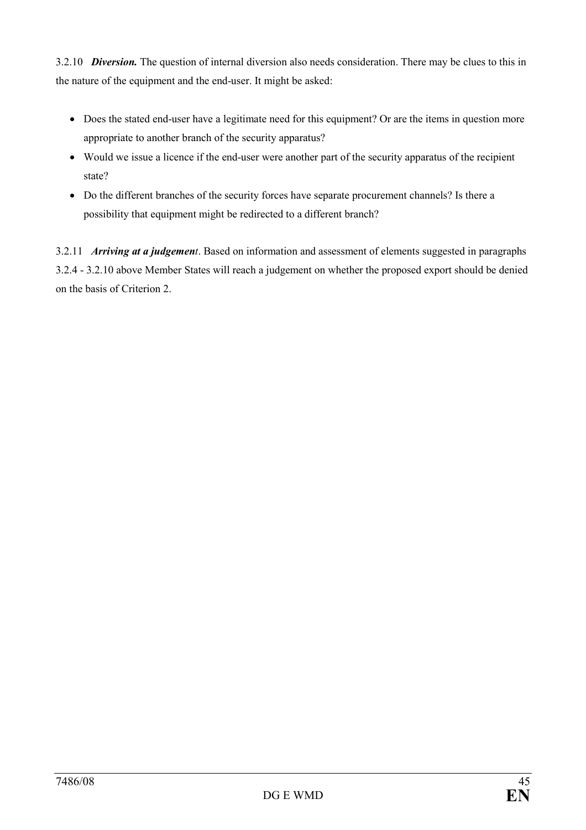3.2.10 *Diversion*. The question of internal diversion also needs consideration. There may be clues to this in the nature of the equipment and the end-user. It might be asked:

- Does the stated end-user have a legitimate need for this equipment? Or are the items in question more appropriate to another branch of the security apparatus?
- Would we issue a licence if the end-user were another part of the security apparatus of the recipient state?
- Do the different branches of the security forces have separate procurement channels? Is there a possibility that equipment might be redirected to a different branch?

3.2.11 Arriving at a judgement. Based on information and assessment of elements suggested in paragraphs 3.2.4 - 3.2.10 above Member States will reach a judgement on whether the proposed export should be denied on the basis of Criterion 2.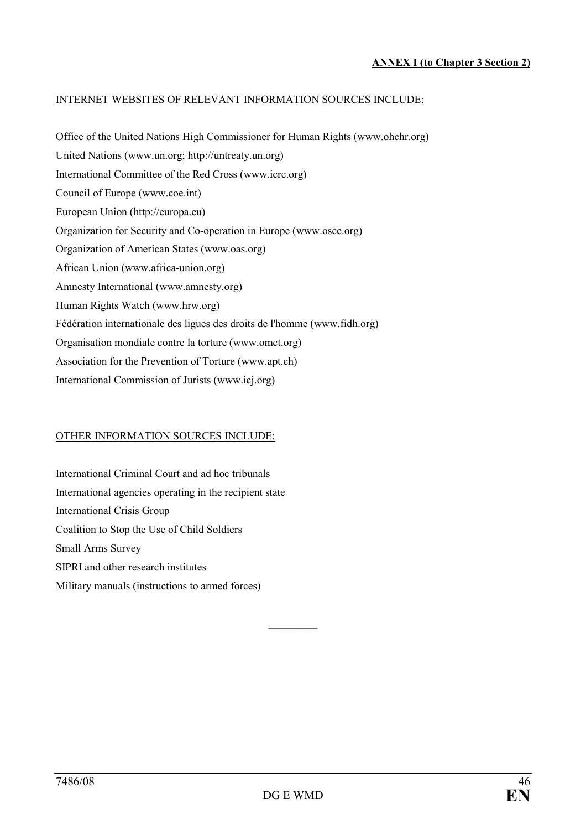#### INTERNET WEBSITES OF RELEVANT INFORMATION SOURCES INCLUDE:

Office of the United Nations High Commissioner for Human Rights (www.ohchr.org) United Nations (www.un.org; http://untreaty.un.org) International Committee of the Red Cross (www.icrc.org) Council of Europe (www.coe.int) European Union (http://europa.eu) Organization for Security and Co-operation in Europe (www.osce.org) Organization of American States (www.oas.org) African Union (www.africa-union.org) Amnesty International (www.amnesty.org) Human Rights Watch (www.hrw.org) Fédération internationale des ligues des droits de l'homme (www.fidh.org) Organisation mondiale contre la torture (www.omct.org) Association for the Prevention of Torture (www.apt.ch) International Commission of Jurists (www.icj.org)

#### OTHER INFORMATION SOURCES INCLUDE:

International Criminal Court and ad hoc tribunals International agencies operating in the recipient state International Crisis Group Coalition to Stop the Use of Child Soldiers Small Arms Survey SIPRI and other research institutes Military manuals (instructions to armed forces)

 $\overline{\phantom{a}}$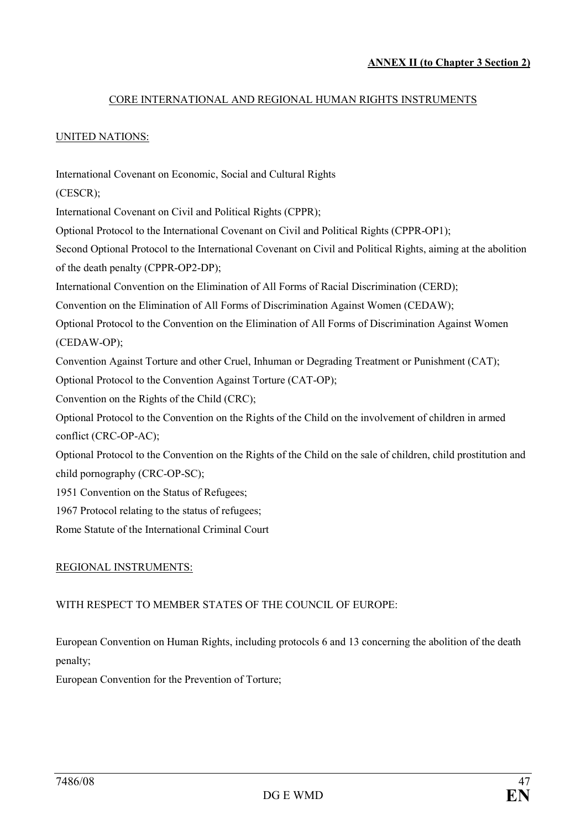#### CORE INTERNATIONAL AND REGIONAL HUMAN RIGHTS INSTRUMENTS

#### UNITED NATIONS:

International Covenant on Economic, Social and Cultural Rights (CESCR); International Covenant on Civil and Political Rights (CPPR); Optional Protocol to the International Covenant on Civil and Political Rights (CPPR-OP1); Second Optional Protocol to the International Covenant on Civil and Political Rights, aiming at the abolition of the death penalty (CPPR-OP2-DP); International Convention on the Elimination of All Forms of Racial Discrimination (CERD); Convention on the Elimination of All Forms of Discrimination Against Women (CEDAW); Optional Protocol to the Convention on the Elimination of All Forms of Discrimination Against Women (CEDAW-OP); Convention Against Torture and other Cruel, Inhuman or Degrading Treatment or Punishment (CAT); Optional Protocol to the Convention Against Torture (CAT-OP); Convention on the Rights of the Child (CRC); Optional Protocol to the Convention on the Rights of the Child on the involvement of children in armed conflict (CRC-OP-AC); Optional Protocol to the Convention on the Rights of the Child on the sale of children, child prostitution and child pornography (CRC-OP-SC); 1951 Convention on the Status of Refugees; 1967 Protocol relating to the status of refugees; Rome Statute of the International Criminal Court

#### REGIONAL INSTRUMENTS:

#### WITH RESPECT TO MEMBER STATES OF THE COUNCIL OF EUROPE:

European Convention on Human Rights, including protocols 6 and 13 concerning the abolition of the death penalty;

European Convention for the Prevention of Torture;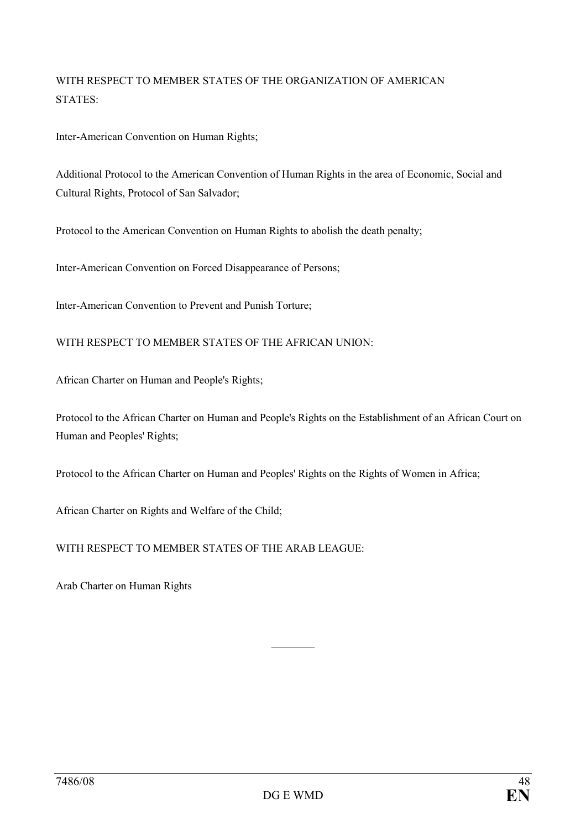## WITH RESPECT TO MEMBER STATES OF THE ORGANIZATION OF AMERICAN STATES:

Inter-American Convention on Human Rights;

Additional Protocol to the American Convention of Human Rights in the area of Economic, Social and Cultural Rights, Protocol of San Salvador;

Protocol to the American Convention on Human Rights to abolish the death penalty;

Inter-American Convention on Forced Disappearance of Persons;

Inter-American Convention to Prevent and Punish Torture;

WITH RESPECT TO MEMBER STATES OF THE AFRICAN UNION:

African Charter on Human and People's Rights;

Protocol to the African Charter on Human and People's Rights on the Establishment of an African Court on Human and Peoples' Rights;

Protocol to the African Charter on Human and Peoples' Rights on the Rights of Women in Africa;

African Charter on Rights and Welfare of the Child;

WITH RESPECT TO MEMBER STATES OF THE ARAB LEAGUE:

Arab Charter on Human Rights

 $\frac{1}{2}$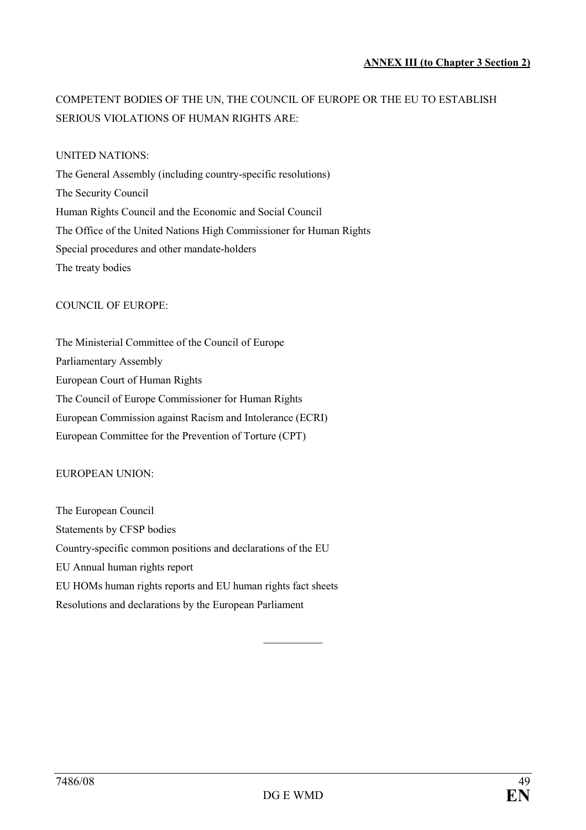## COMPETENT BODIES OF THE UN, THE COUNCIL OF EUROPE OR THE EU TO ESTABLISH SERIOUS VIOLATIONS OF HUMAN RIGHTS ARE:

#### UNITED NATIONS:

The General Assembly (including country-specific resolutions) The Security Council Human Rights Council and the Economic and Social Council The Office of the United Nations High Commissioner for Human Rights Special procedures and other mandate-holders The treaty bodies

#### COUNCIL OF EUROPE:

The Ministerial Committee of the Council of Europe Parliamentary Assembly European Court of Human Rights The Council of Europe Commissioner for Human Rights European Commission against Racism and Intolerance (ECRI) European Committee for the Prevention of Torture (CPT)

#### EUROPEAN UNION:

The European Council Statements by CFSP bodies Country-specific common positions and declarations of the EU EU Annual human rights report EU HOMs human rights reports and EU human rights fact sheets Resolutions and declarations by the European Parliament

 $\frac{1}{2}$  ,  $\frac{1}{2}$  ,  $\frac{1}{2}$  ,  $\frac{1}{2}$  ,  $\frac{1}{2}$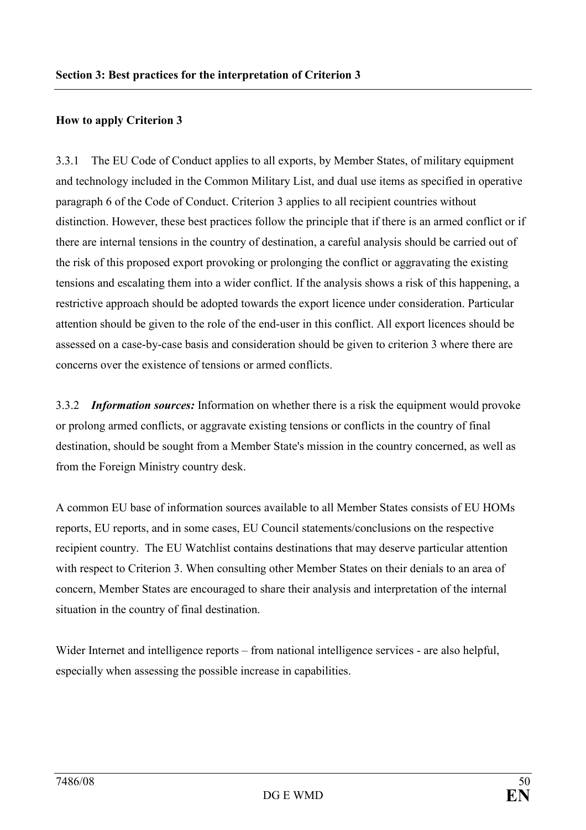#### How to apply Criterion 3

3.3.1 The EU Code of Conduct applies to all exports, by Member States, of military equipment and technology included in the Common Military List, and dual use items as specified in operative paragraph 6 of the Code of Conduct. Criterion 3 applies to all recipient countries without distinction. However, these best practices follow the principle that if there is an armed conflict or if there are internal tensions in the country of destination, a careful analysis should be carried out of the risk of this proposed export provoking or prolonging the conflict or aggravating the existing tensions and escalating them into a wider conflict. If the analysis shows a risk of this happening, a restrictive approach should be adopted towards the export licence under consideration. Particular attention should be given to the role of the end-user in this conflict. All export licences should be assessed on a case-by-case basis and consideration should be given to criterion 3 where there are concerns over the existence of tensions or armed conflicts.

3.3.2 Information sources: Information on whether there is a risk the equipment would provoke or prolong armed conflicts, or aggravate existing tensions or conflicts in the country of final destination, should be sought from a Member State's mission in the country concerned, as well as from the Foreign Ministry country desk.

A common EU base of information sources available to all Member States consists of EU HOMs reports, EU reports, and in some cases, EU Council statements/conclusions on the respective recipient country. The EU Watchlist contains destinations that may deserve particular attention with respect to Criterion 3. When consulting other Member States on their denials to an area of concern, Member States are encouraged to share their analysis and interpretation of the internal situation in the country of final destination.

Wider Internet and intelligence reports – from national intelligence services - are also helpful, especially when assessing the possible increase in capabilities.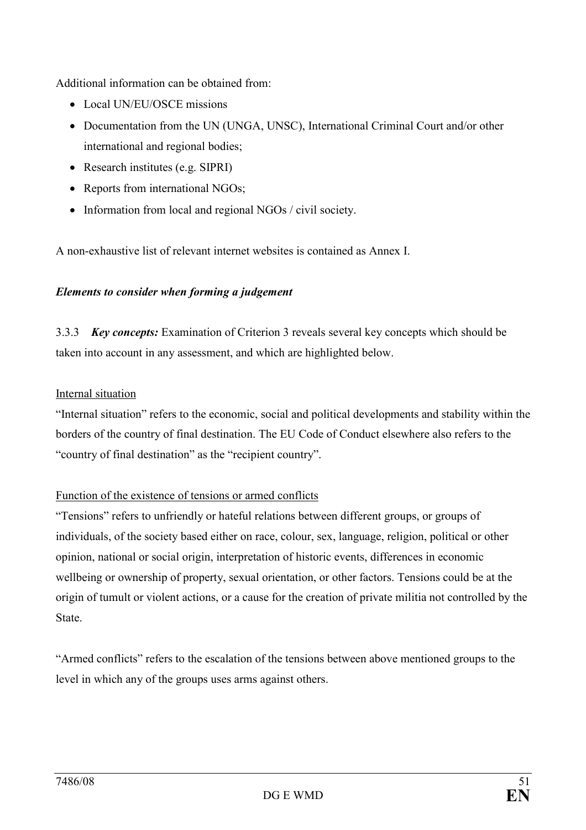Additional information can be obtained from:

- Local UN/EU/OSCE missions
- Documentation from the UN (UNGA, UNSC), International Criminal Court and/or other international and regional bodies;
- Research institutes (e.g. SIPRI)
- Reports from international NGOs;
- Information from local and regional NGOs / civil society.

A non-exhaustive list of relevant internet websites is contained as Annex I.

#### Elements to consider when forming a judgement

3.3.3 Key concepts: Examination of Criterion 3 reveals several key concepts which should be taken into account in any assessment, and which are highlighted below.

#### Internal situation

"Internal situation" refers to the economic, social and political developments and stability within the borders of the country of final destination. The EU Code of Conduct elsewhere also refers to the "country of final destination" as the "recipient country".

## Function of the existence of tensions or armed conflicts

"Tensions" refers to unfriendly or hateful relations between different groups, or groups of individuals, of the society based either on race, colour, sex, language, religion, political or other opinion, national or social origin, interpretation of historic events, differences in economic wellbeing or ownership of property, sexual orientation, or other factors. Tensions could be at the origin of tumult or violent actions, or a cause for the creation of private militia not controlled by the State.

"Armed conflicts" refers to the escalation of the tensions between above mentioned groups to the level in which any of the groups uses arms against others.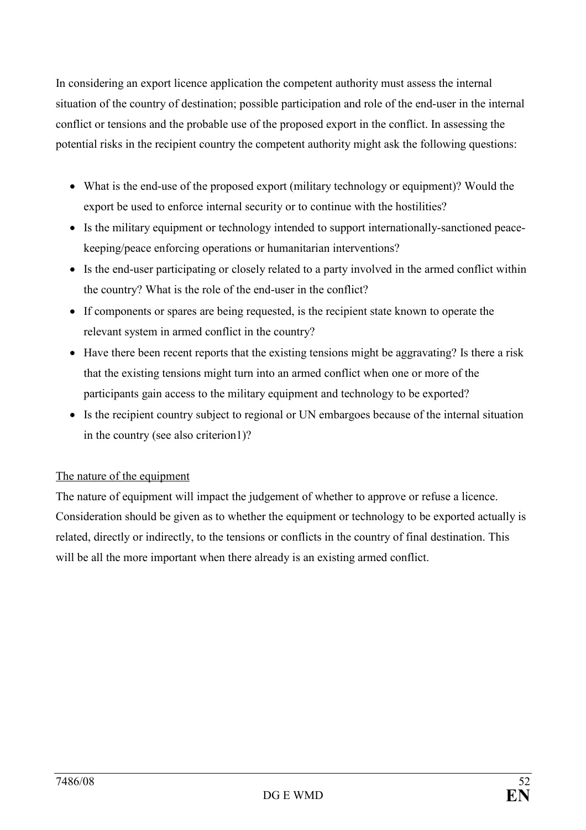In considering an export licence application the competent authority must assess the internal situation of the country of destination; possible participation and role of the end-user in the internal conflict or tensions and the probable use of the proposed export in the conflict. In assessing the potential risks in the recipient country the competent authority might ask the following questions:

- What is the end-use of the proposed export (military technology or equipment)? Would the export be used to enforce internal security or to continue with the hostilities?
- Is the military equipment or technology intended to support internationally-sanctioned peacekeeping/peace enforcing operations or humanitarian interventions?
- Is the end-user participating or closely related to a party involved in the armed conflict within the country? What is the role of the end-user in the conflict?
- If components or spares are being requested, is the recipient state known to operate the relevant system in armed conflict in the country?
- Have there been recent reports that the existing tensions might be aggravating? Is there a risk that the existing tensions might turn into an armed conflict when one or more of the participants gain access to the military equipment and technology to be exported?
- Is the recipient country subject to regional or UN embargoes because of the internal situation in the country (see also criterion1)?

## The nature of the equipment

The nature of equipment will impact the judgement of whether to approve or refuse a licence. Consideration should be given as to whether the equipment or technology to be exported actually is related, directly or indirectly, to the tensions or conflicts in the country of final destination. This will be all the more important when there already is an existing armed conflict.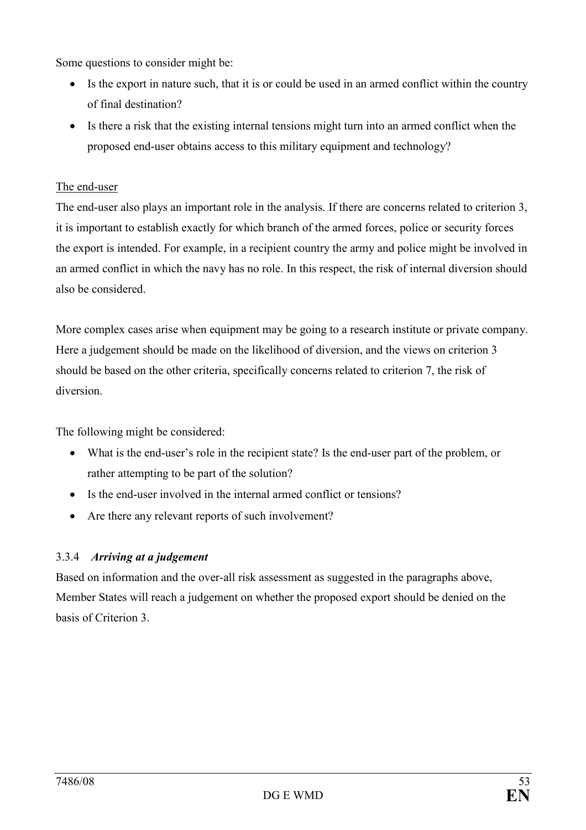Some questions to consider might be:

- Is the export in nature such, that it is or could be used in an armed conflict within the country of final destination?
- Is there a risk that the existing internal tensions might turn into an armed conflict when the proposed end-user obtains access to this military equipment and technology?

## The end-user

The end-user also plays an important role in the analysis. If there are concerns related to criterion 3, it is important to establish exactly for which branch of the armed forces, police or security forces the export is intended. For example, in a recipient country the army and police might be involved in an armed conflict in which the navy has no role. In this respect, the risk of internal diversion should also be considered.

More complex cases arise when equipment may be going to a research institute or private company. Here a judgement should be made on the likelihood of diversion, and the views on criterion 3 should be based on the other criteria, specifically concerns related to criterion 7, the risk of diversion.

The following might be considered:

- What is the end-user's role in the recipient state? Is the end-user part of the problem, or rather attempting to be part of the solution?
- Is the end-user involved in the internal armed conflict or tensions?
- Are there any relevant reports of such involvement?

## 3.3.4 Arriving at a judgement

Based on information and the over-all risk assessment as suggested in the paragraphs above, Member States will reach a judgement on whether the proposed export should be denied on the basis of Criterion 3.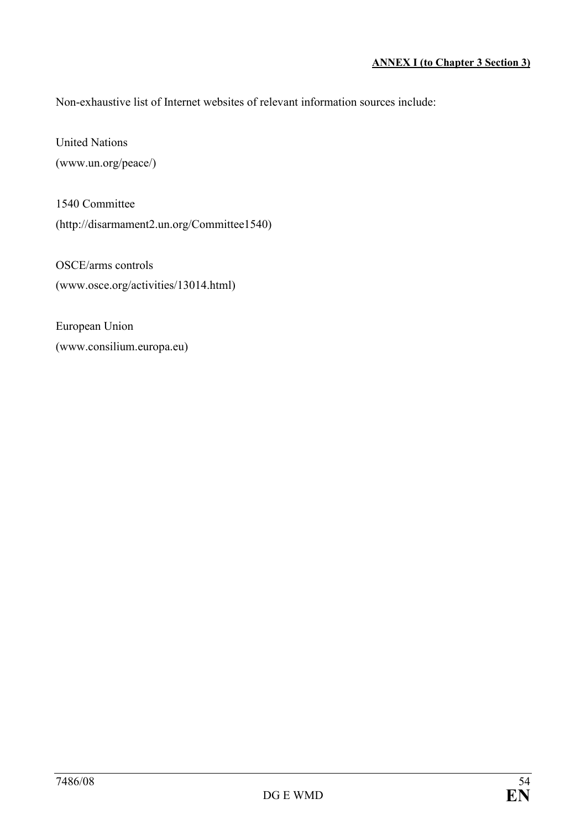Non-exhaustive list of Internet websites of relevant information sources include:

United Nations (www.un.org/peace/)

1540 Committee (http://disarmament2.un.org/Committee1540)

OSCE/arms controls (www.osce.org/activities/13014.html)

European Union (www.consilium.europa.eu)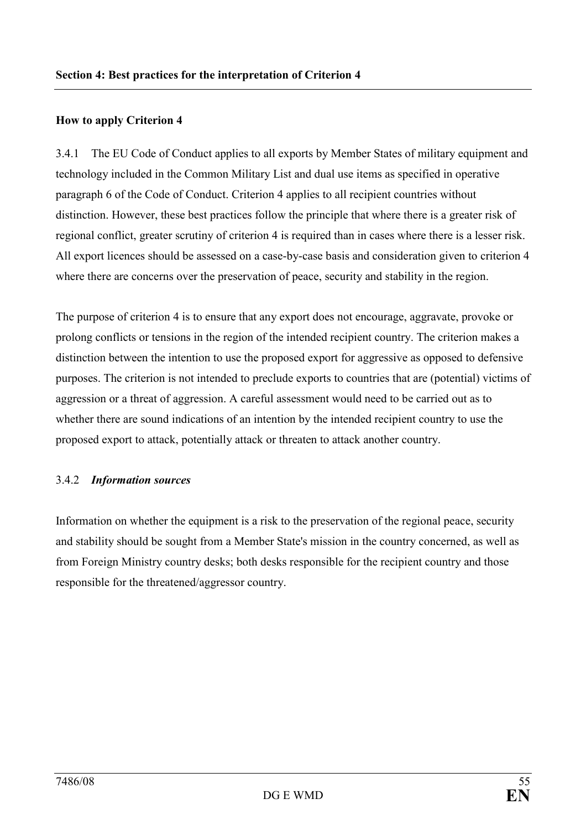#### How to apply Criterion 4

3.4.1 The EU Code of Conduct applies to all exports by Member States of military equipment and technology included in the Common Military List and dual use items as specified in operative paragraph 6 of the Code of Conduct. Criterion 4 applies to all recipient countries without distinction. However, these best practices follow the principle that where there is a greater risk of regional conflict, greater scrutiny of criterion 4 is required than in cases where there is a lesser risk. All export licences should be assessed on a case-by-case basis and consideration given to criterion 4 where there are concerns over the preservation of peace, security and stability in the region.

The purpose of criterion 4 is to ensure that any export does not encourage, aggravate, provoke or prolong conflicts or tensions in the region of the intended recipient country. The criterion makes a distinction between the intention to use the proposed export for aggressive as opposed to defensive purposes. The criterion is not intended to preclude exports to countries that are (potential) victims of aggression or a threat of aggression. A careful assessment would need to be carried out as to whether there are sound indications of an intention by the intended recipient country to use the proposed export to attack, potentially attack or threaten to attack another country.

#### 3.4.2 Information sources

Information on whether the equipment is a risk to the preservation of the regional peace, security and stability should be sought from a Member State's mission in the country concerned, as well as from Foreign Ministry country desks; both desks responsible for the recipient country and those responsible for the threatened/aggressor country.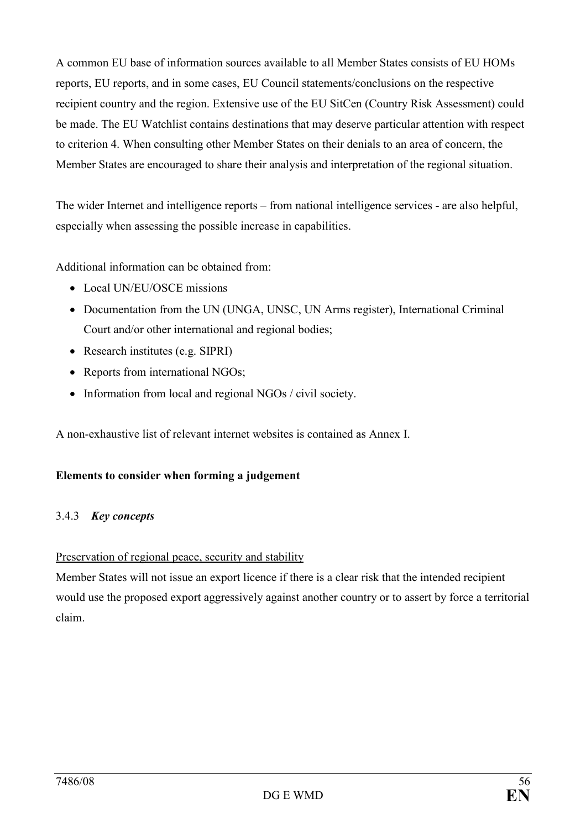A common EU base of information sources available to all Member States consists of EU HOMs reports, EU reports, and in some cases, EU Council statements/conclusions on the respective recipient country and the region. Extensive use of the EU SitCen (Country Risk Assessment) could be made. The EU Watchlist contains destinations that may deserve particular attention with respect to criterion 4. When consulting other Member States on their denials to an area of concern, the Member States are encouraged to share their analysis and interpretation of the regional situation.

The wider Internet and intelligence reports – from national intelligence services - are also helpful, especially when assessing the possible increase in capabilities.

Additional information can be obtained from:

- Local UN/EU/OSCE missions
- Documentation from the UN (UNGA, UNSC, UN Arms register), International Criminal Court and/or other international and regional bodies;
- Research institutes (e.g. SIPRI)
- Reports from international NGOs;
- Information from local and regional NGOs / civil society.

A non-exhaustive list of relevant internet websites is contained as Annex I.

#### Elements to consider when forming a judgement

#### 3.4.3 Key concepts

#### Preservation of regional peace, security and stability

Member States will not issue an export licence if there is a clear risk that the intended recipient would use the proposed export aggressively against another country or to assert by force a territorial claim.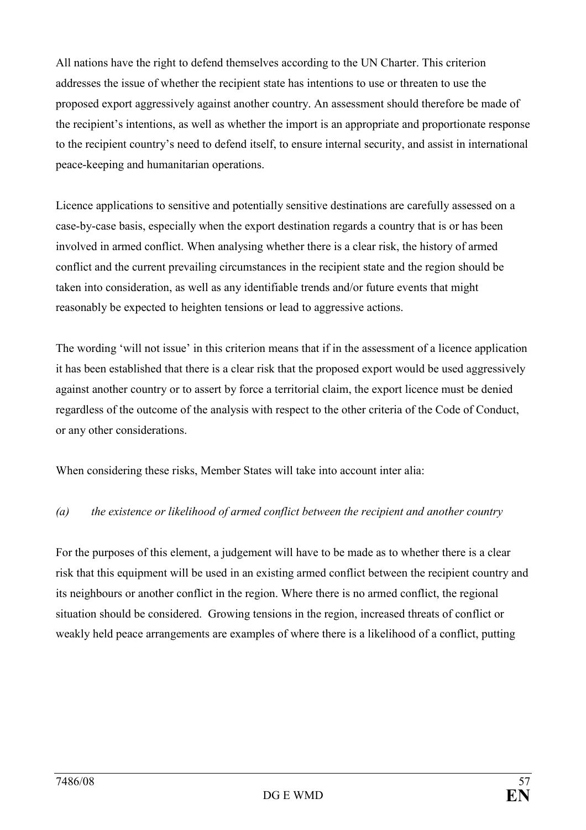All nations have the right to defend themselves according to the UN Charter. This criterion addresses the issue of whether the recipient state has intentions to use or threaten to use the proposed export aggressively against another country. An assessment should therefore be made of the recipient's intentions, as well as whether the import is an appropriate and proportionate response to the recipient country's need to defend itself, to ensure internal security, and assist in international peace-keeping and humanitarian operations.

Licence applications to sensitive and potentially sensitive destinations are carefully assessed on a case-by-case basis, especially when the export destination regards a country that is or has been involved in armed conflict. When analysing whether there is a clear risk, the history of armed conflict and the current prevailing circumstances in the recipient state and the region should be taken into consideration, as well as any identifiable trends and/or future events that might reasonably be expected to heighten tensions or lead to aggressive actions.

The wording 'will not issue' in this criterion means that if in the assessment of a licence application it has been established that there is a clear risk that the proposed export would be used aggressively against another country or to assert by force a territorial claim, the export licence must be denied regardless of the outcome of the analysis with respect to the other criteria of the Code of Conduct, or any other considerations.

When considering these risks, Member States will take into account inter alia:

## (a) the existence or likelihood of armed conflict between the recipient and another country

For the purposes of this element, a judgement will have to be made as to whether there is a clear risk that this equipment will be used in an existing armed conflict between the recipient country and its neighbours or another conflict in the region. Where there is no armed conflict, the regional situation should be considered. Growing tensions in the region, increased threats of conflict or weakly held peace arrangements are examples of where there is a likelihood of a conflict, putting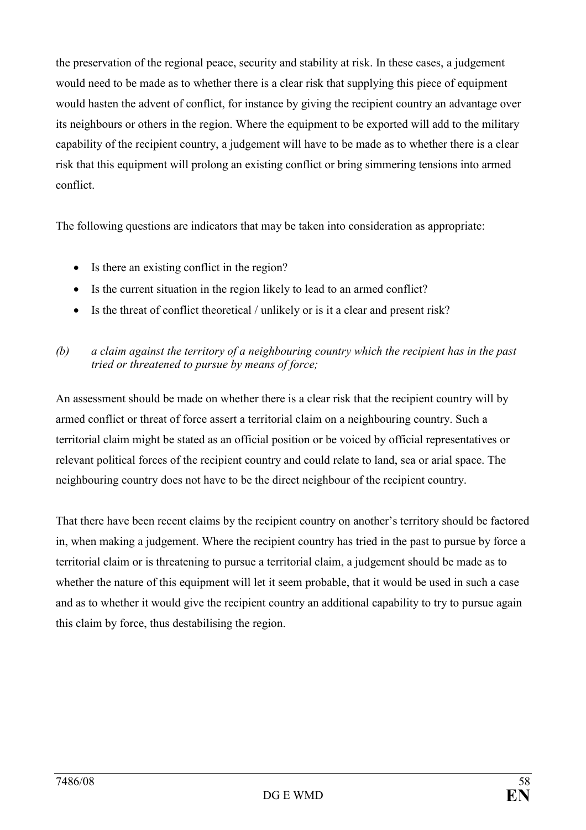the preservation of the regional peace, security and stability at risk. In these cases, a judgement would need to be made as to whether there is a clear risk that supplying this piece of equipment would hasten the advent of conflict, for instance by giving the recipient country an advantage over its neighbours or others in the region. Where the equipment to be exported will add to the military capability of the recipient country, a judgement will have to be made as to whether there is a clear risk that this equipment will prolong an existing conflict or bring simmering tensions into armed conflict.

The following questions are indicators that may be taken into consideration as appropriate:

- Is there an existing conflict in the region?
- Is the current situation in the region likely to lead to an armed conflict?
- Is the threat of conflict theoretical / unlikely or is it a clear and present risk?

## (b) a claim against the territory of a neighbouring country which the recipient has in the past tried or threatened to pursue by means of force;

An assessment should be made on whether there is a clear risk that the recipient country will by armed conflict or threat of force assert a territorial claim on a neighbouring country. Such a territorial claim might be stated as an official position or be voiced by official representatives or relevant political forces of the recipient country and could relate to land, sea or arial space. The neighbouring country does not have to be the direct neighbour of the recipient country.

That there have been recent claims by the recipient country on another's territory should be factored in, when making a judgement. Where the recipient country has tried in the past to pursue by force a territorial claim or is threatening to pursue a territorial claim, a judgement should be made as to whether the nature of this equipment will let it seem probable, that it would be used in such a case and as to whether it would give the recipient country an additional capability to try to pursue again this claim by force, thus destabilising the region.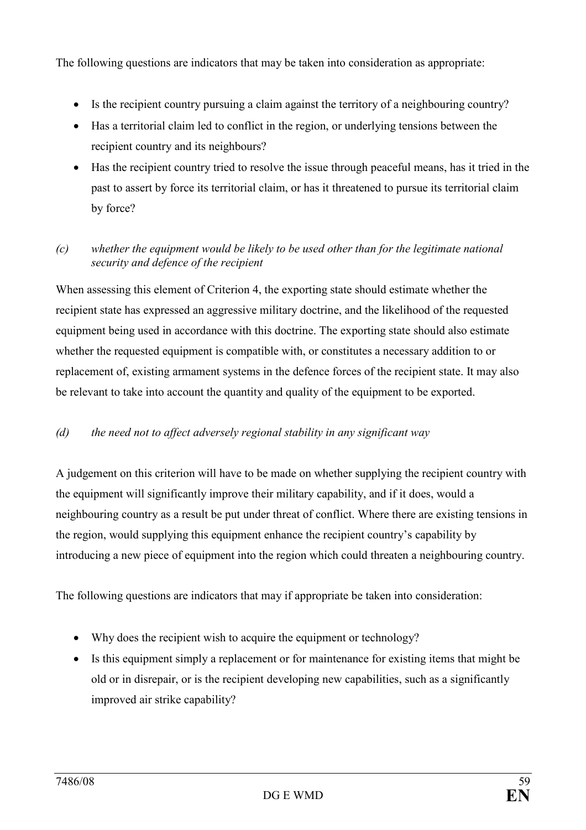The following questions are indicators that may be taken into consideration as appropriate:

- Is the recipient country pursuing a claim against the territory of a neighbouring country?
- Has a territorial claim led to conflict in the region, or underlying tensions between the recipient country and its neighbours?
- Has the recipient country tried to resolve the issue through peaceful means, has it tried in the past to assert by force its territorial claim, or has it threatened to pursue its territorial claim by force?

## (c) whether the equipment would be likely to be used other than for the legitimate national security and defence of the recipient

When assessing this element of Criterion 4, the exporting state should estimate whether the recipient state has expressed an aggressive military doctrine, and the likelihood of the requested equipment being used in accordance with this doctrine. The exporting state should also estimate whether the requested equipment is compatible with, or constitutes a necessary addition to or replacement of, existing armament systems in the defence forces of the recipient state. It may also be relevant to take into account the quantity and quality of the equipment to be exported.

## (d) the need not to affect adversely regional stability in any significant way

A judgement on this criterion will have to be made on whether supplying the recipient country with the equipment will significantly improve their military capability, and if it does, would a neighbouring country as a result be put under threat of conflict. Where there are existing tensions in the region, would supplying this equipment enhance the recipient country's capability by introducing a new piece of equipment into the region which could threaten a neighbouring country.

The following questions are indicators that may if appropriate be taken into consideration:

- Why does the recipient wish to acquire the equipment or technology?
- Is this equipment simply a replacement or for maintenance for existing items that might be old or in disrepair, or is the recipient developing new capabilities, such as a significantly improved air strike capability?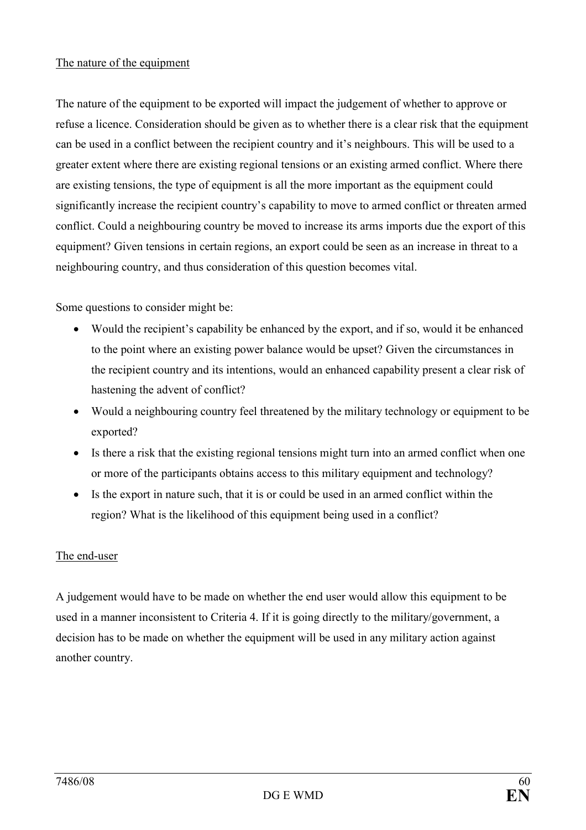#### The nature of the equipment

The nature of the equipment to be exported will impact the judgement of whether to approve or refuse a licence. Consideration should be given as to whether there is a clear risk that the equipment can be used in a conflict between the recipient country and it's neighbours. This will be used to a greater extent where there are existing regional tensions or an existing armed conflict. Where there are existing tensions, the type of equipment is all the more important as the equipment could significantly increase the recipient country's capability to move to armed conflict or threaten armed conflict. Could a neighbouring country be moved to increase its arms imports due the export of this equipment? Given tensions in certain regions, an export could be seen as an increase in threat to a neighbouring country, and thus consideration of this question becomes vital.

Some questions to consider might be:

- Would the recipient's capability be enhanced by the export, and if so, would it be enhanced to the point where an existing power balance would be upset? Given the circumstances in the recipient country and its intentions, would an enhanced capability present a clear risk of hastening the advent of conflict?
- Would a neighbouring country feel threatened by the military technology or equipment to be exported?
- Is there a risk that the existing regional tensions might turn into an armed conflict when one or more of the participants obtains access to this military equipment and technology?
- Is the export in nature such, that it is or could be used in an armed conflict within the region? What is the likelihood of this equipment being used in a conflict?

#### The end-user

A judgement would have to be made on whether the end user would allow this equipment to be used in a manner inconsistent to Criteria 4. If it is going directly to the military/government, a decision has to be made on whether the equipment will be used in any military action against another country.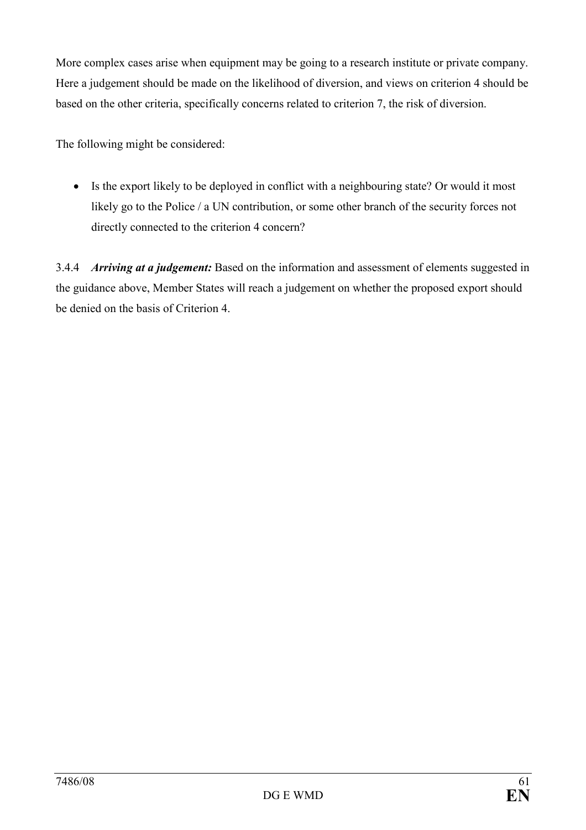More complex cases arise when equipment may be going to a research institute or private company. Here a judgement should be made on the likelihood of diversion, and views on criterion 4 should be based on the other criteria, specifically concerns related to criterion 7, the risk of diversion.

The following might be considered:

• Is the export likely to be deployed in conflict with a neighbouring state? Or would it most likely go to the Police / a UN contribution, or some other branch of the security forces not directly connected to the criterion 4 concern?

3.4.4 Arriving at a judgement: Based on the information and assessment of elements suggested in the guidance above, Member States will reach a judgement on whether the proposed export should be denied on the basis of Criterion 4.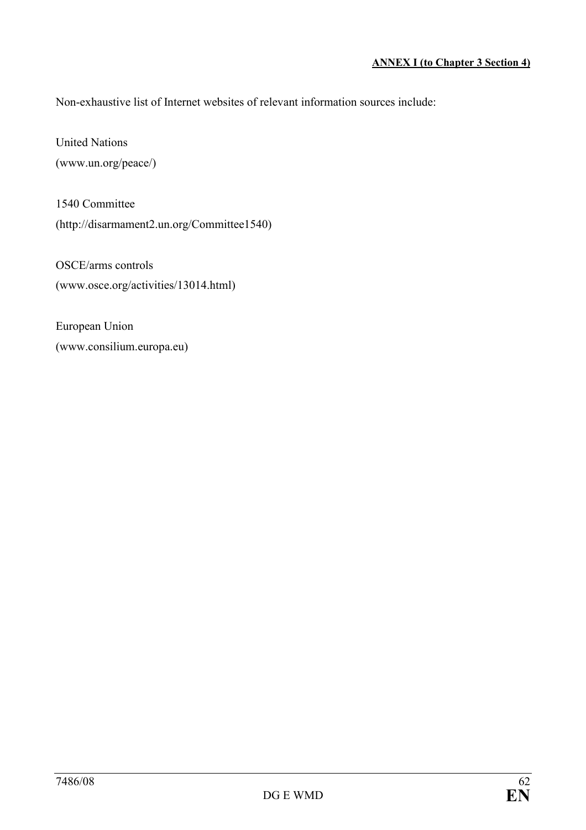Non-exhaustive list of Internet websites of relevant information sources include:

United Nations (www.un.org/peace/)

1540 Committee (http://disarmament2.un.org/Committee1540)

OSCE/arms controls (www.osce.org/activities/13014.html)

European Union (www.consilium.europa.eu)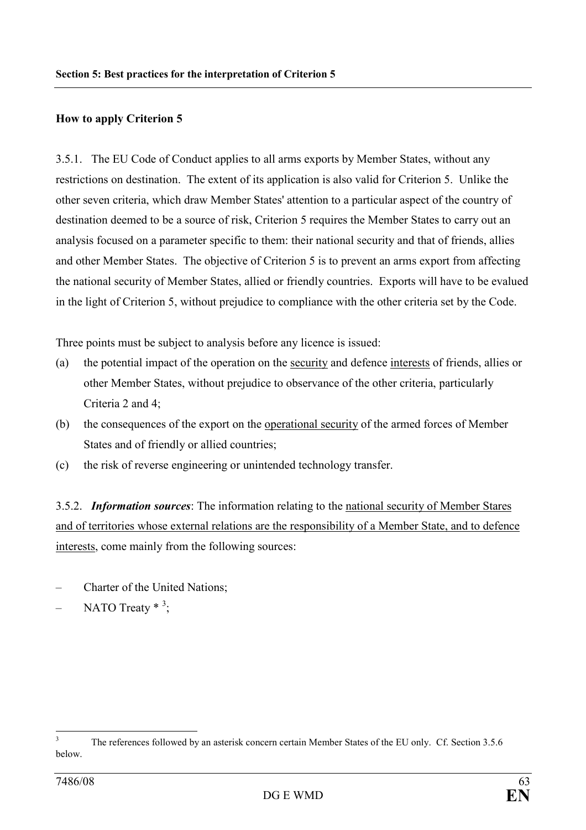#### How to apply Criterion 5

3.5.1. The EU Code of Conduct applies to all arms exports by Member States, without any restrictions on destination. The extent of its application is also valid for Criterion 5. Unlike the other seven criteria, which draw Member States' attention to a particular aspect of the country of destination deemed to be a source of risk, Criterion 5 requires the Member States to carry out an analysis focused on a parameter specific to them: their national security and that of friends, allies and other Member States. The objective of Criterion 5 is to prevent an arms export from affecting the national security of Member States, allied or friendly countries. Exports will have to be evalued in the light of Criterion 5, without prejudice to compliance with the other criteria set by the Code.

Three points must be subject to analysis before any licence is issued:

- (a) the potential impact of the operation on the security and defence interests of friends, allies or other Member States, without prejudice to observance of the other criteria, particularly Criteria 2 and 4;
- (b) the consequences of the export on the operational security of the armed forces of Member States and of friendly or allied countries;
- (c) the risk of reverse engineering or unintended technology transfer.

3.5.2. **Information sources**: The information relating to the national security of Member Stares and of territories whose external relations are the responsibility of a Member State, and to defence interests, come mainly from the following sources:

- Charter of the United Nations;
- $-$  NATO Treaty  $*$ <sup>3</sup>;

<sup>&</sup>lt;sup>2</sup><br>3 The references followed by an asterisk concern certain Member States of the EU only. Cf. Section 3.5.6 below.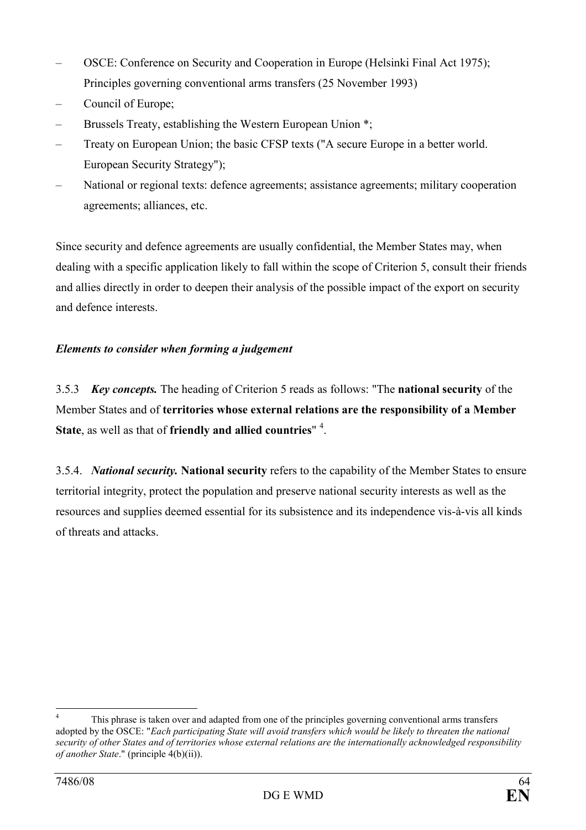- OSCE: Conference on Security and Cooperation in Europe (Helsinki Final Act 1975); Principles governing conventional arms transfers (25 November 1993)
- Council of Europe;
- Brussels Treaty, establishing the Western European Union \*;
- Treaty on European Union; the basic CFSP texts ("A secure Europe in a better world. European Security Strategy");
- National or regional texts: defence agreements; assistance agreements; military cooperation agreements; alliances, etc.

Since security and defence agreements are usually confidential, the Member States may, when dealing with a specific application likely to fall within the scope of Criterion 5, consult their friends and allies directly in order to deepen their analysis of the possible impact of the export on security and defence interests.

## Elements to consider when forming a judgement

3.5.3 Key concepts. The heading of Criterion 5 reads as follows: "The national security of the Member States and of territories whose external relations are the responsibility of a Member State, as well as that of friendly and allied countries"  $4$ .

3.5.4. National security. National security refers to the capability of the Member States to ensure territorial integrity, protect the population and preserve national security interests as well as the resources and supplies deemed essential for its subsistence and its independence vis-à-vis all kinds of threats and attacks.

 $\frac{1}{4}$  This phrase is taken over and adapted from one of the principles governing conventional arms transfers adopted by the OSCE: "Each participating State will avoid transfers which would be likely to threaten the national security of other States and of territories whose external relations are the internationally acknowledged responsibility of another State." (principle 4(b)(ii)).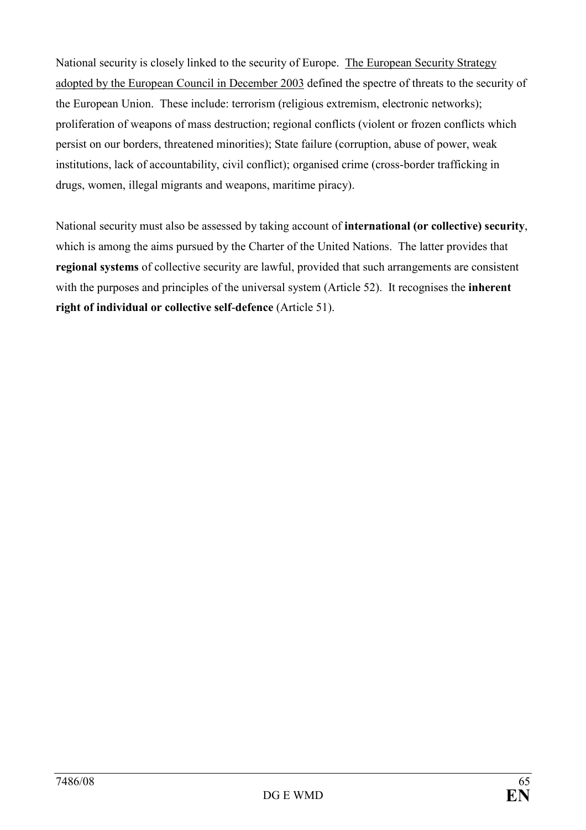National security is closely linked to the security of Europe. The European Security Strategy adopted by the European Council in December 2003 defined the spectre of threats to the security of the European Union. These include: terrorism (religious extremism, electronic networks); proliferation of weapons of mass destruction; regional conflicts (violent or frozen conflicts which persist on our borders, threatened minorities); State failure (corruption, abuse of power, weak institutions, lack of accountability, civil conflict); organised crime (cross-border trafficking in drugs, women, illegal migrants and weapons, maritime piracy).

National security must also be assessed by taking account of international (or collective) security, which is among the aims pursued by the Charter of the United Nations. The latter provides that regional systems of collective security are lawful, provided that such arrangements are consistent with the purposes and principles of the universal system (Article 52). It recognises the **inherent** right of individual or collective self-defence (Article 51).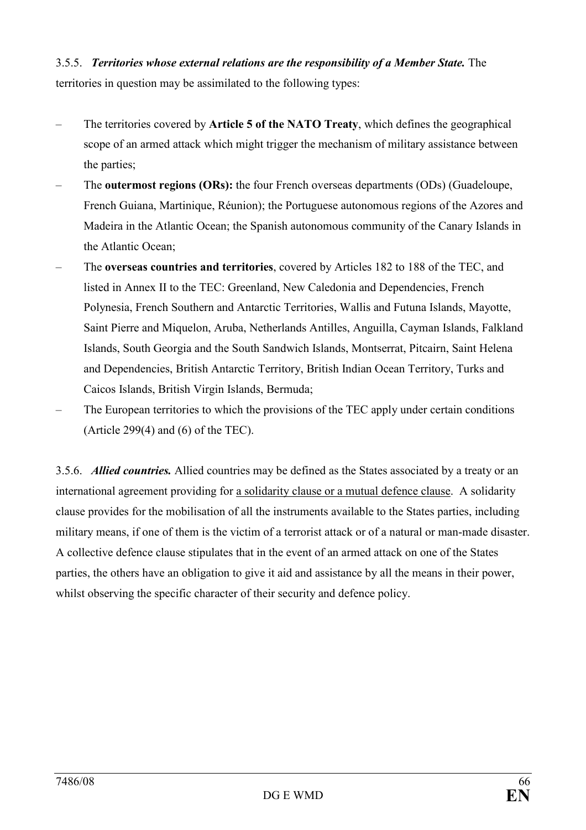3.5.5. Territories whose external relations are the responsibility of a Member State. The territories in question may be assimilated to the following types:

- The territories covered by Article 5 of the NATO Treaty, which defines the geographical scope of an armed attack which might trigger the mechanism of military assistance between the parties;
- The outermost regions (ORs): the four French overseas departments (ODs) (Guadeloupe, French Guiana, Martinique, Réunion); the Portuguese autonomous regions of the Azores and Madeira in the Atlantic Ocean; the Spanish autonomous community of the Canary Islands in the Atlantic Ocean;
- The overseas countries and territories, covered by Articles 182 to 188 of the TEC, and listed in Annex II to the TEC: Greenland, New Caledonia and Dependencies, French Polynesia, French Southern and Antarctic Territories, Wallis and Futuna Islands, Mayotte, Saint Pierre and Miquelon, Aruba, Netherlands Antilles, Anguilla, Cayman Islands, Falkland Islands, South Georgia and the South Sandwich Islands, Montserrat, Pitcairn, Saint Helena and Dependencies, British Antarctic Territory, British Indian Ocean Territory, Turks and Caicos Islands, British Virgin Islands, Bermuda;
- The European territories to which the provisions of the TEC apply under certain conditions (Article 299 $(4)$  and  $(6)$  of the TEC).

3.5.6. *Allied countries*. Allied countries may be defined as the States associated by a treaty or an international agreement providing for a solidarity clause or a mutual defence clause. A solidarity clause provides for the mobilisation of all the instruments available to the States parties, including military means, if one of them is the victim of a terrorist attack or of a natural or man-made disaster. A collective defence clause stipulates that in the event of an armed attack on one of the States parties, the others have an obligation to give it aid and assistance by all the means in their power, whilst observing the specific character of their security and defence policy.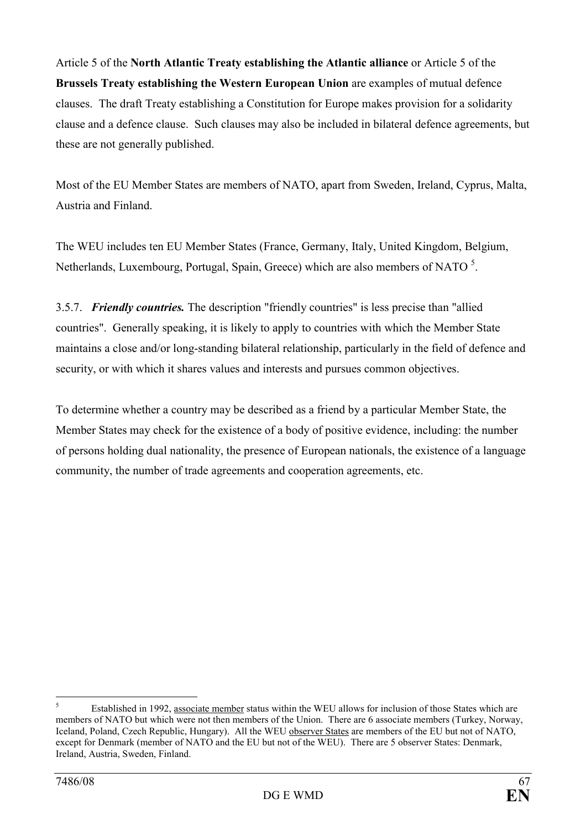Article 5 of the North Atlantic Treaty establishing the Atlantic alliance or Article 5 of the Brussels Treaty establishing the Western European Union are examples of mutual defence clauses. The draft Treaty establishing a Constitution for Europe makes provision for a solidarity clause and a defence clause. Such clauses may also be included in bilateral defence agreements, but these are not generally published.

Most of the EU Member States are members of NATO, apart from Sweden, Ireland, Cyprus, Malta, Austria and Finland.

The WEU includes ten EU Member States (France, Germany, Italy, United Kingdom, Belgium, Netherlands, Luxembourg, Portugal, Spain, Greece) which are also members of NATO<sup>5</sup>.

3.5.7. Friendly countries. The description "friendly countries" is less precise than "allied" countries". Generally speaking, it is likely to apply to countries with which the Member State maintains a close and/or long-standing bilateral relationship, particularly in the field of defence and security, or with which it shares values and interests and pursues common objectives.

To determine whether a country may be described as a friend by a particular Member State, the Member States may check for the existence of a body of positive evidence, including: the number of persons holding dual nationality, the presence of European nationals, the existence of a language community, the number of trade agreements and cooperation agreements, etc.

 5 Established in 1992, associate member status within the WEU allows for inclusion of those States which are members of NATO but which were not then members of the Union. There are 6 associate members (Turkey, Norway, Iceland, Poland, Czech Republic, Hungary). All the WEU observer States are members of the EU but not of NATO, except for Denmark (member of NATO and the EU but not of the WEU). There are 5 observer States: Denmark, Ireland, Austria, Sweden, Finland.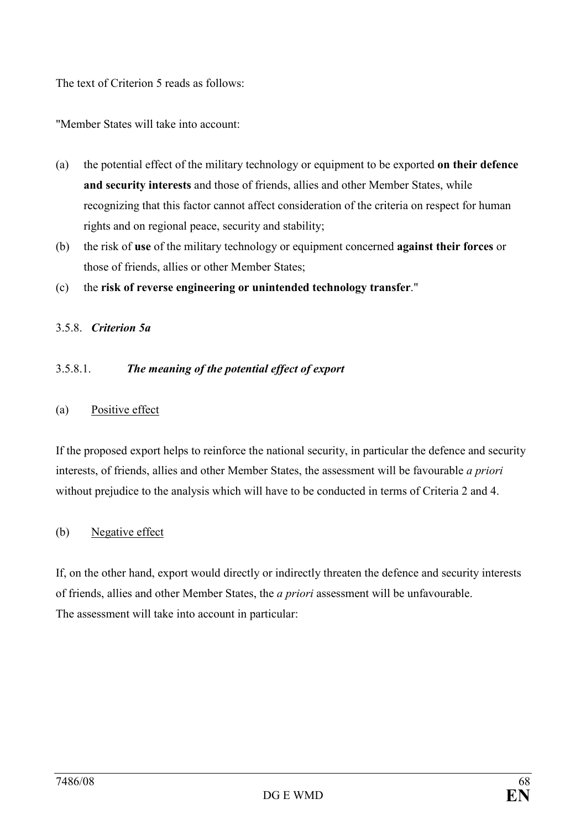The text of Criterion 5 reads as follows:

"Member States will take into account:

- (a) the potential effect of the military technology or equipment to be exported on their defence and security interests and those of friends, allies and other Member States, while recognizing that this factor cannot affect consideration of the criteria on respect for human rights and on regional peace, security and stability;
- (b) the risk of use of the military technology or equipment concerned against their forces or those of friends, allies or other Member States;
- (c) the risk of reverse engineering or unintended technology transfer."

#### 3.5.8. Criterion 5a

#### 3.5.8.1. The meaning of the potential effect of export

#### (a) Positive effect

If the proposed export helps to reinforce the national security, in particular the defence and security interests, of friends, allies and other Member States, the assessment will be favourable a priori without prejudice to the analysis which will have to be conducted in terms of Criteria 2 and 4.

#### (b) Negative effect

If, on the other hand, export would directly or indirectly threaten the defence and security interests of friends, allies and other Member States, the a priori assessment will be unfavourable. The assessment will take into account in particular: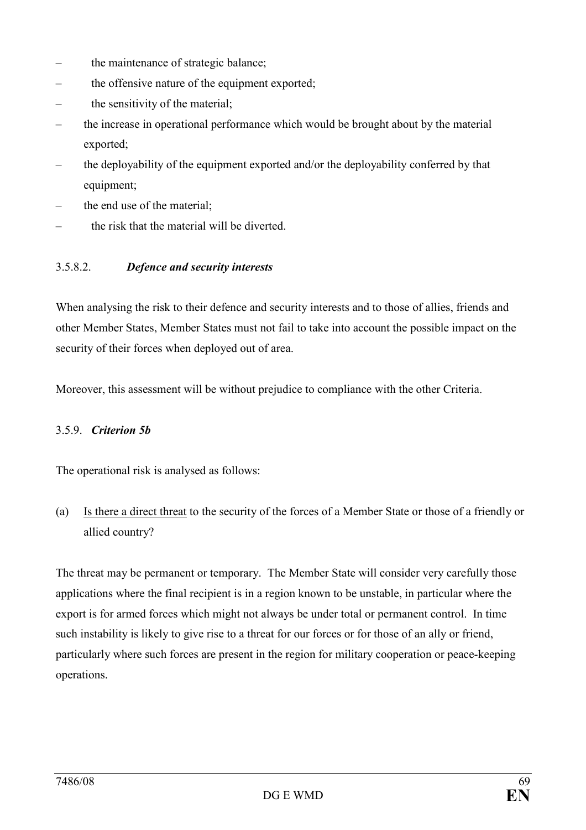- the maintenance of strategic balance;
- the offensive nature of the equipment exported;
- the sensitivity of the material:
- the increase in operational performance which would be brought about by the material exported;
- the deployability of the equipment exported and/or the deployability conferred by that equipment;
- the end use of the material;
- the risk that the material will be diverted.

#### 3.5.8.2. Defence and security interests

When analysing the risk to their defence and security interests and to those of allies, friends and other Member States, Member States must not fail to take into account the possible impact on the security of their forces when deployed out of area.

Moreover, this assessment will be without prejudice to compliance with the other Criteria.

#### 3.5.9. Criterion 5b

The operational risk is analysed as follows:

(a) Is there a direct threat to the security of the forces of a Member State or those of a friendly or allied country?

The threat may be permanent or temporary. The Member State will consider very carefully those applications where the final recipient is in a region known to be unstable, in particular where the export is for armed forces which might not always be under total or permanent control. In time such instability is likely to give rise to a threat for our forces or for those of an ally or friend, particularly where such forces are present in the region for military cooperation or peace-keeping operations.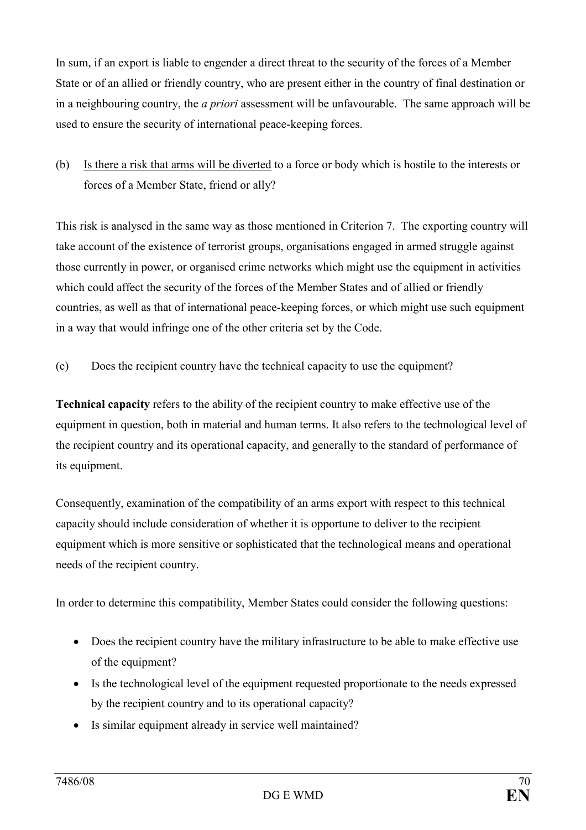In sum, if an export is liable to engender a direct threat to the security of the forces of a Member State or of an allied or friendly country, who are present either in the country of final destination or in a neighbouring country, the *a priori* assessment will be unfavourable. The same approach will be used to ensure the security of international peace-keeping forces.

(b) Is there a risk that arms will be diverted to a force or body which is hostile to the interests or forces of a Member State, friend or ally?

This risk is analysed in the same way as those mentioned in Criterion 7. The exporting country will take account of the existence of terrorist groups, organisations engaged in armed struggle against those currently in power, or organised crime networks which might use the equipment in activities which could affect the security of the forces of the Member States and of allied or friendly countries, as well as that of international peace-keeping forces, or which might use such equipment in a way that would infringe one of the other criteria set by the Code.

(c) Does the recipient country have the technical capacity to use the equipment?

Technical capacity refers to the ability of the recipient country to make effective use of the equipment in question, both in material and human terms. It also refers to the technological level of the recipient country and its operational capacity, and generally to the standard of performance of its equipment.

Consequently, examination of the compatibility of an arms export with respect to this technical capacity should include consideration of whether it is opportune to deliver to the recipient equipment which is more sensitive or sophisticated that the technological means and operational needs of the recipient country.

In order to determine this compatibility, Member States could consider the following questions:

- Does the recipient country have the military infrastructure to be able to make effective use of the equipment?
- Is the technological level of the equipment requested proportionate to the needs expressed by the recipient country and to its operational capacity?
- Is similar equipment already in service well maintained?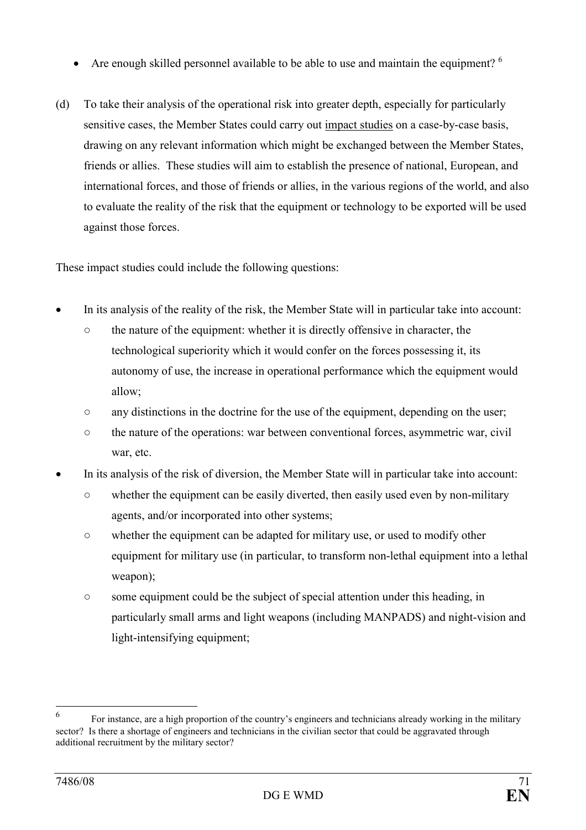- Are enough skilled personnel available to be able to use and maintain the equipment?  $6$
- (d) To take their analysis of the operational risk into greater depth, especially for particularly sensitive cases, the Member States could carry out impact studies on a case-by-case basis, drawing on any relevant information which might be exchanged between the Member States, friends or allies. These studies will aim to establish the presence of national, European, and international forces, and those of friends or allies, in the various regions of the world, and also to evaluate the reality of the risk that the equipment or technology to be exported will be used against those forces.

These impact studies could include the following questions:

- In its analysis of the reality of the risk, the Member State will in particular take into account:
	- the nature of the equipment: whether it is directly offensive in character, the technological superiority which it would confer on the forces possessing it, its autonomy of use, the increase in operational performance which the equipment would allow;
	- any distinctions in the doctrine for the use of the equipment, depending on the user;
	- the nature of the operations: war between conventional forces, asymmetric war, civil war, etc.
- In its analysis of the risk of diversion, the Member State will in particular take into account:
	- whether the equipment can be easily diverted, then easily used even by non-military agents, and/or incorporated into other systems;
	- whether the equipment can be adapted for military use, or used to modify other equipment for military use (in particular, to transform non-lethal equipment into a lethal weapon);
	- some equipment could be the subject of special attention under this heading, in particularly small arms and light weapons (including MANPADS) and night-vision and light-intensifying equipment;

 6 For instance, are a high proportion of the country's engineers and technicians already working in the military sector? Is there a shortage of engineers and technicians in the civilian sector that could be aggravated through additional recruitment by the military sector?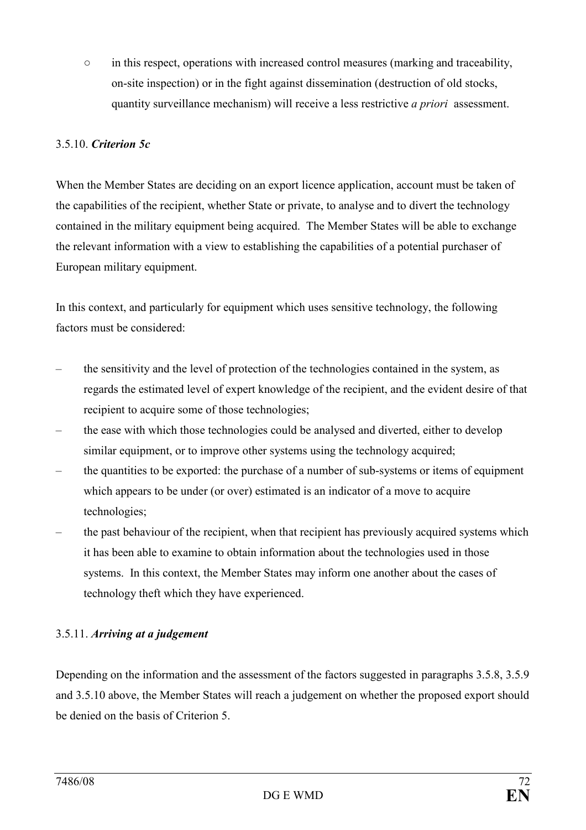○ in this respect, operations with increased control measures (marking and traceability, on-site inspection) or in the fight against dissemination (destruction of old stocks, quantity surveillance mechanism) will receive a less restrictive *a priori* assessment.

## 3.5.10. Criterion 5c

When the Member States are deciding on an export licence application, account must be taken of the capabilities of the recipient, whether State or private, to analyse and to divert the technology contained in the military equipment being acquired. The Member States will be able to exchange the relevant information with a view to establishing the capabilities of a potential purchaser of European military equipment.

In this context, and particularly for equipment which uses sensitive technology, the following factors must be considered:

- the sensitivity and the level of protection of the technologies contained in the system, as regards the estimated level of expert knowledge of the recipient, and the evident desire of that recipient to acquire some of those technologies;
- the ease with which those technologies could be analysed and diverted, either to develop similar equipment, or to improve other systems using the technology acquired;
- the quantities to be exported: the purchase of a number of sub-systems or items of equipment which appears to be under (or over) estimated is an indicator of a move to acquire technologies;
- the past behaviour of the recipient, when that recipient has previously acquired systems which it has been able to examine to obtain information about the technologies used in those systems. In this context, the Member States may inform one another about the cases of technology theft which they have experienced.

## 3.5.11. Arriving at a judgement

Depending on the information and the assessment of the factors suggested in paragraphs 3.5.8, 3.5.9 and 3.5.10 above, the Member States will reach a judgement on whether the proposed export should be denied on the basis of Criterion 5.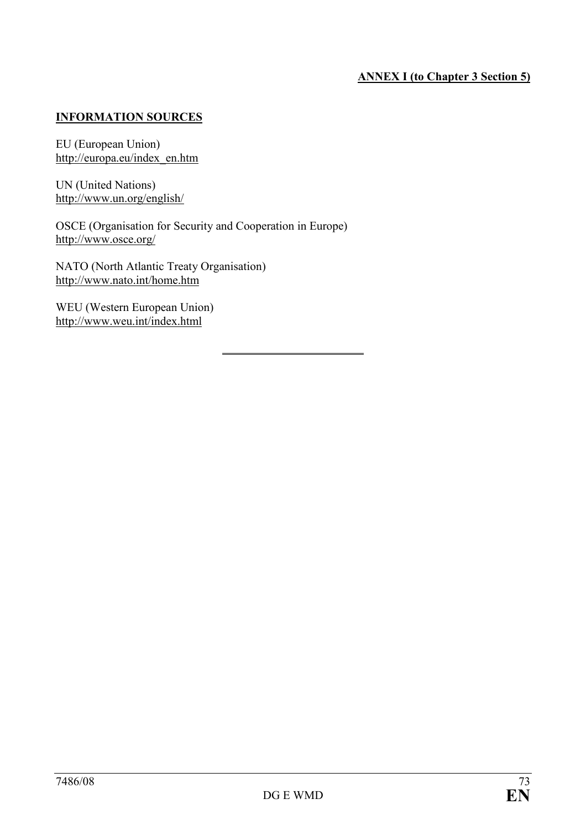# ANNEX I (to Chapter 3 Section 5)

# INFORMATION SOURCES

EU (European Union) http://europa.eu/index\_en.htm

UN (United Nations) http://www.un.org/english/

OSCE (Organisation for Security and Cooperation in Europe) http://www.osce.org/

 $\overline{a}$ 

NATO (North Atlantic Treaty Organisation) http://www.nato.int/home.htm

WEU (Western European Union) http://www.weu.int/index.html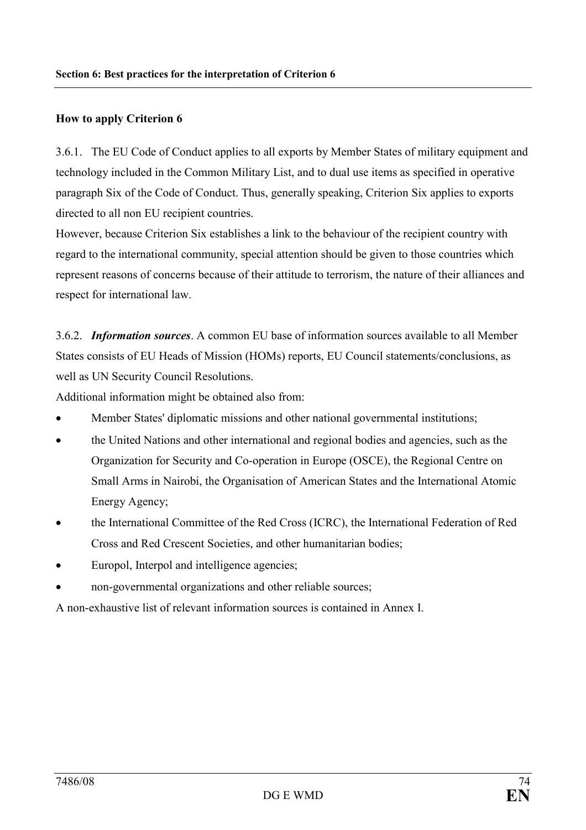# How to apply Criterion 6

3.6.1. The EU Code of Conduct applies to all exports by Member States of military equipment and technology included in the Common Military List, and to dual use items as specified in operative paragraph Six of the Code of Conduct. Thus, generally speaking, Criterion Six applies to exports directed to all non EU recipient countries.

However, because Criterion Six establishes a link to the behaviour of the recipient country with regard to the international community, special attention should be given to those countries which represent reasons of concerns because of their attitude to terrorism, the nature of their alliances and respect for international law.

3.6.2. Information sources. A common EU base of information sources available to all Member States consists of EU Heads of Mission (HOMs) reports, EU Council statements/conclusions, as well as UN Security Council Resolutions.

Additional information might be obtained also from:

- Member States' diplomatic missions and other national governmental institutions;
- the United Nations and other international and regional bodies and agencies, such as the Organization for Security and Co-operation in Europe (OSCE), the Regional Centre on Small Arms in Nairobi, the Organisation of American States and the International Atomic Energy Agency;
- the International Committee of the Red Cross (ICRC), the International Federation of Red Cross and Red Crescent Societies, and other humanitarian bodies;
- Europol, Interpol and intelligence agencies;
- non-governmental organizations and other reliable sources;

A non-exhaustive list of relevant information sources is contained in Annex I.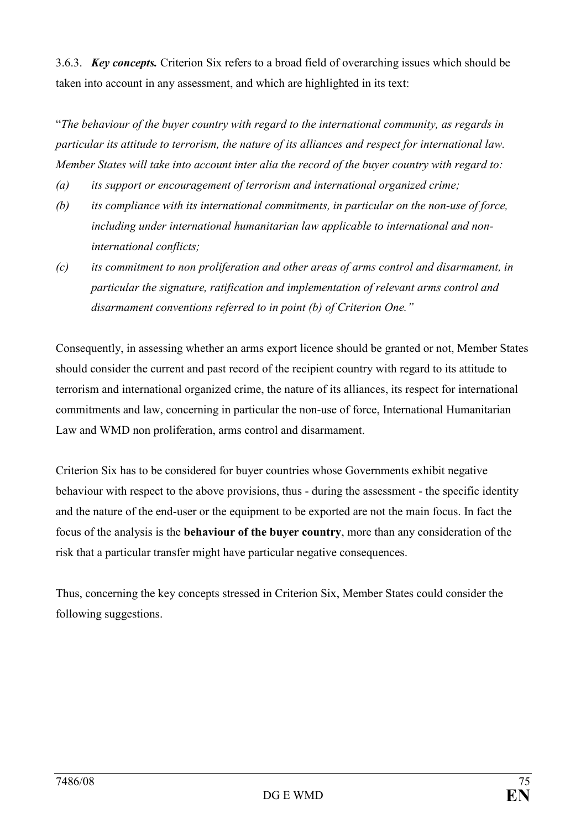3.6.3. Key concepts. Criterion Six refers to a broad field of overarching issues which should be taken into account in any assessment, and which are highlighted in its text:

"The behaviour of the buyer country with regard to the international community, as regards in particular its attitude to terrorism, the nature of its alliances and respect for international law. Member States will take into account inter alia the record of the buyer country with regard to:

- (a) its support or encouragement of terrorism and international organized crime;
- (b) its compliance with its international commitments, in particular on the non-use of force, including under international humanitarian law applicable to international and noninternational conflicts;
- (c) its commitment to non proliferation and other areas of arms control and disarmament, in particular the signature, ratification and implementation of relevant arms control and disarmament conventions referred to in point (b) of Criterion One."

Consequently, in assessing whether an arms export licence should be granted or not, Member States should consider the current and past record of the recipient country with regard to its attitude to terrorism and international organized crime, the nature of its alliances, its respect for international commitments and law, concerning in particular the non-use of force, International Humanitarian Law and WMD non proliferation, arms control and disarmament.

Criterion Six has to be considered for buyer countries whose Governments exhibit negative behaviour with respect to the above provisions, thus - during the assessment - the specific identity and the nature of the end-user or the equipment to be exported are not the main focus. In fact the focus of the analysis is the behaviour of the buyer country, more than any consideration of the risk that a particular transfer might have particular negative consequences.

Thus, concerning the key concepts stressed in Criterion Six, Member States could consider the following suggestions.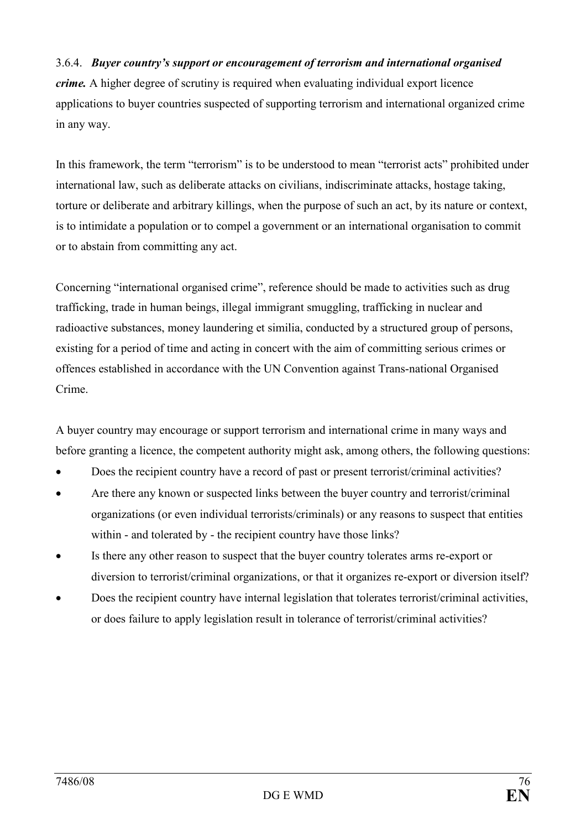# 3.6.4. Buyer country's support or encouragement of terrorism and international organised

crime. A higher degree of scrutiny is required when evaluating individual export licence applications to buyer countries suspected of supporting terrorism and international organized crime in any way.

In this framework, the term "terrorism" is to be understood to mean "terrorist acts" prohibited under international law, such as deliberate attacks on civilians, indiscriminate attacks, hostage taking, torture or deliberate and arbitrary killings, when the purpose of such an act, by its nature or context, is to intimidate a population or to compel a government or an international organisation to commit or to abstain from committing any act.

Concerning "international organised crime", reference should be made to activities such as drug trafficking, trade in human beings, illegal immigrant smuggling, trafficking in nuclear and radioactive substances, money laundering et similia, conducted by a structured group of persons, existing for a period of time and acting in concert with the aim of committing serious crimes or offences established in accordance with the UN Convention against Trans-national Organised Crime.

A buyer country may encourage or support terrorism and international crime in many ways and before granting a licence, the competent authority might ask, among others, the following questions:

- Does the recipient country have a record of past or present terrorist/criminal activities?
- Are there any known or suspected links between the buyer country and terrorist/criminal organizations (or even individual terrorists/criminals) or any reasons to suspect that entities within - and tolerated by - the recipient country have those links?
- Is there any other reason to suspect that the buyer country tolerates arms re-export or diversion to terrorist/criminal organizations, or that it organizes re-export or diversion itself?
- Does the recipient country have internal legislation that tolerates terrorist/criminal activities, or does failure to apply legislation result in tolerance of terrorist/criminal activities?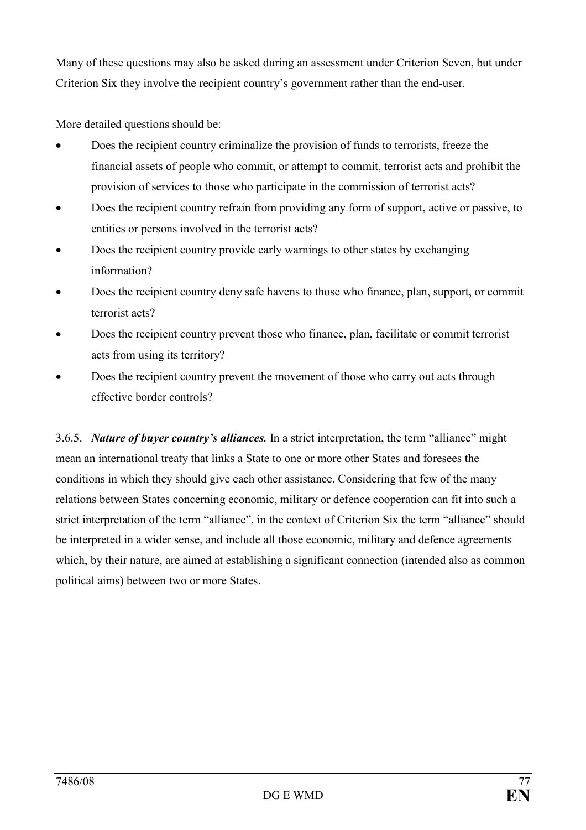Many of these questions may also be asked during an assessment under Criterion Seven, but under Criterion Six they involve the recipient country's government rather than the end-user.

More detailed questions should be:

- Does the recipient country criminalize the provision of funds to terrorists, freeze the financial assets of people who commit, or attempt to commit, terrorist acts and prohibit the provision of services to those who participate in the commission of terrorist acts?
- Does the recipient country refrain from providing any form of support, active or passive, to entities or persons involved in the terrorist acts?
- Does the recipient country provide early warnings to other states by exchanging information?
- Does the recipient country deny safe havens to those who finance, plan, support, or commit terrorist acts?
- Does the recipient country prevent those who finance, plan, facilitate or commit terrorist acts from using its territory?
- Does the recipient country prevent the movement of those who carry out acts through effective border controls?

3.6.5. Nature of buyer country's alliances. In a strict interpretation, the term "alliance" might mean an international treaty that links a State to one or more other States and foresees the conditions in which they should give each other assistance. Considering that few of the many relations between States concerning economic, military or defence cooperation can fit into such a strict interpretation of the term "alliance", in the context of Criterion Six the term "alliance" should be interpreted in a wider sense, and include all those economic, military and defence agreements which, by their nature, are aimed at establishing a significant connection (intended also as common political aims) between two or more States.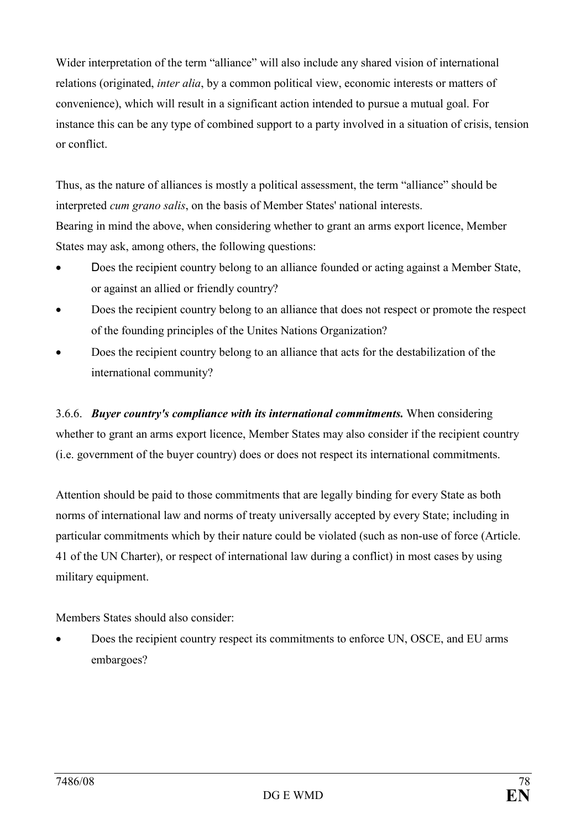Wider interpretation of the term "alliance" will also include any shared vision of international relations (originated, inter alia, by a common political view, economic interests or matters of convenience), which will result in a significant action intended to pursue a mutual goal. For instance this can be any type of combined support to a party involved in a situation of crisis, tension or conflict.

Thus, as the nature of alliances is mostly a political assessment, the term "alliance" should be interpreted cum grano salis, on the basis of Member States' national interests. Bearing in mind the above, when considering whether to grant an arms export licence, Member States may ask, among others, the following questions:

- Does the recipient country belong to an alliance founded or acting against a Member State, or against an allied or friendly country?
- Does the recipient country belong to an alliance that does not respect or promote the respect of the founding principles of the Unites Nations Organization?
- Does the recipient country belong to an alliance that acts for the destabilization of the international community?

3.6.6. Buyer country's compliance with its international commitments. When considering whether to grant an arms export licence, Member States may also consider if the recipient country (i.e. government of the buyer country) does or does not respect its international commitments.

Attention should be paid to those commitments that are legally binding for every State as both norms of international law and norms of treaty universally accepted by every State; including in particular commitments which by their nature could be violated (such as non-use of force (Article. 41 of the UN Charter), or respect of international law during a conflict) in most cases by using military equipment.

Members States should also consider:

• Does the recipient country respect its commitments to enforce UN, OSCE, and EU arms embargoes?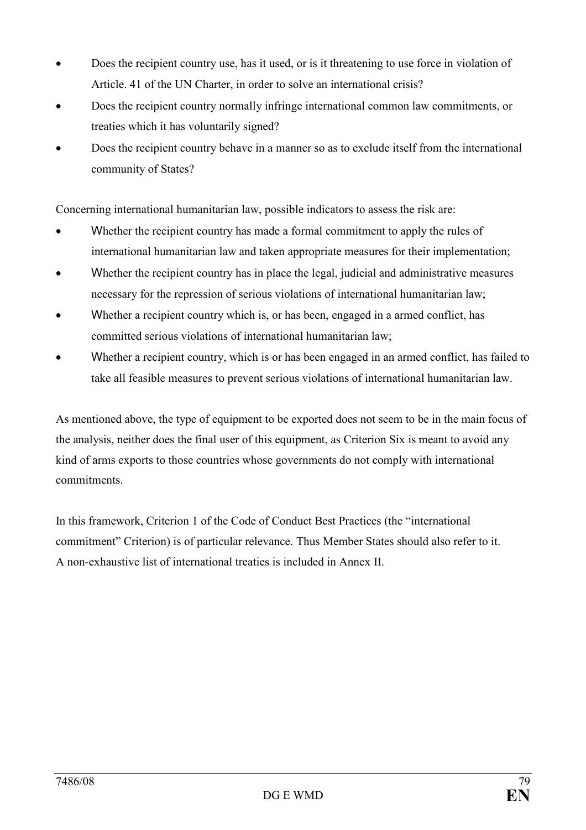- Does the recipient country use, has it used, or is it threatening to use force in violation of Article. 41 of the UN Charter, in order to solve an international crisis?
- Does the recipient country normally infringe international common law commitments, or treaties which it has voluntarily signed?
- Does the recipient country behave in a manner so as to exclude itself from the international community of States?

Concerning international humanitarian law, possible indicators to assess the risk are:

- Whether the recipient country has made a formal commitment to apply the rules of international humanitarian law and taken appropriate measures for their implementation;
- Whether the recipient country has in place the legal, judicial and administrative measures necessary for the repression of serious violations of international humanitarian law;
- Whether a recipient country which is, or has been, engaged in a armed conflict, has committed serious violations of international humanitarian law;
- Whether a recipient country, which is or has been engaged in an armed conflict, has failed to take all feasible measures to prevent serious violations of international humanitarian law.

As mentioned above, the type of equipment to be exported does not seem to be in the main focus of the analysis, neither does the final user of this equipment, as Criterion Six is meant to avoid any kind of arms exports to those countries whose governments do not comply with international commitments.

In this framework, Criterion 1 of the Code of Conduct Best Practices (the "international commitment" Criterion) is of particular relevance. Thus Member States should also refer to it. A non-exhaustive list of international treaties is included in Annex II.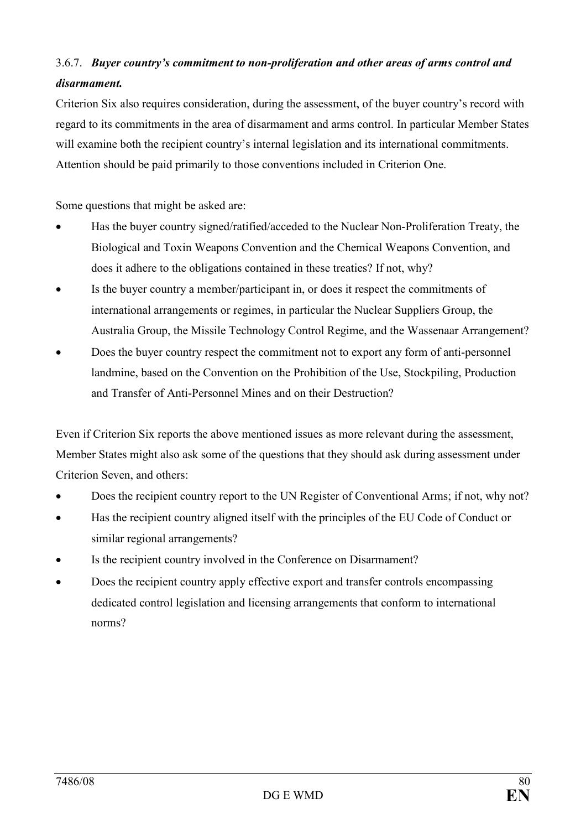# 3.6.7. Buyer country's commitment to non-proliferation and other areas of arms control and disarmament.

Criterion Six also requires consideration, during the assessment, of the buyer country's record with regard to its commitments in the area of disarmament and arms control. In particular Member States will examine both the recipient country's internal legislation and its international commitments. Attention should be paid primarily to those conventions included in Criterion One.

Some questions that might be asked are:

- Has the buyer country signed/ratified/acceded to the Nuclear Non-Proliferation Treaty, the Biological and Toxin Weapons Convention and the Chemical Weapons Convention, and does it adhere to the obligations contained in these treaties? If not, why?
- Is the buyer country a member/participant in, or does it respect the commitments of international arrangements or regimes, in particular the Nuclear Suppliers Group, the Australia Group, the Missile Technology Control Regime, and the Wassenaar Arrangement?
- Does the buyer country respect the commitment not to export any form of anti-personnel landmine, based on the Convention on the Prohibition of the Use, Stockpiling, Production and Transfer of Anti-Personnel Mines and on their Destruction?

Even if Criterion Six reports the above mentioned issues as more relevant during the assessment, Member States might also ask some of the questions that they should ask during assessment under Criterion Seven, and others:

- Does the recipient country report to the UN Register of Conventional Arms; if not, why not?
- Has the recipient country aligned itself with the principles of the EU Code of Conduct or similar regional arrangements?
- Is the recipient country involved in the Conference on Disarmament?
- Does the recipient country apply effective export and transfer controls encompassing dedicated control legislation and licensing arrangements that conform to international norms?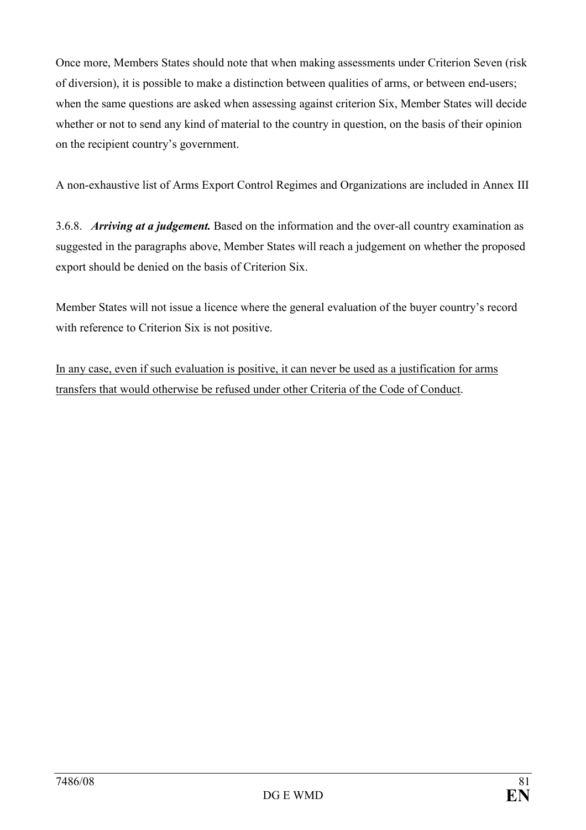Once more, Members States should note that when making assessments under Criterion Seven (risk of diversion), it is possible to make a distinction between qualities of arms, or between end-users; when the same questions are asked when assessing against criterion Six, Member States will decide whether or not to send any kind of material to the country in question, on the basis of their opinion on the recipient country's government.

A non-exhaustive list of Arms Export Control Regimes and Organizations are included in Annex III

3.6.8. Arriving at a judgement. Based on the information and the over-all country examination as suggested in the paragraphs above, Member States will reach a judgement on whether the proposed export should be denied on the basis of Criterion Six.

Member States will not issue a licence where the general evaluation of the buyer country's record with reference to Criterion Six is not positive.

In any case, even if such evaluation is positive, it can never be used as a justification for arms transfers that would otherwise be refused under other Criteria of the Code of Conduct.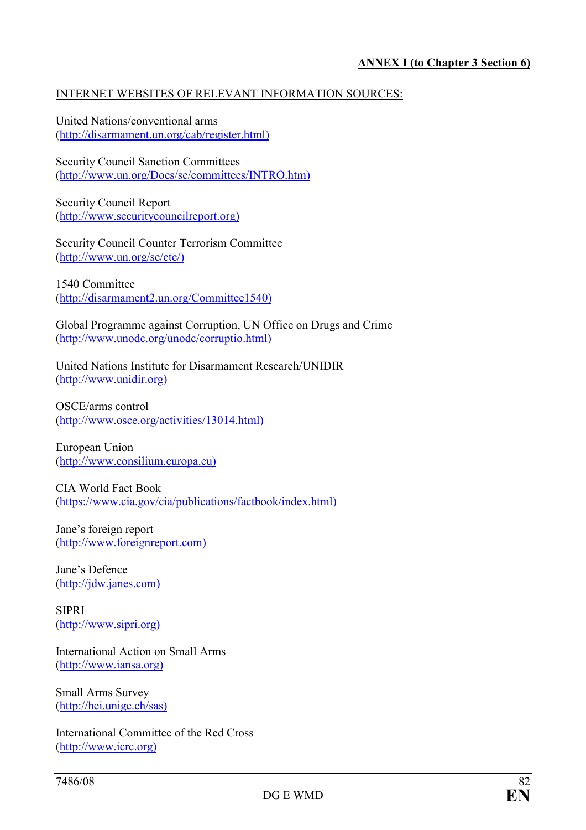# INTERNET WEBSITES OF RELEVANT INFORMATION SOURCES:

United Nations/conventional arms (http://disarmament.un.org/cab/register.html)

Security Council Sanction Committees (http://www.un.org/Docs/sc/committees/INTRO.htm)

Security Council Report (http://www.securitycouncilreport.org)

Security Council Counter Terrorism Committee (http://www.un.org/sc/ctc/)

1540 Committee (http://disarmament2.un.org/Committee1540)

Global Programme against Corruption, UN Office on Drugs and Crime (http://www.unodc.org/unodc/corruptio.html)

United Nations Institute for Disarmament Research/UNIDIR (http://www.unidir.org)

OSCE/arms control (http://www.osce.org/activities/13014.html)

European Union (http://www.consilium.europa.eu)

CIA World Fact Book (https://www.cia.gov/cia/publications/factbook/index.html)

Jane's foreign report (http://www.foreignreport.com)

Jane's Defence (http://jdw.janes.com)

SIPRI (http://www.sipri.org)

International Action on Small Arms (http://www.iansa.org)

Small Arms Survey (http://hei.unige.ch/sas)

International Committee of the Red Cross (http://www.icrc.org)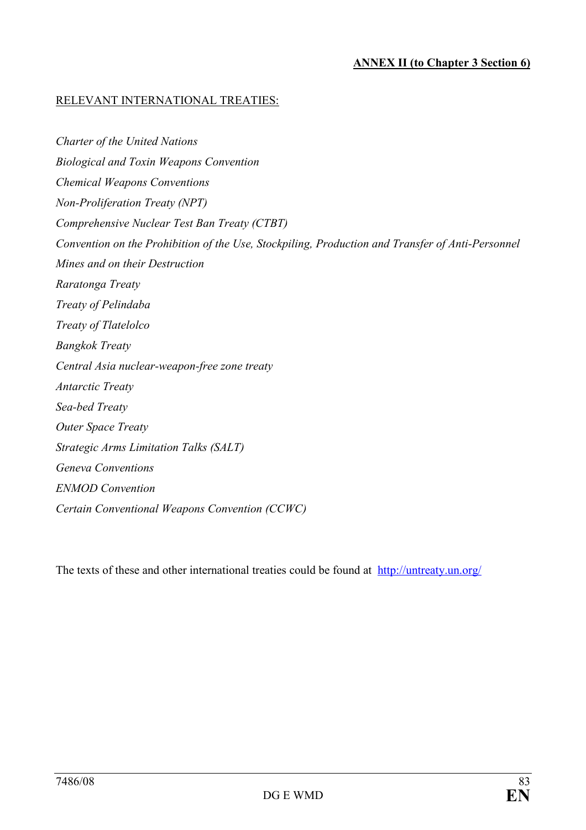# RELEVANT INTERNATIONAL TREATIES:

Charter of the United Nations Biological and Toxin Weapons Convention Chemical Weapons Conventions Non-Proliferation Treaty (NPT) Comprehensive Nuclear Test Ban Treaty (CTBT) Convention on the Prohibition of the Use, Stockpiling, Production and Transfer of Anti-Personnel Mines and on their Destruction Raratonga Treaty Treaty of Pelindaba Treaty of Tlatelolco Bangkok Treaty Central Asia nuclear-weapon-free zone treaty Antarctic Treaty Sea-bed Treaty Outer Space Treaty Strategic Arms Limitation Talks (SALT) Geneva Conventions ENMOD Convention Certain Conventional Weapons Convention (CCWC)

The texts of these and other international treaties could be found at http://untreaty.un.org/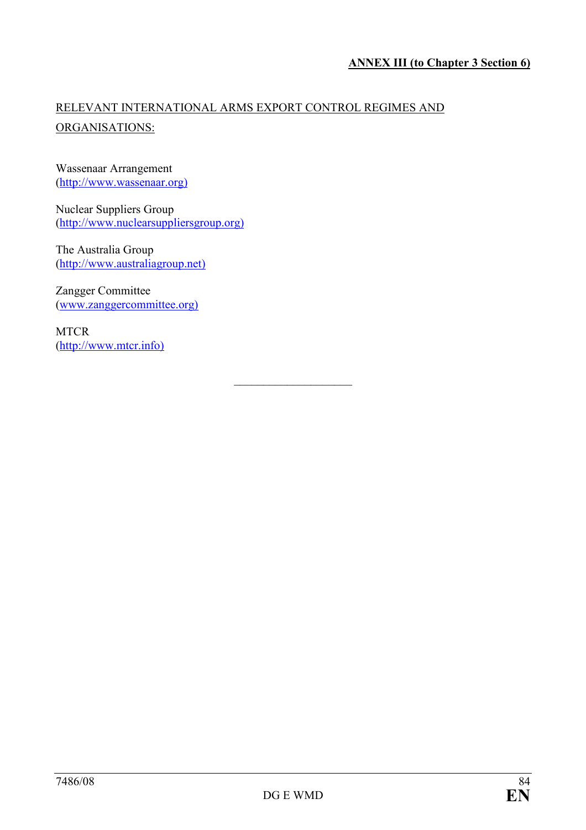# RELEVANT INTERNATIONAL ARMS EXPORT CONTROL REGIMES AND ORGANISATIONS:

# Wassenaar Arrangement (http://www.wassenaar.org)

Nuclear Suppliers Group (http://www.nuclearsuppliersgroup.org)

The Australia Group (http://www.australiagroup.net)

Zangger Committee (www.zanggercommittee.org)

**MTCR** (http://www.mtcr.info)

 $\overline{\phantom{a}}$  , and the set of the set of the set of the set of the set of the set of the set of the set of the set of the set of the set of the set of the set of the set of the set of the set of the set of the set of the s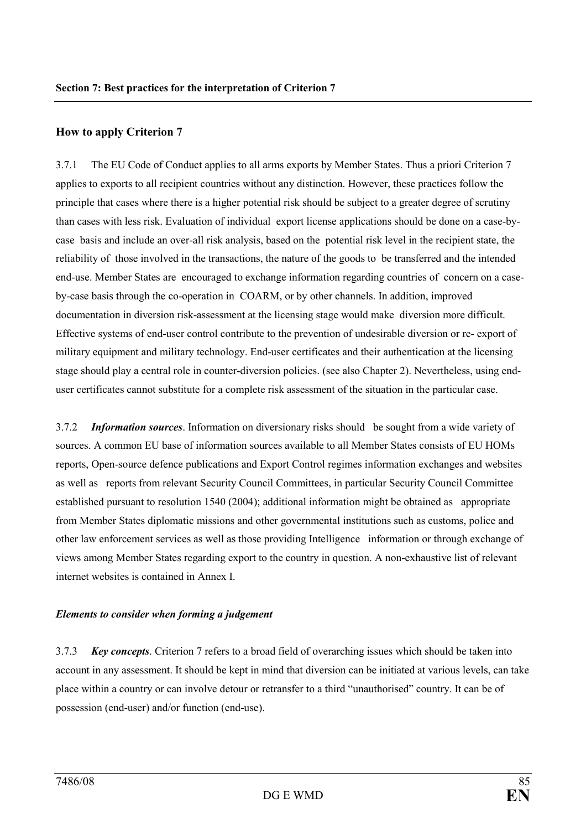## How to apply Criterion 7

3.7.1 The EU Code of Conduct applies to all arms exports by Member States. Thus a priori Criterion 7 applies to exports to all recipient countries without any distinction. However, these practices follow the principle that cases where there is a higher potential risk should be subject to a greater degree of scrutiny than cases with less risk. Evaluation of individual export license applications should be done on a case-bycase basis and include an over-all risk analysis, based on the potential risk level in the recipient state, the reliability of those involved in the transactions, the nature of the goods to be transferred and the intended end-use. Member States are encouraged to exchange information regarding countries of concern on a caseby-case basis through the co-operation in COARM, or by other channels. In addition, improved documentation in diversion risk-assessment at the licensing stage would make diversion more difficult. Effective systems of end-user control contribute to the prevention of undesirable diversion or re- export of military equipment and military technology. End-user certificates and their authentication at the licensing stage should play a central role in counter-diversion policies. (see also Chapter 2). Nevertheless, using enduser certificates cannot substitute for a complete risk assessment of the situation in the particular case.

3.7.2 Information sources. Information on diversionary risks should be sought from a wide variety of sources. A common EU base of information sources available to all Member States consists of EU HOMs reports, Open-source defence publications and Export Control regimes information exchanges and websites as well as reports from relevant Security Council Committees, in particular Security Council Committee established pursuant to resolution 1540 (2004); additional information might be obtained as appropriate from Member States diplomatic missions and other governmental institutions such as customs, police and other law enforcement services as well as those providing Intelligence information or through exchange of views among Member States regarding export to the country in question. A non-exhaustive list of relevant internet websites is contained in Annex I.

#### Elements to consider when forming a judgement

3.7.3 Key concepts. Criterion 7 refers to a broad field of overarching issues which should be taken into account in any assessment. It should be kept in mind that diversion can be initiated at various levels, can take place within a country or can involve detour or retransfer to a third "unauthorised" country. It can be of possession (end-user) and/or function (end-use).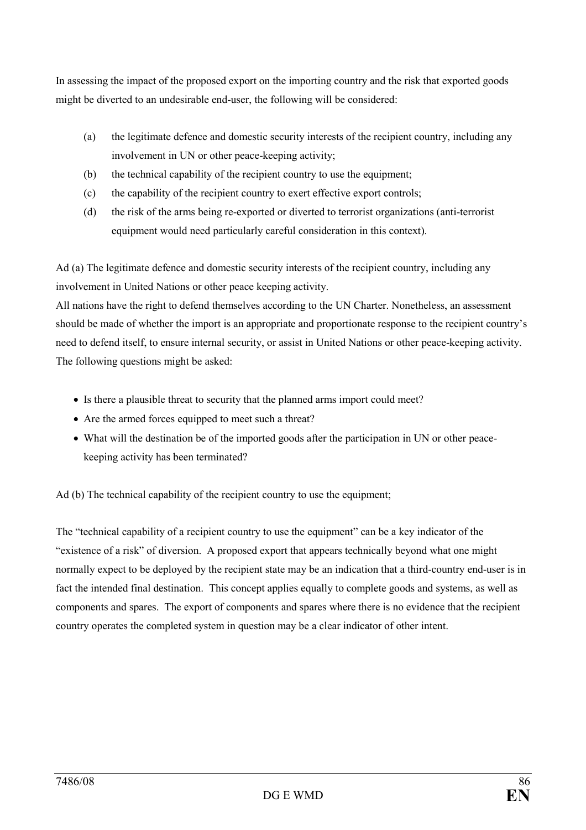In assessing the impact of the proposed export on the importing country and the risk that exported goods might be diverted to an undesirable end-user, the following will be considered:

- (a) the legitimate defence and domestic security interests of the recipient country, including any involvement in UN or other peace-keeping activity;
- (b) the technical capability of the recipient country to use the equipment;
- (c) the capability of the recipient country to exert effective export controls;
- (d) the risk of the arms being re-exported or diverted to terrorist organizations (anti-terrorist equipment would need particularly careful consideration in this context).

Ad (a) The legitimate defence and domestic security interests of the recipient country, including any involvement in United Nations or other peace keeping activity.

All nations have the right to defend themselves according to the UN Charter. Nonetheless, an assessment should be made of whether the import is an appropriate and proportionate response to the recipient country's need to defend itself, to ensure internal security, or assist in United Nations or other peace-keeping activity. The following questions might be asked:

- Is there a plausible threat to security that the planned arms import could meet?
- Are the armed forces equipped to meet such a threat?
- What will the destination be of the imported goods after the participation in UN or other peacekeeping activity has been terminated?

Ad (b) The technical capability of the recipient country to use the equipment;

The "technical capability of a recipient country to use the equipment" can be a key indicator of the "existence of a risk" of diversion. A proposed export that appears technically beyond what one might normally expect to be deployed by the recipient state may be an indication that a third-country end-user is in fact the intended final destination. This concept applies equally to complete goods and systems, as well as components and spares. The export of components and spares where there is no evidence that the recipient country operates the completed system in question may be a clear indicator of other intent.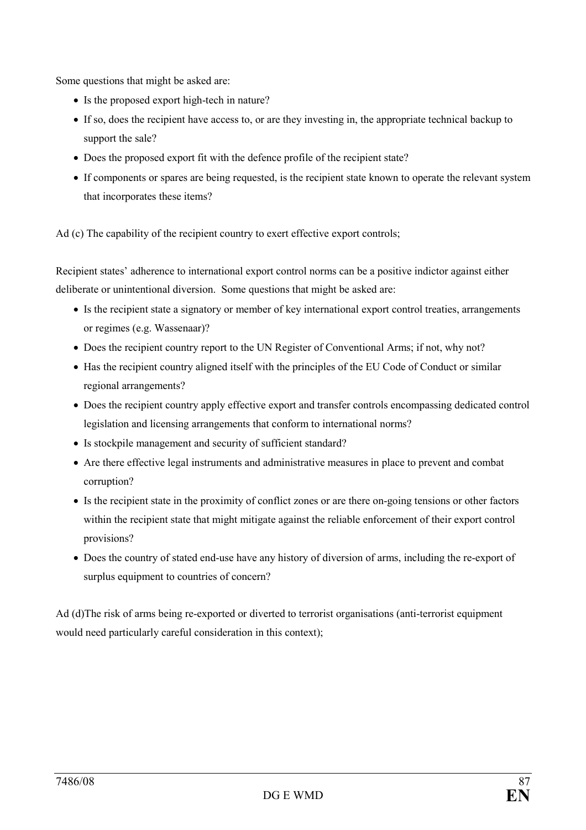Some questions that might be asked are:

- Is the proposed export high-tech in nature?
- If so, does the recipient have access to, or are they investing in, the appropriate technical backup to support the sale?
- Does the proposed export fit with the defence profile of the recipient state?
- If components or spares are being requested, is the recipient state known to operate the relevant system that incorporates these items?

Ad (c) The capability of the recipient country to exert effective export controls;

Recipient states' adherence to international export control norms can be a positive indictor against either deliberate or unintentional diversion. Some questions that might be asked are:

- Is the recipient state a signatory or member of key international export control treaties, arrangements or regimes (e.g. Wassenaar)?
- Does the recipient country report to the UN Register of Conventional Arms; if not, why not?
- Has the recipient country aligned itself with the principles of the EU Code of Conduct or similar regional arrangements?
- Does the recipient country apply effective export and transfer controls encompassing dedicated control legislation and licensing arrangements that conform to international norms?
- Is stockpile management and security of sufficient standard?
- Are there effective legal instruments and administrative measures in place to prevent and combat corruption?
- Is the recipient state in the proximity of conflict zones or are there on-going tensions or other factors within the recipient state that might mitigate against the reliable enforcement of their export control provisions?
- Does the country of stated end-use have any history of diversion of arms, including the re-export of surplus equipment to countries of concern?

Ad (d)The risk of arms being re-exported or diverted to terrorist organisations (anti-terrorist equipment would need particularly careful consideration in this context);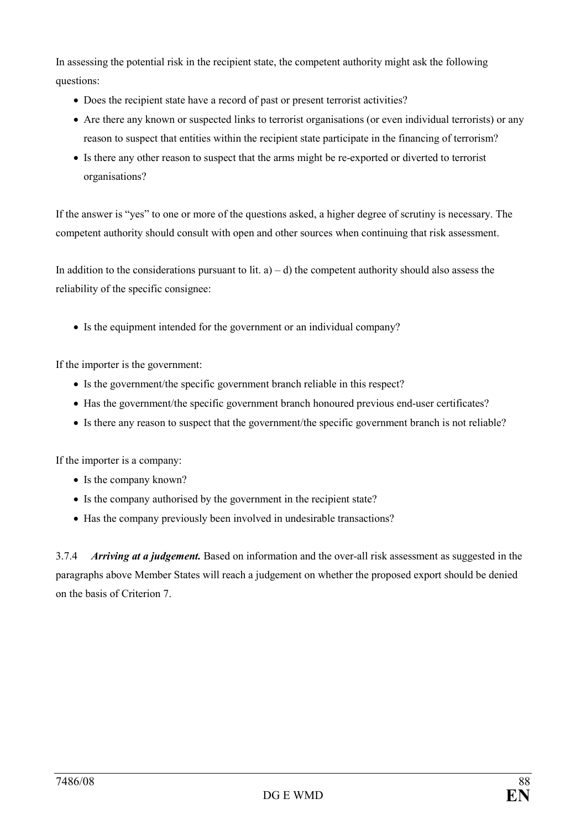In assessing the potential risk in the recipient state, the competent authority might ask the following questions:

- Does the recipient state have a record of past or present terrorist activities?
- Are there any known or suspected links to terrorist organisations (or even individual terrorists) or any reason to suspect that entities within the recipient state participate in the financing of terrorism?
- Is there any other reason to suspect that the arms might be re-exported or diverted to terrorist organisations?

If the answer is "yes" to one or more of the questions asked, a higher degree of scrutiny is necessary. The competent authority should consult with open and other sources when continuing that risk assessment.

In addition to the considerations pursuant to lit.  $a$ ) – d) the competent authority should also assess the reliability of the specific consignee:

• Is the equipment intended for the government or an individual company?

If the importer is the government:

- Is the government/the specific government branch reliable in this respect?
- Has the government/the specific government branch honoured previous end-user certificates?
- Is there any reason to suspect that the government/the specific government branch is not reliable?

If the importer is a company:

- Is the company known?
- Is the company authorised by the government in the recipient state?
- Has the company previously been involved in undesirable transactions?

3.7.4 Arriving at a judgement. Based on information and the over-all risk assessment as suggested in the paragraphs above Member States will reach a judgement on whether the proposed export should be denied on the basis of Criterion 7.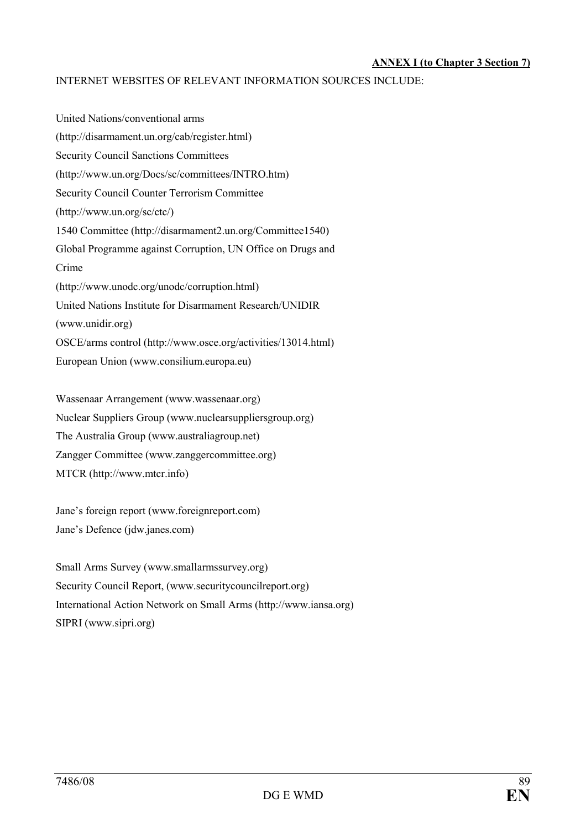#### ANNEX I (to Chapter 3 Section 7)

#### INTERNET WEBSITES OF RELEVANT INFORMATION SOURCES INCLUDE:

United Nations/conventional arms (http://disarmament.un.org/cab/register.html) Security Council Sanctions Committees (http://www.un.org/Docs/sc/committees/INTRO.htm) Security Council Counter Terrorism Committee (http://www.un.org/sc/ctc/) 1540 Committee (http://disarmament2.un.org/Committee1540) Global Programme against Corruption, UN Office on Drugs and Crime (http://www.unodc.org/unodc/corruption.html) United Nations Institute for Disarmament Research/UNIDIR (www.unidir.org) OSCE/arms control (http://www.osce.org/activities/13014.html) European Union (www.consilium.europa.eu)

Wassenaar Arrangement (www.wassenaar.org) Nuclear Suppliers Group (www.nuclearsuppliersgroup.org) The Australia Group (www.australiagroup.net) Zangger Committee (www.zanggercommittee.org) MTCR (http://www.mtcr.info)

Jane's foreign report (www.foreignreport.com) Jane's Defence (jdw.janes.com)

Small Arms Survey (www.smallarmssurvey.org) Security Council Report, (www.securitycouncilreport.org) International Action Network on Small Arms (http://www.iansa.org) SIPRI (www.sipri.org)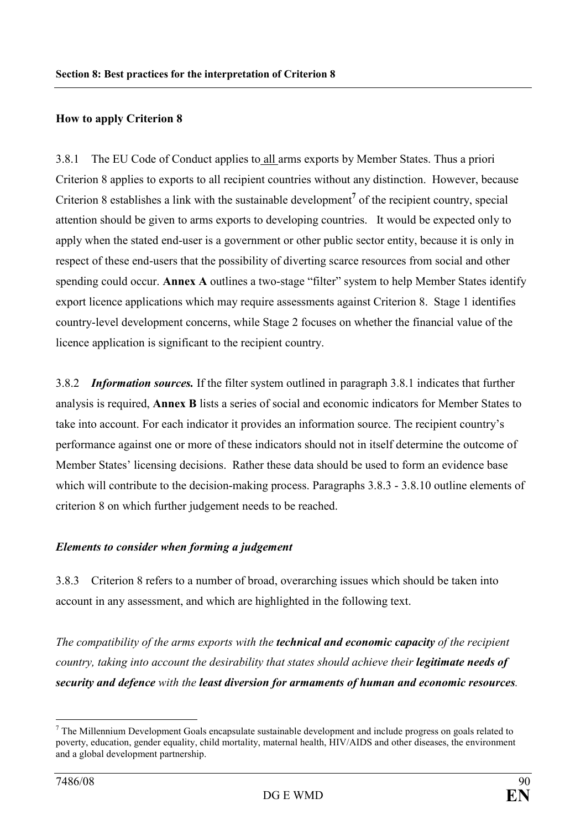# How to apply Criterion 8

3.8.1 The EU Code of Conduct applies to all arms exports by Member States. Thus a priori Criterion 8 applies to exports to all recipient countries without any distinction. However, because Criterion 8 establishes a link with the sustainable development<sup>7</sup> of the recipient country, special attention should be given to arms exports to developing countries. It would be expected only to apply when the stated end-user is a government or other public sector entity, because it is only in respect of these end-users that the possibility of diverting scarce resources from social and other spending could occur. Annex A outlines a two-stage "filter" system to help Member States identify export licence applications which may require assessments against Criterion 8. Stage 1 identifies country-level development concerns, while Stage 2 focuses on whether the financial value of the licence application is significant to the recipient country.

3.8.2 Information sources. If the filter system outlined in paragraph 3.8.1 indicates that further analysis is required, Annex B lists a series of social and economic indicators for Member States to take into account. For each indicator it provides an information source. The recipient country's performance against one or more of these indicators should not in itself determine the outcome of Member States' licensing decisions. Rather these data should be used to form an evidence base which will contribute to the decision-making process. Paragraphs 3.8.3 - 3.8.10 outline elements of criterion 8 on which further judgement needs to be reached.

## Elements to consider when forming a judgement

3.8.3 Criterion 8 refers to a number of broad, overarching issues which should be taken into account in any assessment, and which are highlighted in the following text.

The compatibility of the arms exports with the **technical and economic capacity** of the recipient country, taking into account the desirability that states should achieve their legitimate needs of security and defence with the least diversion for armaments of human and economic resources.

 $\overline{a}$ 

 $7$  The Millennium Development Goals encapsulate sustainable development and include progress on goals related to poverty, education, gender equality, child mortality, maternal health, HIV/AIDS and other diseases, the environment and a global development partnership.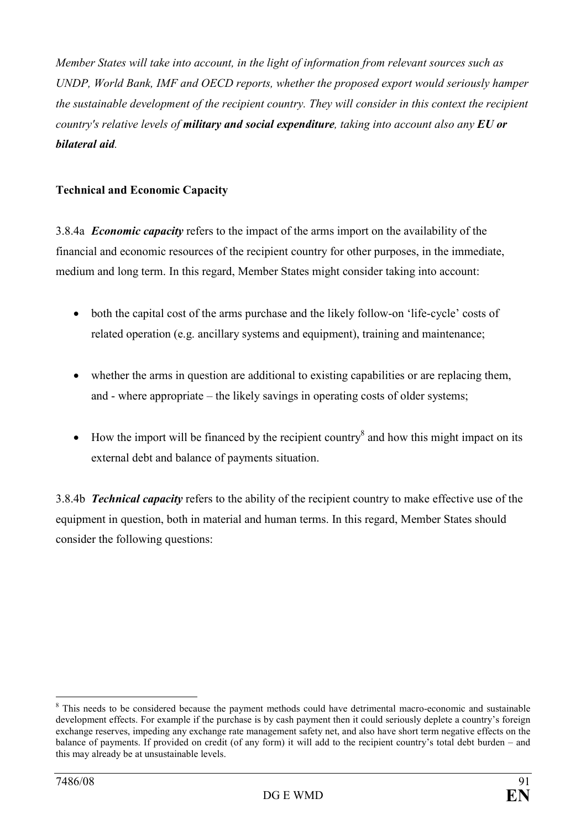Member States will take into account, in the light of information from relevant sources such as UNDP, World Bank, IMF and OECD reports, whether the proposed export would seriously hamper the sustainable development of the recipient country. They will consider in this context the recipient country's relative levels of **military and social expenditure**, taking into account also any **EU** or bilateral aid.

# Technical and Economic Capacity

3.8.4a *Economic capacity* refers to the impact of the arms import on the availability of the financial and economic resources of the recipient country for other purposes, in the immediate, medium and long term. In this regard, Member States might consider taking into account:

- both the capital cost of the arms purchase and the likely follow-on 'life-cycle' costs of related operation (e.g. ancillary systems and equipment), training and maintenance;
- whether the arms in question are additional to existing capabilities or are replacing them, and - where appropriate – the likely savings in operating costs of older systems;
- $\bullet$  How the import will be financed by the recipient country<sup>8</sup> and how this might impact on its external debt and balance of payments situation.

3.8.4b **Technical capacity** refers to the ability of the recipient country to make effective use of the equipment in question, both in material and human terms. In this regard, Member States should consider the following questions:

 $\overline{a}$ <sup>8</sup> This needs to be considered because the payment methods could have detrimental macro-economic and sustainable development effects. For example if the purchase is by cash payment then it could seriously deplete a country's foreign exchange reserves, impeding any exchange rate management safety net, and also have short term negative effects on the balance of payments. If provided on credit (of any form) it will add to the recipient country's total debt burden – and this may already be at unsustainable levels.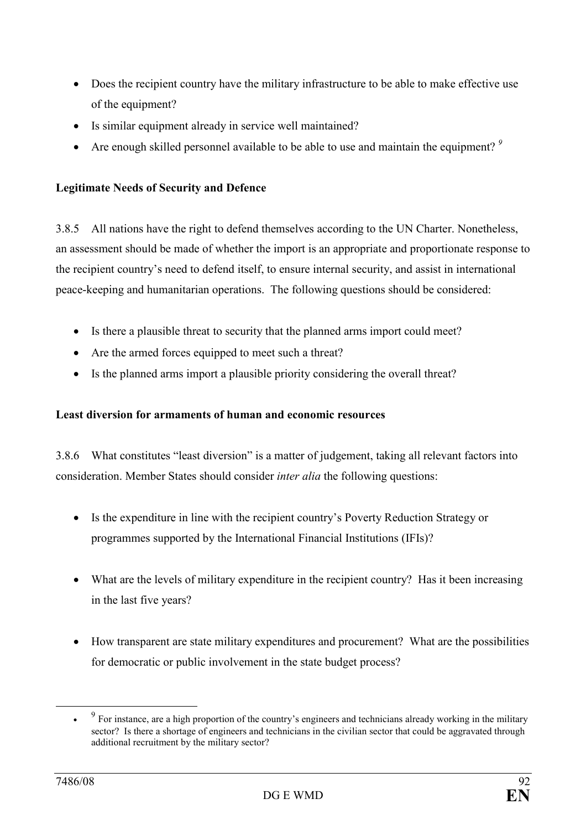- Does the recipient country have the military infrastructure to be able to make effective use of the equipment?
- Is similar equipment already in service well maintained?
- Are enough skilled personnel available to be able to use and maintain the equipment?  $9$

# Legitimate Needs of Security and Defence

3.8.5 All nations have the right to defend themselves according to the UN Charter. Nonetheless, an assessment should be made of whether the import is an appropriate and proportionate response to the recipient country's need to defend itself, to ensure internal security, and assist in international peace-keeping and humanitarian operations. The following questions should be considered:

- Is there a plausible threat to security that the planned arms import could meet?
- Are the armed forces equipped to meet such a threat?
- Is the planned arms import a plausible priority considering the overall threat?

# Least diversion for armaments of human and economic resources

3.8.6 What constitutes "least diversion" is a matter of judgement, taking all relevant factors into consideration. Member States should consider inter alia the following questions:

- Is the expenditure in line with the recipient country's Poverty Reduction Strategy or programmes supported by the International Financial Institutions (IFIs)?
- What are the levels of military expenditure in the recipient country? Has it been increasing in the last five years?
- How transparent are state military expenditures and procurement? What are the possibilities for democratic or public involvement in the state budget process?

 $\overline{a}$ 

<sup>•</sup>  $9<sup>9</sup>$  For instance, are a high proportion of the country's engineers and technicians already working in the military sector? Is there a shortage of engineers and technicians in the civilian sector that could be aggravated through additional recruitment by the military sector?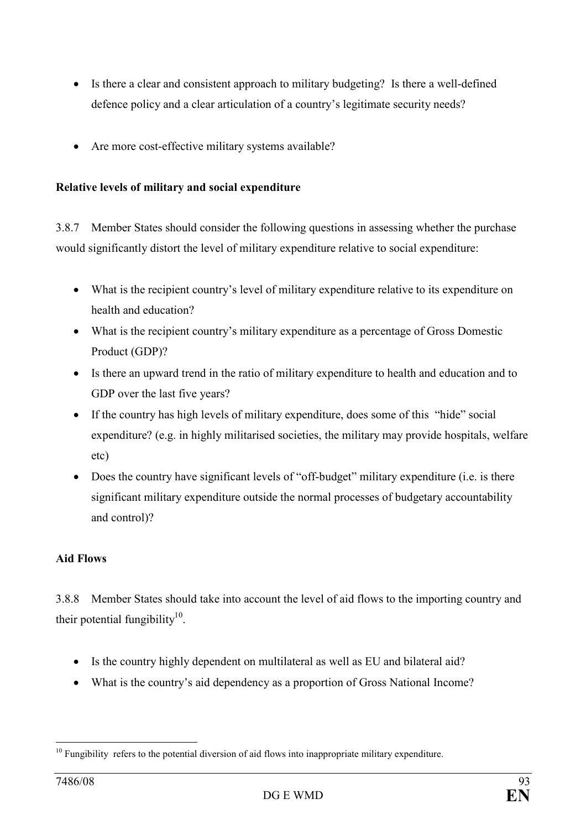- Is there a clear and consistent approach to military budgeting? Is there a well-defined defence policy and a clear articulation of a country's legitimate security needs?
- Are more cost-effective military systems available?

# Relative levels of military and social expenditure

3.8.7 Member States should consider the following questions in assessing whether the purchase would significantly distort the level of military expenditure relative to social expenditure:

- What is the recipient country's level of military expenditure relative to its expenditure on health and education?
- What is the recipient country's military expenditure as a percentage of Gross Domestic Product (GDP)?
- Is there an upward trend in the ratio of military expenditure to health and education and to GDP over the last five years?
- If the country has high levels of military expenditure, does some of this "hide" social expenditure? (e.g. in highly militarised societies, the military may provide hospitals, welfare etc)
- Does the country have significant levels of "off-budget" military expenditure (i.e. is there significant military expenditure outside the normal processes of budgetary accountability and control)?

# Aid Flows

3.8.8 Member States should take into account the level of aid flows to the importing country and their potential fungibility $10$ .

- Is the country highly dependent on multilateral as well as EU and bilateral aid?
- What is the country's aid dependency as a proportion of Gross National Income?

 $\overline{a}$  $10$  Fungibility refers to the potential diversion of aid flows into inappropriate military expenditure.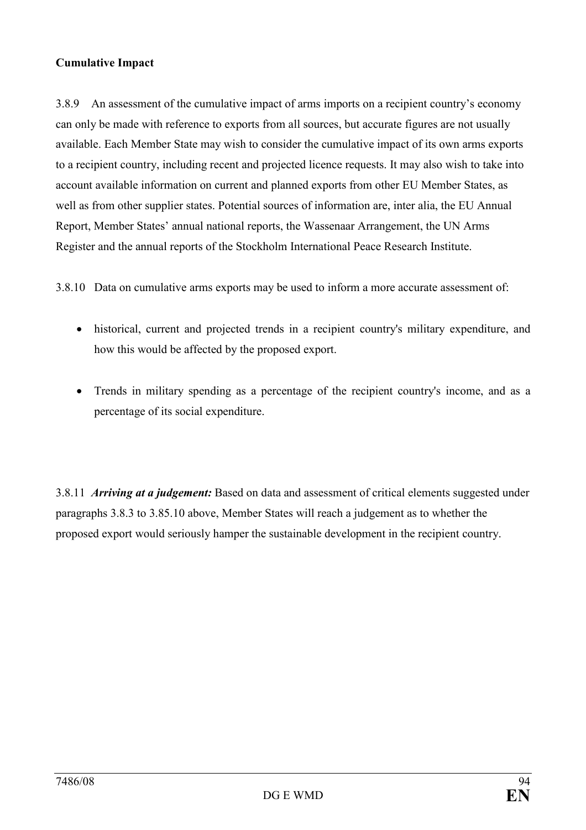# Cumulative Impact

3.8.9 An assessment of the cumulative impact of arms imports on a recipient country's economy can only be made with reference to exports from all sources, but accurate figures are not usually available. Each Member State may wish to consider the cumulative impact of its own arms exports to a recipient country, including recent and projected licence requests. It may also wish to take into account available information on current and planned exports from other EU Member States, as well as from other supplier states. Potential sources of information are, inter alia, the EU Annual Report, Member States' annual national reports, the Wassenaar Arrangement, the UN Arms Register and the annual reports of the Stockholm International Peace Research Institute.

3.8.10 Data on cumulative arms exports may be used to inform a more accurate assessment of:

- historical, current and projected trends in a recipient country's military expenditure, and how this would be affected by the proposed export.
- Trends in military spending as a percentage of the recipient country's income, and as a percentage of its social expenditure.

3.8.11 *Arriving at a judgement*: Based on data and assessment of critical elements suggested under paragraphs 3.8.3 to 3.85.10 above, Member States will reach a judgement as to whether the proposed export would seriously hamper the sustainable development in the recipient country.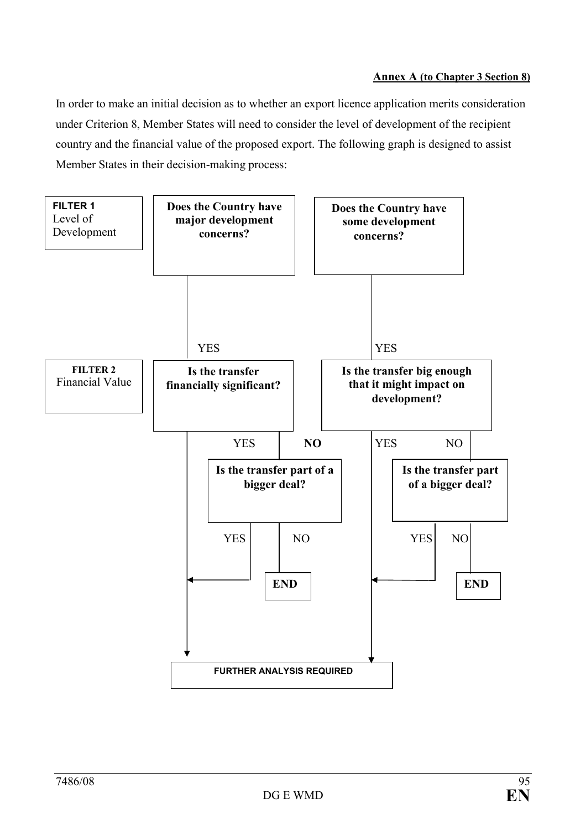In order to make an initial decision as to whether an export licence application merits consideration under Criterion 8, Member States will need to consider the level of development of the recipient country and the financial value of the proposed export. The following graph is designed to assist Member States in their decision-making process:

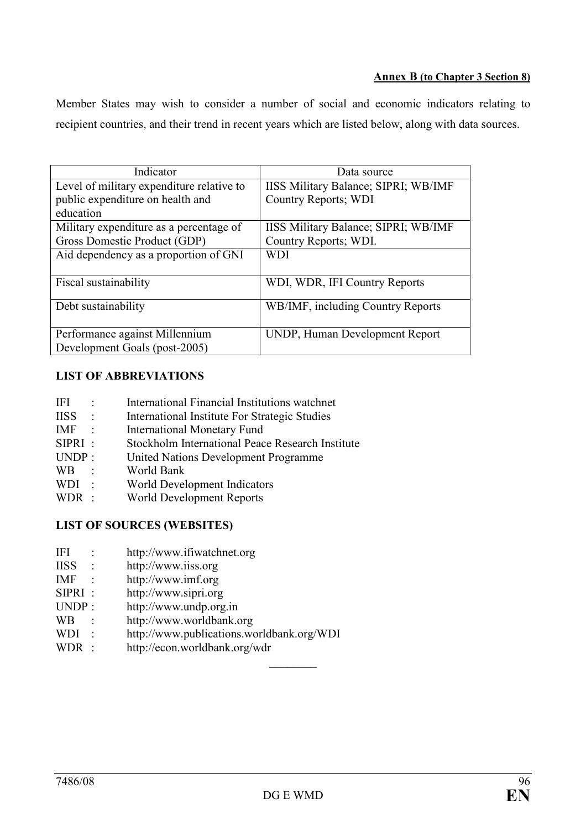#### Annex B (to Chapter 3 Section 8)

Member States may wish to consider a number of social and economic indicators relating to recipient countries, and their trend in recent years which are listed below, along with data sources.

| Indicator                                 | Data source                          |
|-------------------------------------------|--------------------------------------|
| Level of military expenditure relative to | IISS Military Balance; SIPRI; WB/IMF |
| public expenditure on health and          | Country Reports; WDI                 |
| education                                 |                                      |
| Military expenditure as a percentage of   | IISS Military Balance; SIPRI; WB/IMF |
| Gross Domestic Product (GDP)              | Country Reports; WDI.                |
| Aid dependency as a proportion of GNI     | <b>WDI</b>                           |
|                                           |                                      |
| Fiscal sustainability                     | WDI, WDR, IFI Country Reports        |
|                                           |                                      |
| Debt sustainability                       | WB/IMF, including Country Reports    |
|                                           |                                      |
| Performance against Millennium            | UNDP, Human Development Report       |
| Development Goals (post-2005)             |                                      |

# LIST OF ABBREVIATIONS

| <b>IFI</b>                 |                | International Financial Institutions watchnet    |
|----------------------------|----------------|--------------------------------------------------|
| <b>IISS</b>                | $\frac{1}{2}$  | International Institute For Strategic Studies    |
| <b>IMF</b>                 | $\mathbb{R}^2$ | <b>International Monetary Fund</b>               |
| $SIPRI$ :                  |                | Stockholm International Peace Research Institute |
| UNDP:                      |                | United Nations Development Programme             |
| <b>WB</b><br>$\frac{1}{2}$ |                | World Bank                                       |
| WDI:                       |                | World Development Indicators                     |
| WDR :                      |                | World Development Reports                        |

# LIST OF SOURCES (WEBSITES)

- IFI : http://www.ifiwatchnet.org
- IISS : http://www.iiss.org
- IMF : http://www.imf.org
- SIPRI : http://www.sipri.org
- UNDP : http://www.undp.org.in
- WB : http://www.worldbank.org
- WDI : http://www.publications.worldbank.org/WDI<br>WDR : http://econ worldbank org/wdr
- http://econ.worldbank.org/wdr

 $\overline{\phantom{a}}$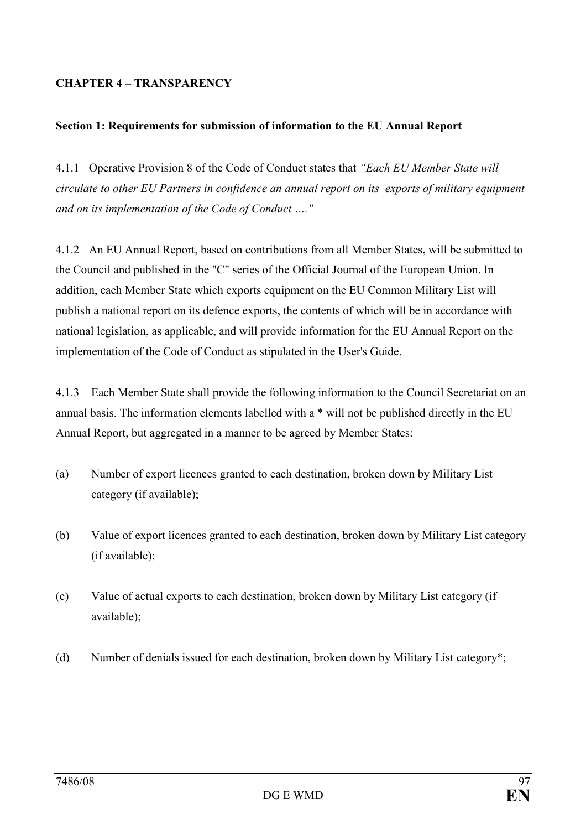# Section 1: Requirements for submission of information to the EU Annual Report

4.1.1 Operative Provision 8 of the Code of Conduct states that "Each EU Member State will circulate to other EU Partners in confidence an annual report on its exports of military equipment and on its implementation of the Code of Conduct …."

4.1.2 An EU Annual Report, based on contributions from all Member States, will be submitted to the Council and published in the "C" series of the Official Journal of the European Union. In addition, each Member State which exports equipment on the EU Common Military List will publish a national report on its defence exports, the contents of which will be in accordance with national legislation, as applicable, and will provide information for the EU Annual Report on the implementation of the Code of Conduct as stipulated in the User's Guide.

4.1.3 Each Member State shall provide the following information to the Council Secretariat on an annual basis. The information elements labelled with a \* will not be published directly in the EU Annual Report, but aggregated in a manner to be agreed by Member States:

- (a) Number of export licences granted to each destination, broken down by Military List category (if available);
- (b) Value of export licences granted to each destination, broken down by Military List category (if available);
- (c) Value of actual exports to each destination, broken down by Military List category (if available);
- (d) Number of denials issued for each destination, broken down by Military List category\*;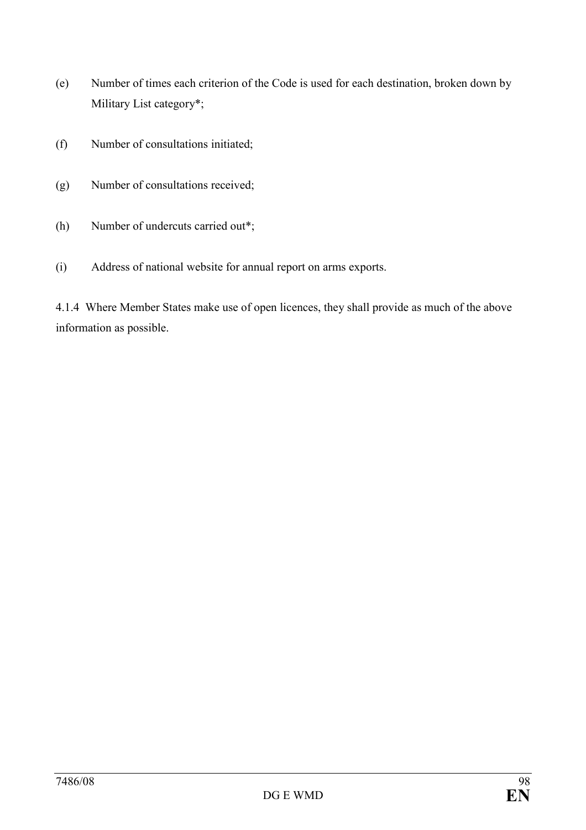- (e) Number of times each criterion of the Code is used for each destination, broken down by Military List category\*;
- (f) Number of consultations initiated;
- (g) Number of consultations received;
- (h) Number of undercuts carried out\*;
- (i) Address of national website for annual report on arms exports.

4.1.4 Where Member States make use of open licences, they shall provide as much of the above information as possible.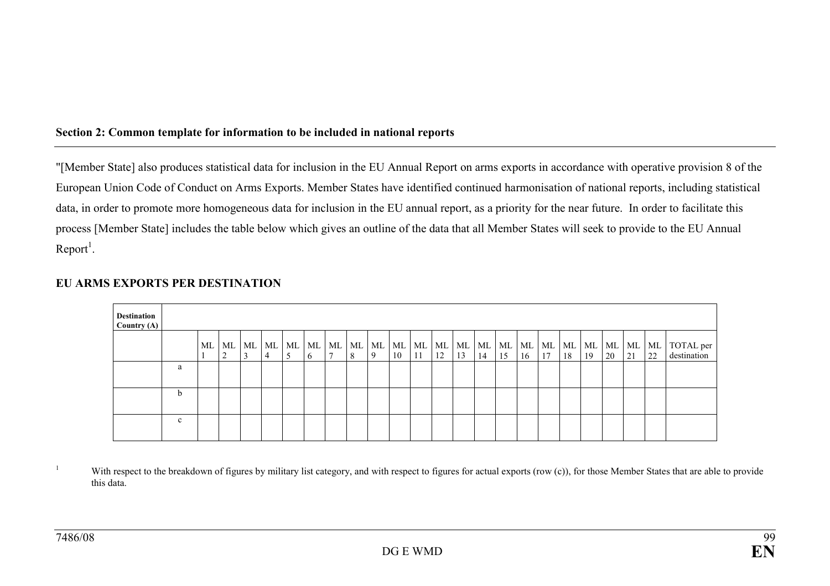## Section 2: Common template for information to be included in national reports

"[Member State] also produces statistical data for inclusion in the EU Annual Report on arms exports in accordance with operative provision 8 of the European Union Code of Conduct on Arms Exports. Member States have identified continued harmonisation of national reports, including statistical data, in order to promote more homogeneous data for inclusion in the EU annual report, as a priority for the near future. In order to facilitate this process [Member State] includes the table below which gives an outline of the data that all Member States will seek to provide to the EU Annual  $Report<sup>1</sup>$ .

| <b>Destination</b><br>Country $(A)$ |              |    |         |                     |                |              |         |    |                   |    |    |    |    |    |    |    |    |    |    |  |                                   |
|-------------------------------------|--------------|----|---------|---------------------|----------------|--------------|---------|----|-------------------|----|----|----|----|----|----|----|----|----|----|--|-----------------------------------|
|                                     |              | ML | ML<br>∠ | ML   ML   ML  <br>4 | ML<br>$\sigma$ | ML<br>$\tau$ | ML<br>8 | -9 | $ML$   $ML$<br>10 | 11 | 12 | 13 | 14 | 15 | 16 | 17 | 18 | 19 | 20 |  | ML ML TOTAL per 21 22 destination |
|                                     | a            |    |         |                     |                |              |         |    |                   |    |    |    |    |    |    |    |    |    |    |  |                                   |
|                                     | b.           |    |         |                     |                |              |         |    |                   |    |    |    |    |    |    |    |    |    |    |  |                                   |
|                                     | $\mathbf{c}$ |    |         |                     |                |              |         |    |                   |    |    |    |    |    |    |    |    |    |    |  |                                   |

### EU ARMS EXPORTS PER DESTINATION

<sup>1</sup> With respect to the breakdown of figures by military list category, and with respect to figures for actual exports (row (c)), for those Member States that are able to provide this data.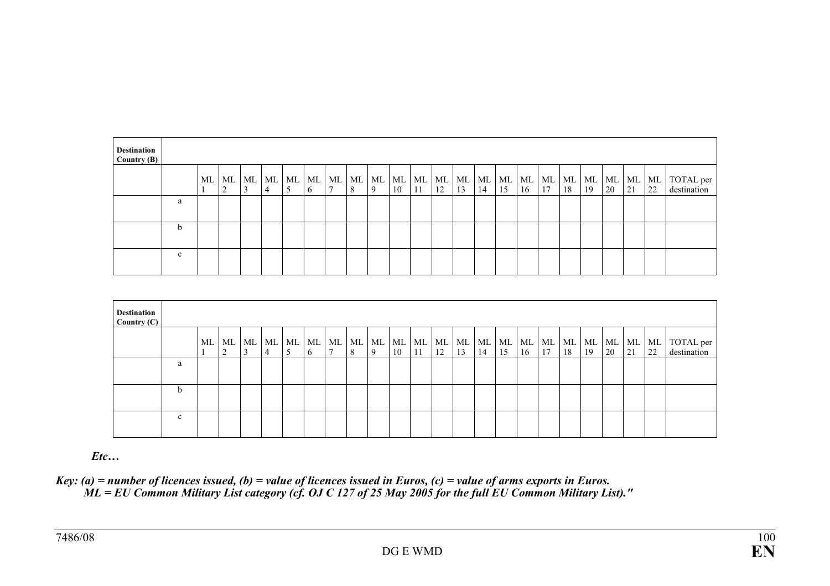| <b>Destination</b><br>Country $(B)$ |              |    |            |    |           |   |            |                                 |   |         |    |    |                |          |          |             |    |          |    |    |                |          |                                |
|-------------------------------------|--------------|----|------------|----|-----------|---|------------|---------------------------------|---|---------|----|----|----------------|----------|----------|-------------|----|----------|----|----|----------------|----------|--------------------------------|
|                                     |              | ML | ML ML<br>2 | J. | ML  <br>4 | C | ML ML<br>6 | $ML$   $ML$  <br>$\overline{ }$ | 8 | ML<br>9 | 10 | 11 | ML ML ML<br>12 | ML<br>13 | ML<br>14 | ML ML<br>15 | 16 | ML<br>17 | 18 | 19 | ML ML ML<br>20 | ML<br>21 | ML TOTAL per<br>22 destination |
|                                     | a            |    |            |    |           |   |            |                                 |   |         |    |    |                |          |          |             |    |          |    |    |                |          |                                |
|                                     | h.           |    |            |    |           |   |            |                                 |   |         |    |    |                |          |          |             |    |          |    |    |                |          |                                |
|                                     | $\mathbf{c}$ |    |            |    |           |   |            |                                 |   |         |    |    |                |          |          |             |    |          |    |    |                |          |                                |

| <b>Destination</b><br>Country (C) |              |             |        |                          |         |         |                         |   |         |    |    |                |          |          |             |    |          |             |    |          |          |                                |
|-----------------------------------|--------------|-------------|--------|--------------------------|---------|---------|-------------------------|---|---------|----|----|----------------|----------|----------|-------------|----|----------|-------------|----|----------|----------|--------------------------------|
|                                   |              | $\sim$<br>∠ | $\sim$ | $ML$ $ML$ $ML$ $ML$<br>4 | ML<br>5 | ML<br>6 | ML   ML<br>$\mathbf{r}$ | 8 | ML<br>9 | 10 | 11 | ML ML ML<br>12 | ML<br>13 | ML<br>14 | ML ML<br>15 | 16 | ML<br>17 | ML ML<br>18 | 19 | ML<br>20 | ML<br>21 | ML TOTAL per<br>22 destination |
|                                   | a            |             |        |                          |         |         |                         |   |         |    |    |                |          |          |             |    |          |             |    |          |          |                                |
|                                   | b.           |             |        |                          |         |         |                         |   |         |    |    |                |          |          |             |    |          |             |    |          |          |                                |
|                                   | $\mathbf{c}$ |             |        |                          |         |         |                         |   |         |    |    |                |          |          |             |    |          |             |    |          |          |                                |

Etc…

Key: (a) = number of licences issued, (b) = value of licences issued in Euros, (c) = value of arms exports in Euros.<br>"ML = EU Common Military List category (cf. OJ C 127 of 25 May 2005 for the full EU Common Military List)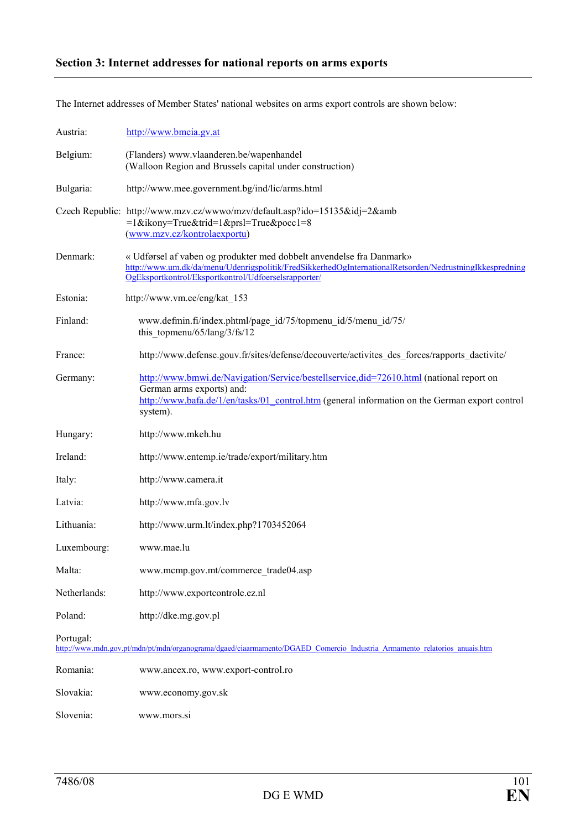# Section 3: Internet addresses for national reports on arms exports

The Internet addresses of Member States' national websites on arms export controls are shown below:

| Austria:     | http://www.bmeia.gv.at                                                                                                                                                                                                                  |
|--------------|-----------------------------------------------------------------------------------------------------------------------------------------------------------------------------------------------------------------------------------------|
| Belgium:     | (Flanders) www.vlaanderen.be/wapenhandel<br>(Walloon Region and Brussels capital under construction)                                                                                                                                    |
| Bulgaria:    | http://www.mee.government.bg/ind/lic/arms.html                                                                                                                                                                                          |
|              | Czech Republic: http://www.mzv.cz/wwwo/mzv/default.asp?ido=15135&idj=2&amb<br>=1&ikony=True&trid=1&prsl=True&pocc1=8<br>(www.mzv.cz/kontrolaexportu)                                                                                    |
| Denmark:     | « Udførsel af vaben og produkter med dobbelt anvendelse fra Danmark»<br>http://www.um.dk/da/menu/Udenrigspolitik/FredSikkerhedOgInternationalRetsorden/NedrustningIkkespredning<br>OgEksportkontrol/Eksportkontrol/Udfoerselsrapporter/ |
| Estonia:     | http://www.vm.ee/eng/kat 153                                                                                                                                                                                                            |
| Finland:     | www.defmin.fi/index.phtml/page_id/75/topmenu_id/5/menu_id/75/<br>this topmenu/65/lang/3/fs/12                                                                                                                                           |
| France:      | http://www.defense.gouv.fr/sites/defense/decouverte/activites_des_forces/rapports_dactivite/                                                                                                                                            |
| Germany:     | http://www.bmwi.de/Navigation/Service/bestellservice.did=72610.html (national report on<br>German arms exports) and:<br>http://www.bafa.de/1/en/tasks/01 control.htm (general information on the German export control<br>system).      |
| Hungary:     | http://www.mkeh.hu                                                                                                                                                                                                                      |
| Ireland:     | http://www.entemp.ie/trade/export/military.htm                                                                                                                                                                                          |
| Italy:       | http://www.camera.it                                                                                                                                                                                                                    |
| Latvia:      | http://www.mfa.gov.lv                                                                                                                                                                                                                   |
| Lithuania:   | http://www.urm.lt/index.php?1703452064                                                                                                                                                                                                  |
| Luxembourg:  | www.mae.lu                                                                                                                                                                                                                              |
| Malta:       | www.mcmp.gov.mt/commerce_trade04.asp                                                                                                                                                                                                    |
| Netherlands: | http://www.exportcontrole.ez.nl                                                                                                                                                                                                         |
| Poland:      | http://dke.mg.gov.pl                                                                                                                                                                                                                    |
| Portugal:    | http://www.mdn.gov.pt/mdn/pt/mdn/organograma/dgaed/ciaarmamento/DGAED Comercio Industria Armamento relatorios anuais.htm                                                                                                                |
| Romania:     | www.ancex.ro, www.export-control.ro                                                                                                                                                                                                     |
| Slovakia:    | www.economy.gov.sk                                                                                                                                                                                                                      |
| Slovenia:    | www.mors.si                                                                                                                                                                                                                             |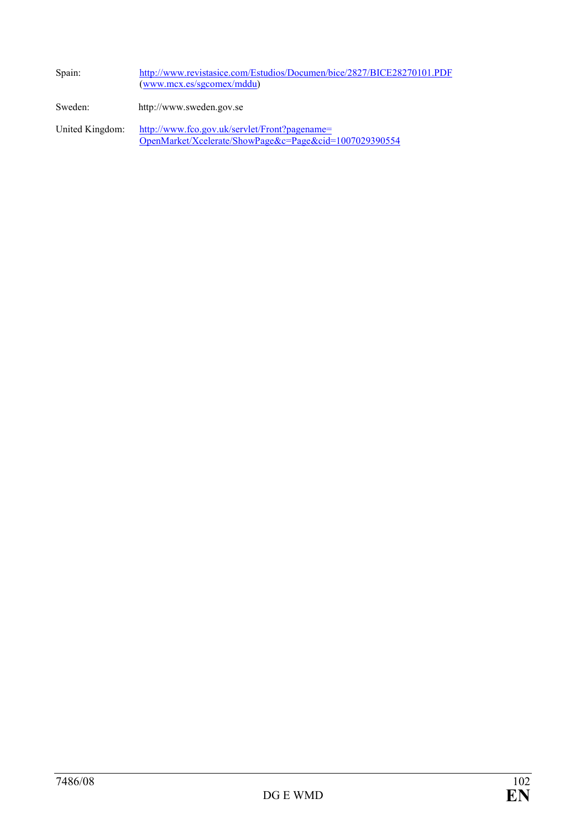| Spain:          | http://www.revistasice.com/Estudios/Documen/bice/2827/BICE28270101.PDF<br>(www.mcx.es/sgcomes/mddu)     |
|-----------------|---------------------------------------------------------------------------------------------------------|
| Sweden:         | http://www.sweden.gov.se                                                                                |
| United Kingdom: | http://www.fco.gov.uk/servlet/Front?pagename=<br>OpenMarket/Xcelerate/ShowPage&c=Page&cid=1007029390554 |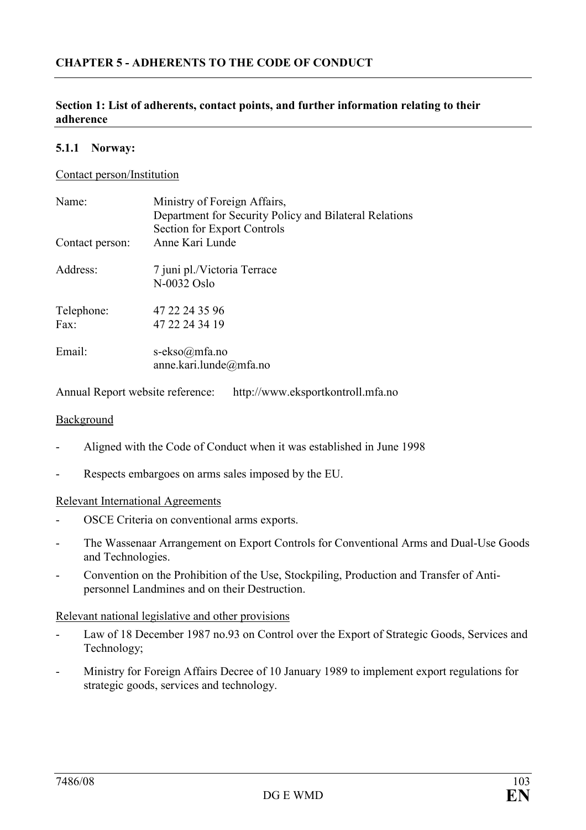#### Section 1: List of adherents, contact points, and further information relating to their adherence

#### 5.1.1 Norway:

#### Contact person/Institution

| Name <sup>-</sup><br>Contact person: | Ministry of Foreign Affairs,<br>Department for Security Policy and Bilateral Relations<br><b>Section for Export Controls</b><br>Anne Kari Lunde |
|--------------------------------------|-------------------------------------------------------------------------------------------------------------------------------------------------|
| Address:                             | 7 juni pl./Victoria Terrace<br>N-0032 Oslo                                                                                                      |
| Telephone:<br>Fax                    | 47 22 24 35 96<br>47 22 24 34 19                                                                                                                |
| Email:                               | s-ekso@mfa.no<br>anne.kari.lunde@mfa.no                                                                                                         |

Annual Report website reference: http://www.eksportkontroll.mfa.no

#### Background

- Aligned with the Code of Conduct when it was established in June 1998
- Respects embargoes on arms sales imposed by the EU.

#### Relevant International Agreements

- OSCE Criteria on conventional arms exports.
- The Wassenaar Arrangement on Export Controls for Conventional Arms and Dual-Use Goods and Technologies.
- Convention on the Prohibition of the Use, Stockpiling, Production and Transfer of Antipersonnel Landmines and on their Destruction.

#### Relevant national legislative and other provisions

- Law of 18 December 1987 no.93 on Control over the Export of Strategic Goods, Services and Technology;
- Ministry for Foreign Affairs Decree of 10 January 1989 to implement export regulations for strategic goods, services and technology.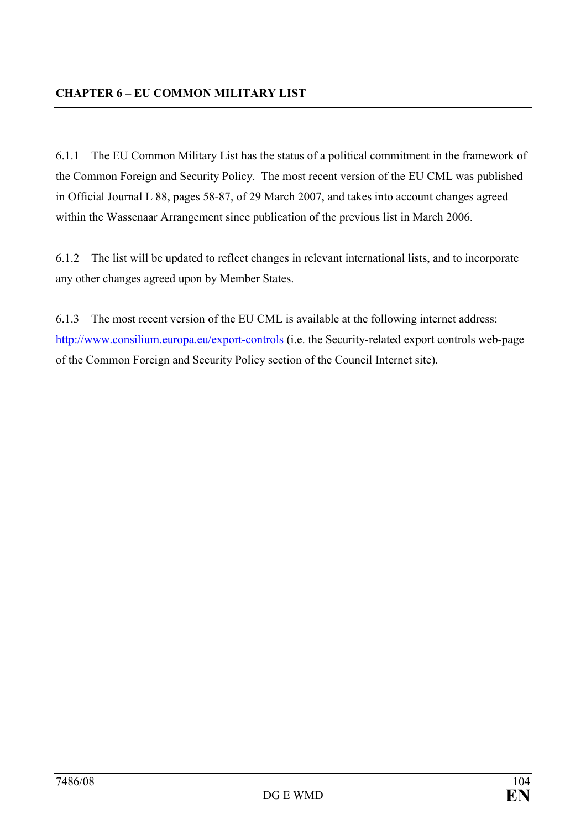6.1.1 The EU Common Military List has the status of a political commitment in the framework of the Common Foreign and Security Policy. The most recent version of the EU CML was published in Official Journal L 88, pages 58-87, of 29 March 2007, and takes into account changes agreed within the Wassenaar Arrangement since publication of the previous list in March 2006.

6.1.2 The list will be updated to reflect changes in relevant international lists, and to incorporate any other changes agreed upon by Member States.

6.1.3 The most recent version of the EU CML is available at the following internet address: <http://www.consilium.europa.eu/export-controls> (i.e. the Security-related export controls web-page of the Common Foreign and Security Policy section of the Council Internet site).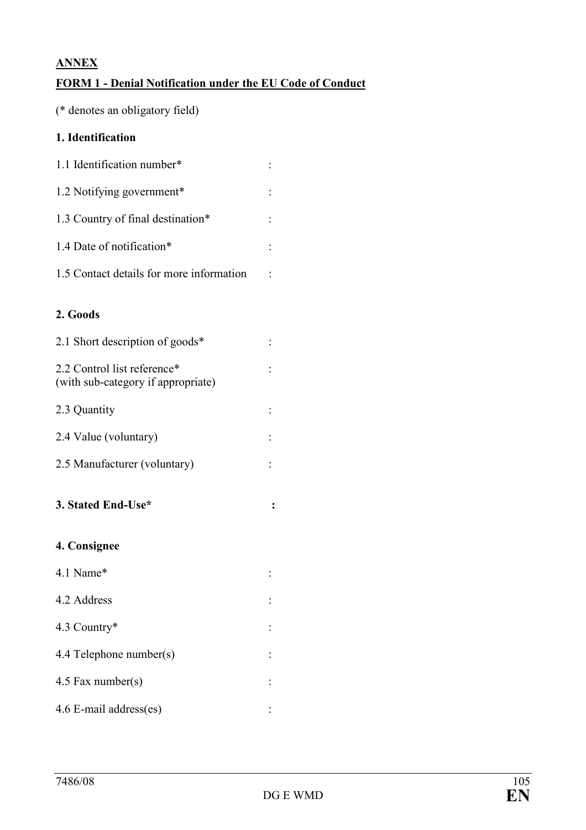# ANNEX

# FORM 1 - Denial Notification under the EU Code of Conduct

(\* denotes an obligatory field)

# 1. Identification

| 1.1 Identification number*               |  |
|------------------------------------------|--|
| 1.2 Notifying government*                |  |
| 1.3 Country of final destination*        |  |
| 1.4 Date of notification*                |  |
| 1.5 Contact details for more information |  |

## 2. Goods

| 2.1 Short description of goods*                                   |  |
|-------------------------------------------------------------------|--|
| 2.2 Control list reference*<br>(with sub-category if appropriate) |  |
| 2.3 Quantity                                                      |  |

- 2.4 Value (voluntary) :
- 2.5 Manufacturer (voluntary) :
- 3. Stated End-Use\* :

# 4. Consignee

4.1 Name\* : 4.2 Address : 4.3 Country\* : 4.4 Telephone number(s) : 4.5 Fax number(s) : 4.6 E-mail address(es) :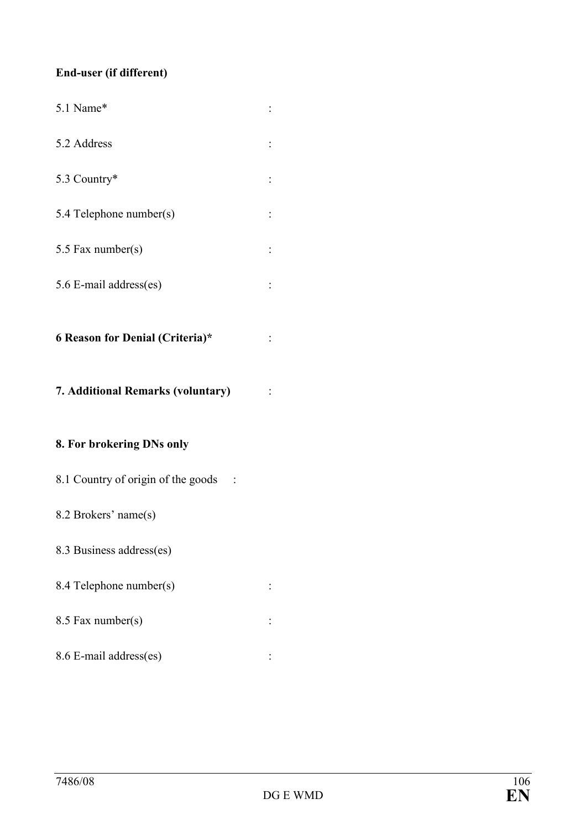# End-user (if different)

| 5.1 Name*                          |  |
|------------------------------------|--|
| 5.2 Address                        |  |
| 5.3 Country*                       |  |
| 5.4 Telephone number(s)            |  |
| 5.5 Fax number(s)                  |  |
| 5.6 E-mail address(es)             |  |
| 6 Reason for Denial (Criteria)*    |  |
|                                    |  |
| 7. Additional Remarks (voluntary)  |  |
| 8. For brokering DNs only          |  |
| 8.1 Country of origin of the goods |  |
| 8.2 Brokers' name(s)               |  |
| 8.3 Business address(es)           |  |
| 8.4 Telephone number(s)            |  |
| 8.5 Fax number(s)                  |  |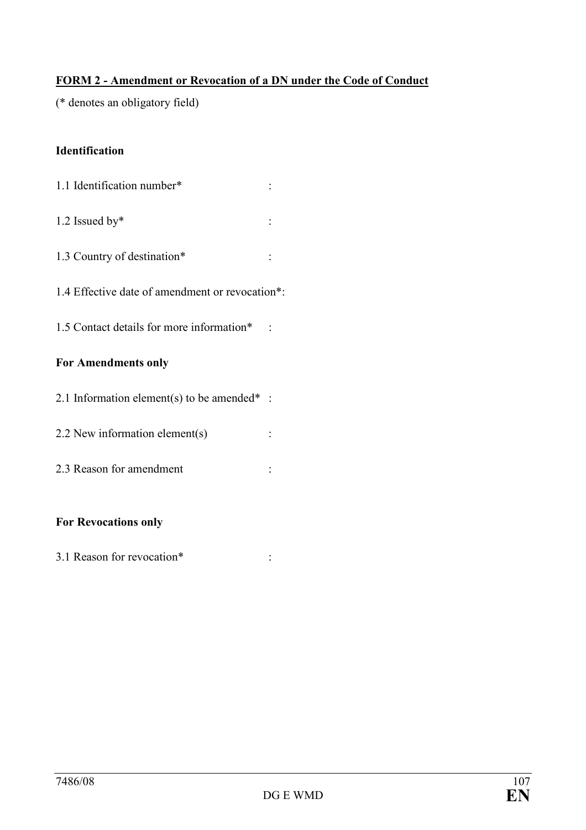# FORM 2 - Amendment or Revocation of a DN under the Code of Conduct

(\* denotes an obligatory field)

# Identification

- 1.1 Identification number\* :
- 1.2 Issued by\* :
- 1.3 Country of destination\* :
- 1.4 Effective date of amendment or revocation\*:
- 1.5 Contact details for more information\* :

# For Amendments only

- 2.1 Information element(s) to be amended $*$ :
- 2.2 New information element(s) :
- 2.3 Reason for amendment :

# For Revocations only

3.1 Reason for revocation\* :